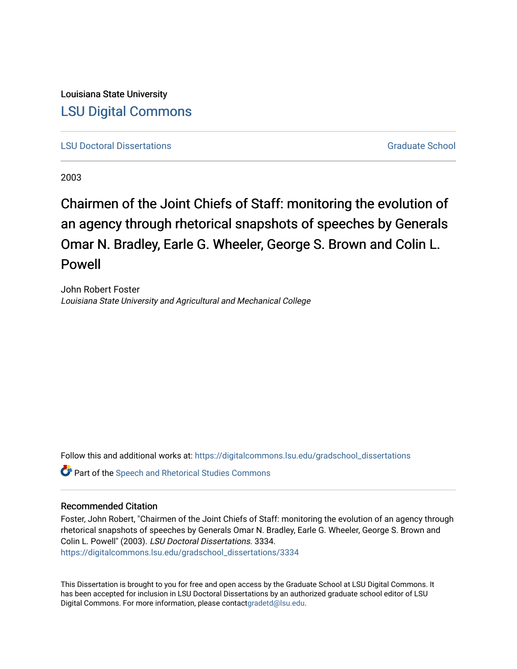<span id="page-0-0"></span>Louisiana State University [LSU Digital Commons](https://digitalcommons.lsu.edu/)

**[LSU Doctoral Dissertations](https://digitalcommons.lsu.edu/gradschool_dissertations)** [Graduate School](https://digitalcommons.lsu.edu/gradschool) Control of the Graduate School Control of the Graduate School Control of the Graduate School Control of the Graduate School Control of the Graduate School Control of the Graduat

2003

Chairmen of the Joint Chiefs of Staff: monitoring the evolution of an agency through rhetorical snapshots of speeches by Generals Omar N. Bradley, Earle G. Wheeler, George S. Brown and Colin L. Powell

John Robert Foster Louisiana State University and Agricultural and Mechanical College

Follow this and additional works at: [https://digitalcommons.lsu.edu/gradschool\\_dissertations](https://digitalcommons.lsu.edu/gradschool_dissertations?utm_source=digitalcommons.lsu.edu%2Fgradschool_dissertations%2F3334&utm_medium=PDF&utm_campaign=PDFCoverPages)

Part of the [Speech and Rhetorical Studies Commons](https://network.bepress.com/hgg/discipline/338?utm_source=digitalcommons.lsu.edu%2Fgradschool_dissertations%2F3334&utm_medium=PDF&utm_campaign=PDFCoverPages) 

#### Recommended Citation

Foster, John Robert, "Chairmen of the Joint Chiefs of Staff: monitoring the evolution of an agency through rhetorical snapshots of speeches by Generals Omar N. Bradley, Earle G. Wheeler, George S. Brown and Colin L. Powell" (2003). LSU Doctoral Dissertations. 3334. [https://digitalcommons.lsu.edu/gradschool\\_dissertations/3334](https://digitalcommons.lsu.edu/gradschool_dissertations/3334?utm_source=digitalcommons.lsu.edu%2Fgradschool_dissertations%2F3334&utm_medium=PDF&utm_campaign=PDFCoverPages)

This Dissertation is brought to you for free and open access by the Graduate School at LSU Digital Commons. It has been accepted for inclusion in LSU Doctoral Dissertations by an authorized graduate school editor of LSU Digital Commons. For more information, please contac[tgradetd@lsu.edu.](mailto:gradetd@lsu.edu)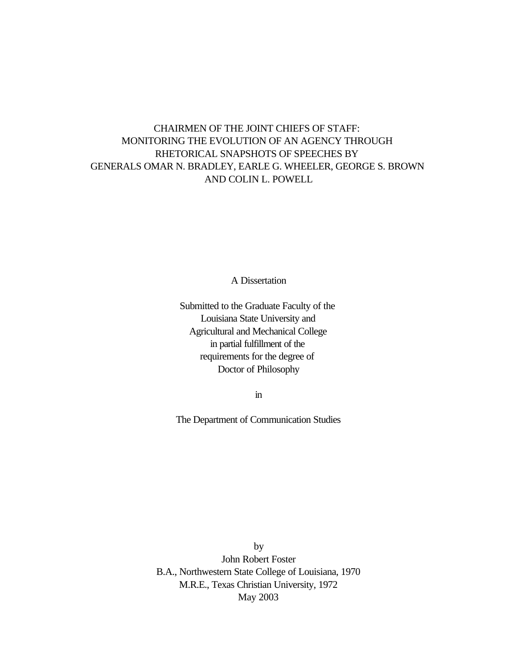# <span id="page-1-0"></span>CHAIRMEN OF THE JOINT CHIEFS OF STAFF: MONITORING THE EVOLUTION OF AN AGENCY THROUGH RHETORICAL SNAPSHOTS OF SPEECHES BY GENERALS OMAR N. BRADLEY, EARLE G. WHEELER, GEORGE S. BROWN AND COLIN L. POWELL

A Dissertation

Submitted to the Graduate Faculty of the Louisiana State University and Agricultural and Mechanical College in partial fulfillment of the requirements for the degree of Doctor of Philosophy

in

The Department of Communication Studies

by John Robert Foster B.A., Northwestern State College of Louisiana, 1970 M.R.E., Texas Christian University, 1972 May 2003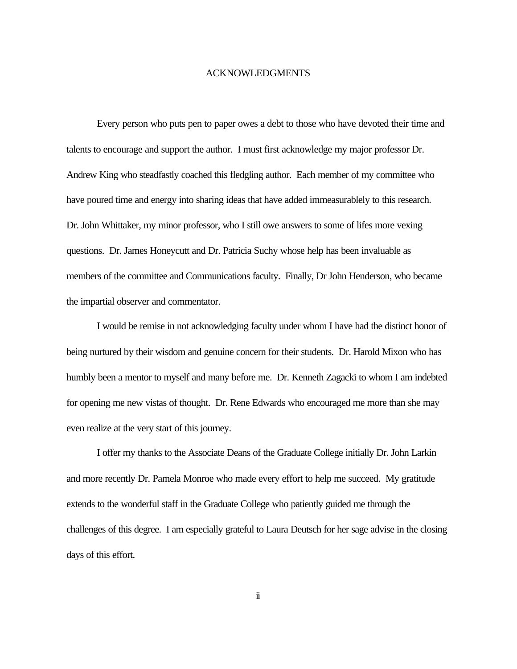#### ACKNOWLEDGMENTS

<span id="page-2-0"></span>Every person who puts pen to paper owes a debt to those who have devoted their time and talents to encourage and support the author. I must first acknowledge my major professor Dr. Andrew King who steadfastly coached this fledgling author. Each member of my committee who have poured time and energy into sharing ideas that have added immeasurablely to this research. Dr. John Whittaker, my minor professor, who I still owe answers to some of lifes more vexing questions. Dr. James Honeycutt and Dr. Patricia Suchy whose help has been invaluable as members of the committee and Communications faculty. Finally, Dr John Henderson, who became the impartial observer and commentator.

I would be remise in not acknowledging faculty under whom I have had the distinct honor of being nurtured by their wisdom and genuine concern for their students. Dr. Harold Mixon who has humbly been a mentor to myself and many before me. Dr. Kenneth Zagacki to whom I am indebted for opening me new vistas of thought. Dr. Rene Edwards who encouraged me more than she may even realize at the very start of this journey.

I offer my thanks to the Associate Deans of the Graduate College initially Dr. John Larkin and more recently Dr. Pamela Monroe who made every effort to help me succeed. My gratitude extends to the wonderful staff in the Graduate College who patiently guided me through the challenges of this degree. I am especially grateful to Laura Deutsch for her sage advise in the closing days of this effort.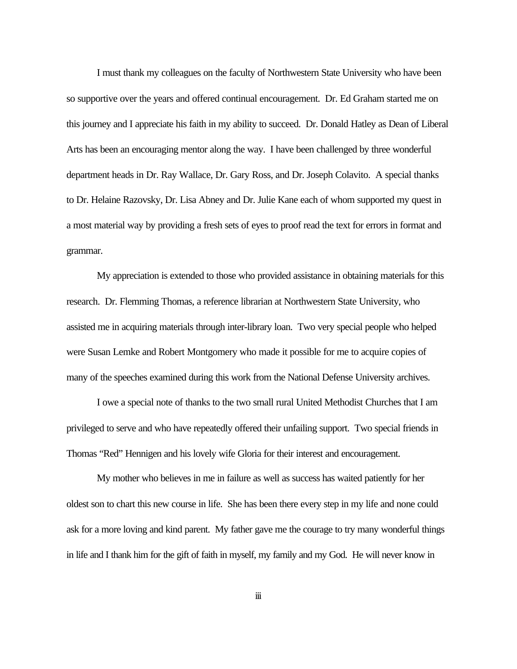<span id="page-3-0"></span>I must thank my colleagues on the faculty of Northwestern State University who have been so supportive over the years and offered continual encouragement. Dr. Ed Graham started me on this journey and I appreciate his faith in my ability to succeed. Dr. Donald Hatley as Dean of Liberal Arts has been an encouraging mentor along the way. I have been challenged by three wonderful department heads in Dr. Ray Wallace, Dr. Gary Ross, and Dr. Joseph Colavito. A special thanks to Dr. Helaine Razovsky, Dr. Lisa Abney and Dr. Julie Kane each of whom supported my quest in a most material way by providing a fresh sets of eyes to proof read the text for errors in format and grammar.

My appreciation is extended to those who provided assistance in obtaining materials for this research. Dr. Flemming Thomas, a reference librarian at Northwestern State University, who assisted me in acquiring materials through inter-library loan. Two very special people who helped were Susan Lemke and Robert Montgomery who made it possible for me to acquire copies of many of the speeches examined during this work from the National Defense University archives.

I owe a special note of thanks to the two small rural United Methodist Churches that I am privileged to serve and who have repeatedly offered their unfailing support. Two special friends in Thomas "Red" Hennigen and his lovely wife Gloria for their interest and encouragement.

My mother who believes in me in failure as well as success has waited patiently for her oldest son to chart this new course in life. She has been there every step in my life and none could ask for a more loving and kind parent. My father gave me the courage to try many wonderful things in life and I thank him for the gift of faith in myself, my family and my God. He will never know in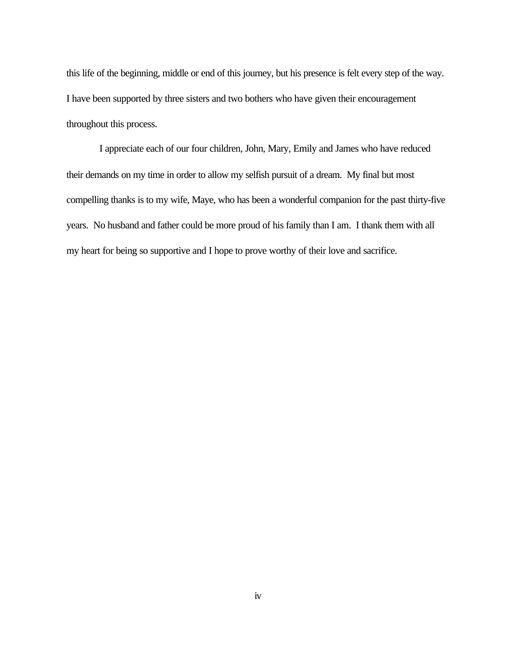this life of the beginning, middle or end of this journey, but his presence is felt every step of the way. I have been supported by three sisters and two bothers who have given their encouragement throughout this process.

 I appreciate each of our four children, John, Mary, Emily and James who have reduced their demands on my time in order to allow my selfish pursuit of a dream. My final but most compelling thanks is to my wife, Maye, who has been a wonderful companion for the past thirty-five years. No husband and father could be more proud of his family than I am. I thank them with all my heart for being so supportive and I hope to prove worthy of their love and sacrifice.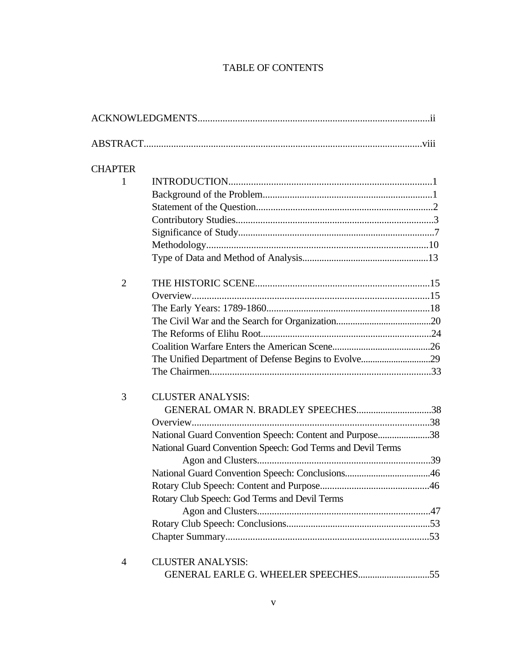# TABLE OF CONTENTS

<span id="page-5-0"></span>

| <b>CHAPTER</b> |                                                             |  |
|----------------|-------------------------------------------------------------|--|
| 1              |                                                             |  |
|                |                                                             |  |
|                |                                                             |  |
|                |                                                             |  |
|                |                                                             |  |
|                |                                                             |  |
|                |                                                             |  |
| $\overline{2}$ |                                                             |  |
|                |                                                             |  |
|                |                                                             |  |
|                |                                                             |  |
|                |                                                             |  |
|                |                                                             |  |
|                |                                                             |  |
|                |                                                             |  |
| 3              | <b>CLUSTER ANALYSIS:</b>                                    |  |
|                | GENERAL OMAR N. BRADLEY SPEECHES38                          |  |
|                |                                                             |  |
|                | National Guard Convention Speech: Content and Purpose38     |  |
|                | National Guard Convention Speech: God Terms and Devil Terms |  |
|                |                                                             |  |
|                |                                                             |  |
|                |                                                             |  |
|                | Rotary Club Speech: God Terms and Devil Terms               |  |
|                |                                                             |  |
|                |                                                             |  |
|                |                                                             |  |
| 4              | <b>CLUSTER ANALYSIS:</b>                                    |  |
|                |                                                             |  |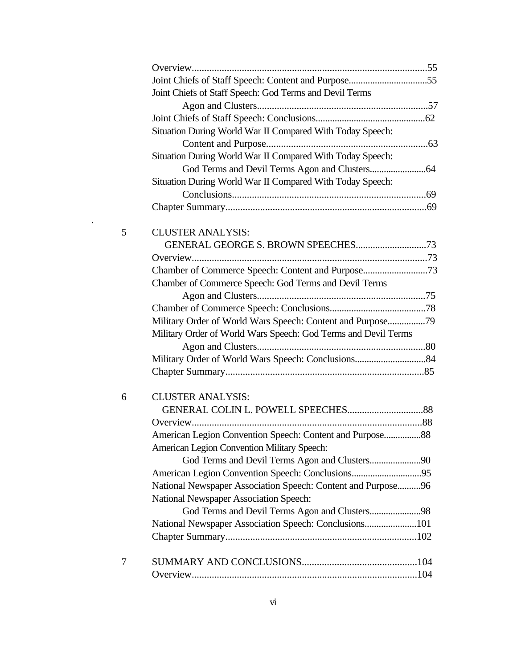<span id="page-6-0"></span>

|   | Joint Chiefs of Staff Speech: God Terms and Devil Terms        |  |
|---|----------------------------------------------------------------|--|
|   |                                                                |  |
|   |                                                                |  |
|   | Situation During World War II Compared With Today Speech:      |  |
|   |                                                                |  |
|   | Situation During World War II Compared With Today Speech:      |  |
|   |                                                                |  |
|   | Situation During World War II Compared With Today Speech:      |  |
|   |                                                                |  |
|   |                                                                |  |
| 5 | <b>CLUSTER ANALYSIS:</b>                                       |  |
|   |                                                                |  |
|   |                                                                |  |
|   | Chamber of Commerce Speech: Content and Purpose73              |  |
|   | Chamber of Commerce Speech: God Terms and Devil Terms          |  |
|   |                                                                |  |
|   |                                                                |  |
|   | Military Order of World Wars Speech: Content and Purpose79     |  |
|   | Military Order of World Wars Speech: God Terms and Devil Terms |  |
|   |                                                                |  |
|   |                                                                |  |
|   |                                                                |  |
| 6 | <b>CLUSTER ANALYSIS:</b>                                       |  |
|   |                                                                |  |
|   |                                                                |  |
|   | American Legion Convention Speech: Content and Purpose88       |  |
|   | American Legion Convention Military Speech:                    |  |
|   | God Terms and Devil Terms Agon and Clusters90                  |  |
|   |                                                                |  |
|   | National Newspaper Association Speech: Content and Purpose96   |  |
|   | National Newspaper Association Speech:                         |  |
|   | God Terms and Devil Terms Agon and Clusters98                  |  |
|   | National Newspaper Association Speech: Conclusions101          |  |
|   |                                                                |  |
| 7 |                                                                |  |
|   |                                                                |  |
|   |                                                                |  |

.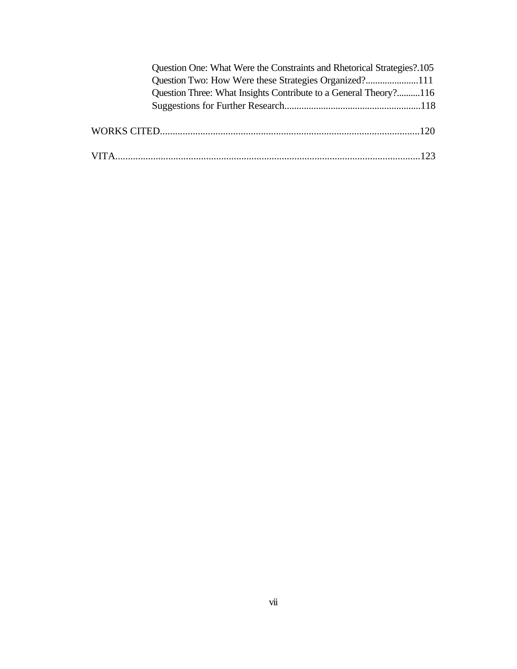<span id="page-7-0"></span>

|  | Question One: What Were the Constraints and Rhetorical Strategies?.105 |  |
|--|------------------------------------------------------------------------|--|
|  |                                                                        |  |
|  | Question Three: What Insights Contribute to a General Theory?116       |  |
|  |                                                                        |  |
|  |                                                                        |  |
|  |                                                                        |  |
|  |                                                                        |  |
|  |                                                                        |  |
|  |                                                                        |  |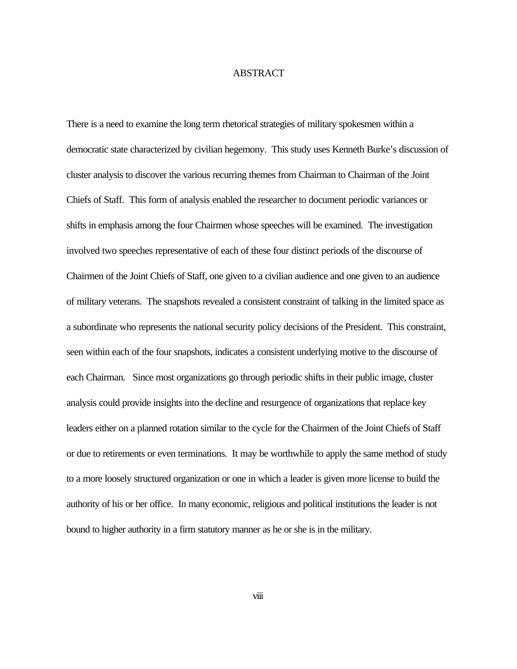#### ABSTRACT

<span id="page-8-0"></span>There is a need to examine the long term rhetorical strategies of military spokesmen within a democratic state characterized by civilian hegemony. This study uses Kenneth Burke's discussion of cluster analysis to discover the various recurring themes from Chairman to Chairman of the Joint Chiefs of Staff. This form of analysis enabled the researcher to document periodic variances or shifts in emphasis among the four Chairmen whose speeches will be examined. The investigation involved two speeches representative of each of these four distinct periods of the discourse of Chairmen of the Joint Chiefs of Staff, one given to a civilian audience and one given to an audience of military veterans. The snapshots revealed a consistent constraint of talking in the limited space as a subordinate who represents the national security policy decisions of the President. This constraint, seen within each of the four snapshots, indicates a consistent underlying motive to the discourse of each Chairman. Since most organizations go through periodic shifts in their public image, cluster analysis could provide insights into the decline and resurgence of organizations that replace key leaders either on a planned rotation similar to the cycle for the Chairmen of the Joint Chiefs of Staff or due to retirements or even terminations. It may be worthwhile to apply the same method of study to a more loosely structured organization or one in which a leader is given more license to build the authority of his or her office. In many economic, religious and political institutions the leader is not bound to higher authority in a firm statutory manner as he or she is in the military.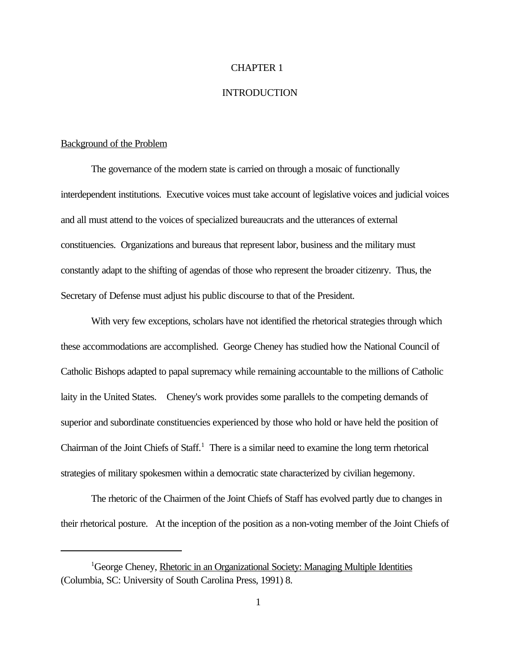#### CHAPTER 1

## **INTRODUCTION**

#### <span id="page-9-0"></span>Background of the Problem

The governance of the modern state is carried on through a mosaic of functionally interdependent institutions. Executive voices must take account of legislative voices and judicial voices and all must attend to the voices of specialized bureaucrats and the utterances of external constituencies. Organizations and bureaus that represent labor, business and the military must constantly adapt to the shifting of agendas of those who represent the broader citizenry. Thus, the Secretary of Defense must adjust his public discourse to that of the President.

With very few exceptions, scholars have not identified the rhetorical strategies through which these accommodations are accomplished. George Cheney has studied how the National Council of Catholic Bishops adapted to papal supremacy while remaining accountable to the millions of Catholic laity in the United States. Cheney's work provides some parallels to the competing demands of superior and subordinate constituencies experienced by those who hold or have held the position of Chairman of the Joint Chiefs of Staff.<sup>1</sup> There is a similar need to examine the long term rhetorical strategies of military spokesmen within a democratic state characterized by civilian hegemony.

The rhetoric of the Chairmen of the Joint Chiefs of Staff has evolved partly due to changes in their rhetorical posture. At the inception of the position as a non-voting member of the Joint Chiefs of

<sup>&</sup>lt;sup>1</sup>George Cheney, Rhetoric in an Organizational Society: Managing Multiple Identities (Columbia, SC: University of South Carolina Press, 1991) 8.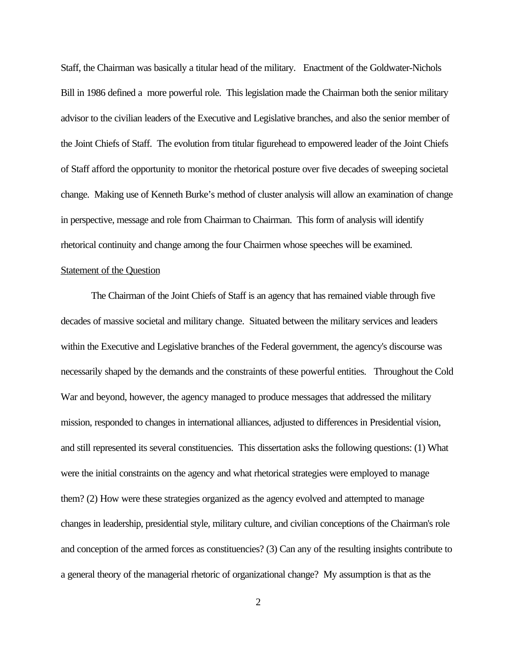<span id="page-10-0"></span>Staff, the Chairman was basically a titular head of the military. Enactment of the Goldwater-Nichols Bill in 1986 defined a more powerful role. This legislation made the Chairman both the senior military advisor to the civilian leaders of the Executive and Legislative branches, and also the senior member of the Joint Chiefs of Staff. The evolution from titular figurehead to empowered leader of the Joint Chiefs of Staff afford the opportunity to monitor the rhetorical posture over five decades of sweeping societal change. Making use of Kenneth Burke's method of cluster analysis will allow an examination of change in perspective, message and role from Chairman to Chairman. This form of analysis will identify rhetorical continuity and change among the four Chairmen whose speeches will be examined.

#### Statement of the Question

The Chairman of the Joint Chiefs of Staff is an agency that has remained viable through five decades of massive societal and military change. Situated between the military services and leaders within the Executive and Legislative branches of the Federal government, the agency's discourse was necessarily shaped by the demands and the constraints of these powerful entities. Throughout the Cold War and beyond, however, the agency managed to produce messages that addressed the military mission, responded to changes in international alliances, adjusted to differences in Presidential vision, and still represented its several constituencies. This dissertation asks the following questions: (1) What were the initial constraints on the agency and what rhetorical strategies were employed to manage them? (2) How were these strategies organized as the agency evolved and attempted to manage changes in leadership, presidential style, military culture, and civilian conceptions of the Chairman's role and conception of the armed forces as constituencies? (3) Can any of the resulting insights contribute to a general theory of the managerial rhetoric of organizational change? My assumption is that as the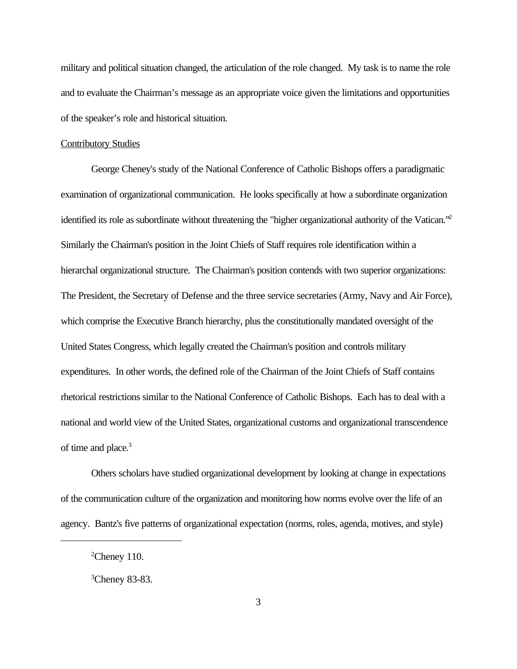<span id="page-11-0"></span>military and political situation changed, the articulation of the role changed. My task is to name the role and to evaluate the Chairman's message as an appropriate voice given the limitations and opportunities of the speaker's role and historical situation.

#### Contributory Studies

George Cheney's study of the National Conference of Catholic Bishops offers a paradigmatic examination of organizational communication. He looks specifically at how a subordinate organization identified its role as subordinate without threatening the "higher organizational authority of the Vatican."<sup>2</sup> Similarly the Chairman's position in the Joint Chiefs of Staff requires role identification within a hierarchal organizational structure. The Chairman's position contends with two superior organizations: The President, the Secretary of Defense and the three service secretaries (Army, Navy and Air Force), which comprise the Executive Branch hierarchy, plus the constitutionally mandated oversight of the United States Congress, which legally created the Chairman's position and controls military expenditures. In other words, the defined role of the Chairman of the Joint Chiefs of Staff contains rhetorical restrictions similar to the National Conference of Catholic Bishops. Each has to deal with a national and world view of the United States, organizational customs and organizational transcendence of time and place.<sup>3</sup>

Others scholars have studied organizational development by looking at change in expectations of the communication culture of the organization and monitoring how norms evolve over the life of an agency. Bantz's five patterns of organizational expectation (norms, roles, agenda, motives, and style)

 $2$ Cheney 110.

 ${}^{3}$ Cheney 83-83.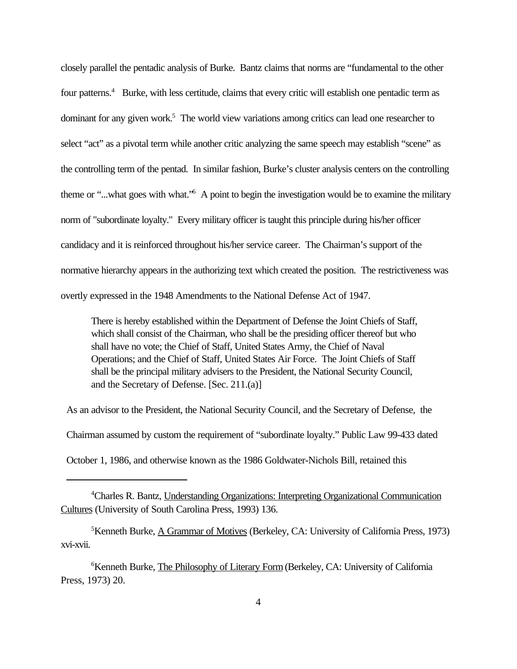<span id="page-12-0"></span>closely parallel the pentadic analysis of Burke. Bantz claims that norms are "fundamental to the other four patterns.<sup>4</sup> Burke, with less certitude, claims that every critic will establish one pentadic term as dominant for any given work.<sup>5</sup> The world view variations among critics can lead one researcher to select "act" as a pivotal term while another critic analyzing the same speech may establish "scene" as the controlling term of the pentad. In similar fashion, Burke's cluster analysis centers on the controlling theme or "...what goes with what."<sup>6</sup> A point to begin the investigation would be to examine the military norm of "subordinate loyalty." Every military officer is taught this principle during his/her officer candidacy and it is reinforced throughout his/her service career. The Chairman's support of the normative hierarchy appears in the authorizing text which created the position. The restrictiveness was overtly expressed in the 1948 Amendments to the National Defense Act of 1947.

There is hereby established within the Department of Defense the Joint Chiefs of Staff, which shall consist of the Chairman, who shall be the presiding officer thereof but who shall have no vote; the Chief of Staff, United States Army, the Chief of Naval Operations; and the Chief of Staff, United States Air Force. The Joint Chiefs of Staff shall be the principal military advisers to the President, the National Security Council, and the Secretary of Defense. [Sec. 211.(a)]

As an advisor to the President, the National Security Council, and the Secretary of Defense, the

Chairman assumed by custom the requirement of "subordinate loyalty." Public Law 99-433 dated

October 1, 1986, and otherwise known as the 1986 Goldwater-Nichols Bill, retained this

<sup>5</sup>Kenneth Burke, <u>A Grammar of Motives</u> (Berkeley, CA: University of California Press, 1973) xvi-xvii.

<sup>6</sup>Kenneth Burke, The Philosophy of Literary Form (Berkeley, CA: University of California Press, 1973) 20.

<sup>&</sup>lt;sup>4</sup>Charles R. Bantz, Understanding Organizations: Interpreting Organizational Communication Cultures (University of South Carolina Press, 1993) 136.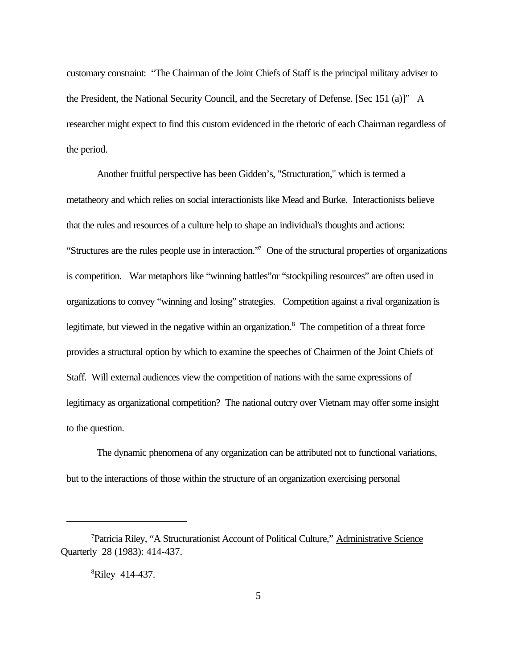<span id="page-13-0"></span>customary constraint: "The Chairman of the Joint Chiefs of Staff is the principal military adviser to the President, the National Security Council, and the Secretary of Defense. [Sec 151 (a)]" A researcher might expect to find this custom evidenced in the rhetoric of each Chairman regardless of the period.

Another fruitful perspective has been Gidden's, "Structuration," which is termed a metatheory and which relies on social interactionists like Mead and Burke. Interactionists believe that the rules and resources of a culture help to shape an individual's thoughts and actions: "Structures are the rules people use in interaction."<sup>7</sup> One of the structural properties of organizations is competition. War metaphors like "winning battles"or "stockpiling resources" are often used in organizations to convey "winning and losing" strategies. Competition against a rival organization is legitimate, but viewed in the negative within an organization.<sup>8</sup> The competition of a threat force provides a structural option by which to examine the speeches of Chairmen of the Joint Chiefs of Staff. Will external audiences view the competition of nations with the same expressions of legitimacy as organizational competition? The national outcry over Vietnam may offer some insight to the question.

The dynamic phenomena of any organization can be attributed not to functional variations, but to the interactions of those within the structure of an organization exercising personal

<sup>7</sup>Patricia Riley, "A Structurationist Account of Political Culture," Administrative Science Quarterly 28 (1983): 414-437.

<sup>8</sup>Riley 414-437.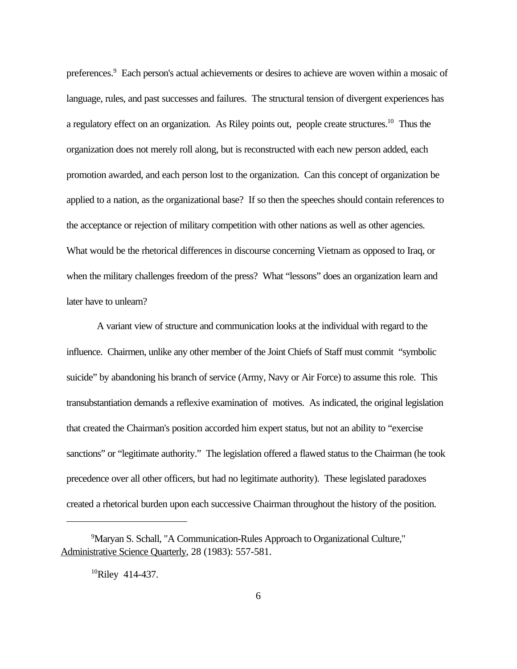<span id="page-14-0"></span>preferences.<sup>9</sup> Each person's actual achievements or desires to achieve are woven within a mosaic of language, rules, and past successes and failures. The structural tension of divergent experiences has a regulatory effect on an organization. As Riley points out, people create structures.<sup>10</sup> Thus the organization does not merely roll along, but is reconstructed with each new person added, each promotion awarded, and each person lost to the organization. Can this concept of organization be applied to a nation, as the organizational base? If so then the speeches should contain references to the acceptance or rejection of military competition with other nations as well as other agencies. What would be the rhetorical differences in discourse concerning Vietnam as opposed to Iraq, or when the military challenges freedom of the press? What "lessons" does an organization learn and later have to unlearn?

A variant view of structure and communication looks at the individual with regard to the influence. Chairmen, unlike any other member of the Joint Chiefs of Staff must commit "symbolic suicide" by abandoning his branch of service (Army, Navy or Air Force) to assume this role. This transubstantiation demands a reflexive examination of motives. As indicated, the original legislation that created the Chairman's position accorded him expert status, but not an ability to "exercise sanctions" or "legitimate authority." The legislation offered a flawed status to the Chairman (he took precedence over all other officers, but had no legitimate authority). These legislated paradoxes created a rhetorical burden upon each successive Chairman throughout the history of the position.

<sup>&</sup>lt;sup>9</sup>Maryan S. Schall, "A Communication-Rules Approach to Organizational Culture," Administrative Science Quarterly, 28 (1983): 557-581.

 $^{10}$ Riley 414-437.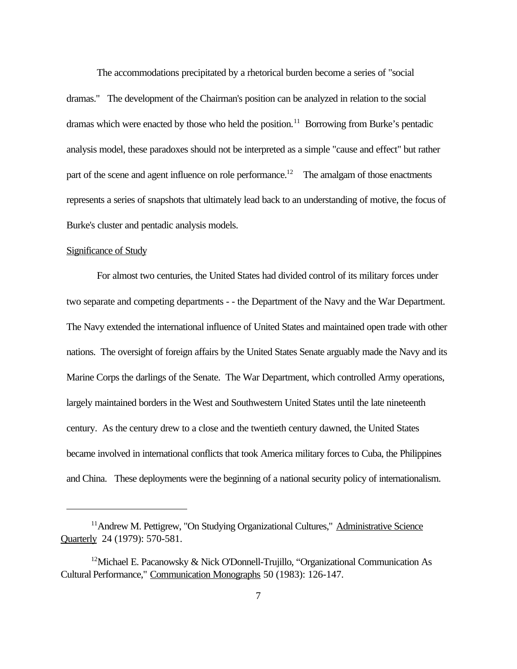<span id="page-15-0"></span>The accommodations precipitated by a rhetorical burden become a series of "social dramas." The development of the Chairman's position can be analyzed in relation to the social dramas which were enacted by those who held the position.<sup>11</sup> Borrowing from Burke's pentadic analysis model, these paradoxes should not be interpreted as a simple "cause and effect" but rather part of the scene and agent influence on role performance.<sup>12</sup> The amalgam of those enactments represents a series of snapshots that ultimately lead back to an understanding of motive, the focus of Burke's cluster and pentadic analysis models.

#### Significance of Study

For almost two centuries, the United States had divided control of its military forces under two separate and competing departments - - the Department of the Navy and the War Department. The Navy extended the international influence of United States and maintained open trade with other nations. The oversight of foreign affairs by the United States Senate arguably made the Navy and its Marine Corps the darlings of the Senate. The War Department, which controlled Army operations, largely maintained borders in the West and Southwestern United States until the late nineteenth century. As the century drew to a close and the twentieth century dawned, the United States became involved in international conflicts that took America military forces to Cuba, the Philippines and China. These deployments were the beginning of a national security policy of internationalism.

<sup>&</sup>lt;sup>11</sup>Andrew M. Pettigrew, "On Studying Organizational Cultures," Administrative Science Quarterly 24 (1979): 570-581.

<sup>&</sup>lt;sup>12</sup>Michael E. Pacanowsky & Nick O'Donnell-Trujillo, "Organizational Communication As Cultural Performance," Communication Monographs 50 (1983): 126-147.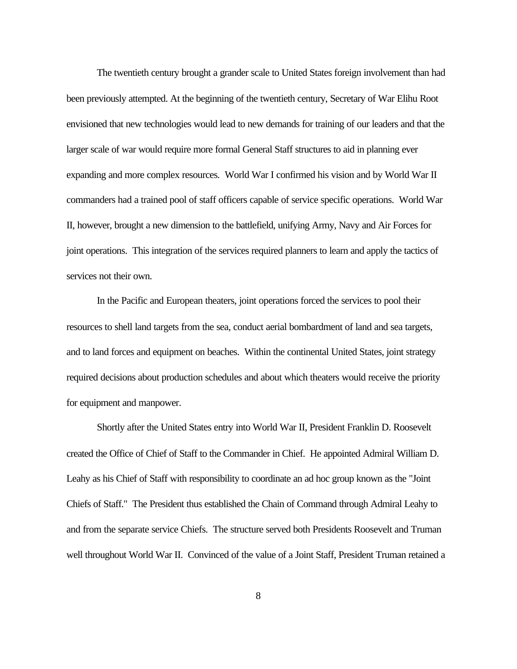The twentieth century brought a grander scale to United States foreign involvement than had been previously attempted. At the beginning of the twentieth century, Secretary of War Elihu Root envisioned that new technologies would lead to new demands for training of our leaders and that the larger scale of war would require more formal General Staff structures to aid in planning ever expanding and more complex resources. World War I confirmed his vision and by World War II commanders had a trained pool of staff officers capable of service specific operations. World War II, however, brought a new dimension to the battlefield, unifying Army, Navy and Air Forces for joint operations. This integration of the services required planners to learn and apply the tactics of services not their own.

In the Pacific and European theaters, joint operations forced the services to pool their resources to shell land targets from the sea, conduct aerial bombardment of land and sea targets, and to land forces and equipment on beaches. Within the continental United States, joint strategy required decisions about production schedules and about which theaters would receive the priority for equipment and manpower.

Shortly after the United States entry into World War II, President Franklin D. Roosevelt created the Office of Chief of Staff to the Commander in Chief. He appointed Admiral William D. Leahy as his Chief of Staff with responsibility to coordinate an ad hoc group known as the "Joint Chiefs of Staff." The President thus established the Chain of Command through Admiral Leahy to and from the separate service Chiefs. The structure served both Presidents Roosevelt and Truman well throughout World War II. Convinced of the value of a Joint Staff, President Truman retained a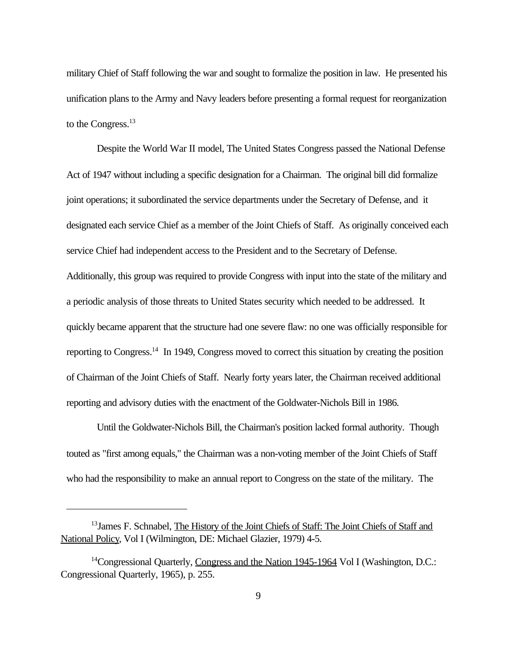military Chief of Staff following the war and sought to formalize the position in law. He presented his unification plans to the Army and Navy leaders before presenting a formal request for reorganization to the Congress.<sup>13</sup>

Despite the World War II model, The United States Congress passed the National Defense Act of 1947 without including a specific designation for a Chairman. The original bill did formalize joint operations; it subordinated the service departments under the Secretary of Defense, and it designated each service Chief as a member of the Joint Chiefs of Staff. As originally conceived each service Chief had independent access to the President and to the Secretary of Defense. Additionally, this group was required to provide Congress with input into the state of the military and a periodic analysis of those threats to United States security which needed to be addressed. It quickly became apparent that the structure had one severe flaw: no one was officially responsible for reporting to Congress.<sup>14</sup> In 1949, Congress moved to correct this situation by creating the position of Chairman of the Joint Chiefs of Staff. Nearly forty years later, the Chairman received additional reporting and advisory duties with the enactment of the Goldwater-Nichols Bill in 1986.

Until the Goldwater-Nichols Bill, the Chairman's position lacked formal authority. Though touted as "first among equals," the Chairman was a non-voting member of the Joint Chiefs of Staff who had the responsibility to make an annual report to Congress on the state of the military. The

<sup>&</sup>lt;sup>13</sup> James F. Schnabel, The History of the Joint Chiefs of Staff: The Joint Chiefs of Staff and National Policy, Vol I (Wilmington, DE: Michael Glazier, 1979) 4-5.

<sup>&</sup>lt;sup>14</sup>Congressional Quarterly, Congress and the Nation 1945-1964 Vol I (Washington, D.C.: Congressional Quarterly, 1965), p. 255.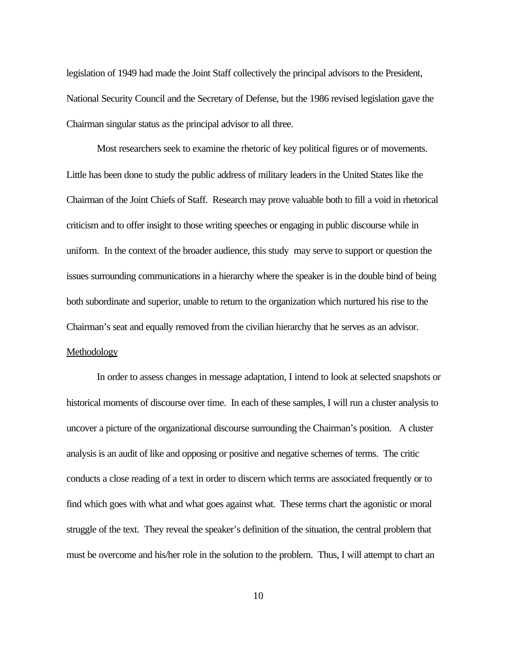<span id="page-18-0"></span>legislation of 1949 had made the Joint Staff collectively the principal advisors to the President, National Security Council and the Secretary of Defense, but the 1986 revised legislation gave the Chairman singular status as the principal advisor to all three.

Most researchers seek to examine the rhetoric of key political figures or of movements. Little has been done to study the public address of military leaders in the United States like the Chairman of the Joint Chiefs of Staff. Research may prove valuable both to fill a void in rhetorical criticism and to offer insight to those writing speeches or engaging in public discourse while in uniform. In the context of the broader audience, this study may serve to support or question the issues surrounding communications in a hierarchy where the speaker is in the double bind of being both subordinate and superior, unable to return to the organization which nurtured his rise to the Chairman's seat and equally removed from the civilian hierarchy that he serves as an advisor. Methodology

In order to assess changes in message adaptation, I intend to look at selected snapshots or historical moments of discourse over time. In each of these samples, I will run a cluster analysis to uncover a picture of the organizational discourse surrounding the Chairman's position. A cluster analysis is an audit of like and opposing or positive and negative schemes of terms. The critic conducts a close reading of a text in order to discern which terms are associated frequently or to find which goes with what and what goes against what. These terms chart the agonistic or moral struggle of the text. They reveal the speaker's definition of the situation, the central problem that must be overcome and his/her role in the solution to the problem. Thus, I will attempt to chart an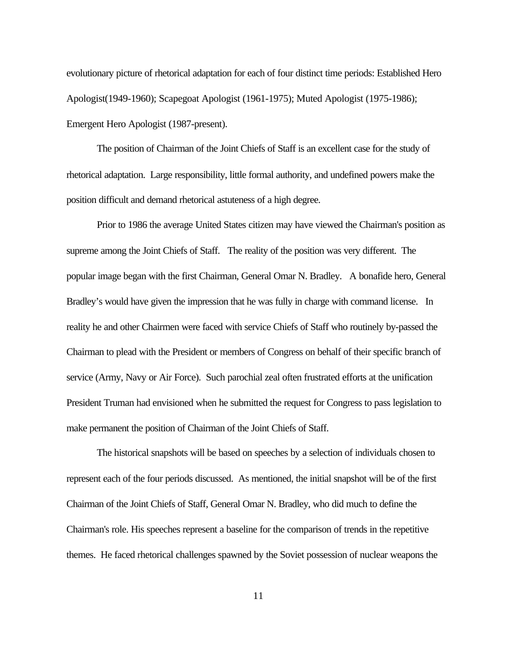evolutionary picture of rhetorical adaptation for each of four distinct time periods: Established Hero Apologist(1949-1960); Scapegoat Apologist (1961-1975); Muted Apologist (1975-1986); Emergent Hero Apologist (1987-present).

The position of Chairman of the Joint Chiefs of Staff is an excellent case for the study of rhetorical adaptation. Large responsibility, little formal authority, and undefined powers make the position difficult and demand rhetorical astuteness of a high degree.

Prior to 1986 the average United States citizen may have viewed the Chairman's position as supreme among the Joint Chiefs of Staff. The reality of the position was very different. The popular image began with the first Chairman, General Omar N. Bradley. A bonafide hero, General Bradley's would have given the impression that he was fully in charge with command license. In reality he and other Chairmen were faced with service Chiefs of Staff who routinely by-passed the Chairman to plead with the President or members of Congress on behalf of their specific branch of service (Army, Navy or Air Force). Such parochial zeal often frustrated efforts at the unification President Truman had envisioned when he submitted the request for Congress to pass legislation to make permanent the position of Chairman of the Joint Chiefs of Staff.

The historical snapshots will be based on speeches by a selection of individuals chosen to represent each of the four periods discussed. As mentioned, the initial snapshot will be of the first Chairman of the Joint Chiefs of Staff, General Omar N. Bradley, who did much to define the Chairman's role. His speeches represent a baseline for the comparison of trends in the repetitive themes. He faced rhetorical challenges spawned by the Soviet possession of nuclear weapons the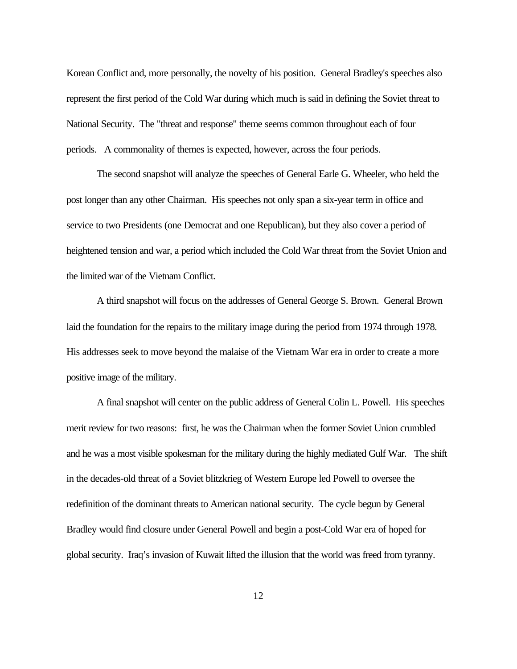Korean Conflict and, more personally, the novelty of his position. General Bradley's speeches also represent the first period of the Cold War during which much is said in defining the Soviet threat to National Security. The "threat and response" theme seems common throughout each of four periods. A commonality of themes is expected, however, across the four periods.

The second snapshot will analyze the speeches of General Earle G. Wheeler, who held the post longer than any other Chairman. His speeches not only span a six-year term in office and service to two Presidents (one Democrat and one Republican), but they also cover a period of heightened tension and war, a period which included the Cold War threat from the Soviet Union and the limited war of the Vietnam Conflict.

A third snapshot will focus on the addresses of General George S. Brown. General Brown laid the foundation for the repairs to the military image during the period from 1974 through 1978. His addresses seek to move beyond the malaise of the Vietnam War era in order to create a more positive image of the military.

A final snapshot will center on the public address of General Colin L. Powell. His speeches merit review for two reasons: first, he was the Chairman when the former Soviet Union crumbled and he was a most visible spokesman for the military during the highly mediated Gulf War. The shift in the decades-old threat of a Soviet blitzkrieg of Western Europe led Powell to oversee the redefinition of the dominant threats to American national security. The cycle begun by General Bradley would find closure under General Powell and begin a post-Cold War era of hoped for global security. Iraq's invasion of Kuwait lifted the illusion that the world was freed from tyranny.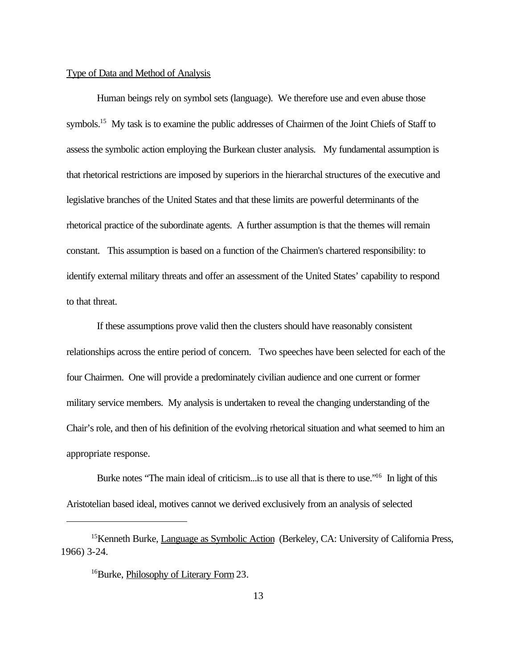#### Type of Data and Method of Analysis

Human beings rely on symbol sets (language). We therefore use and even abuse those symbols.<sup>15</sup> My task is to examine the public addresses of Chairmen of the Joint Chiefs of Staff to assess the symbolic action employing the Burkean cluster analysis. My fundamental assumption is that rhetorical restrictions are imposed by superiors in the hierarchal structures of the executive and legislative branches of the United States and that these limits are powerful determinants of the rhetorical practice of the subordinate agents. A further assumption is that the themes will remain constant. This assumption is based on a function of the Chairmen's chartered responsibility: to identify external military threats and offer an assessment of the United States' capability to respond to that threat.

If these assumptions prove valid then the clusters should have reasonably consistent relationships across the entire period of concern. Two speeches have been selected for each of the four Chairmen. One will provide a predominately civilian audience and one current or former military service members. My analysis is undertaken to reveal the changing understanding of the Chair's role, and then of his definition of the evolving rhetorical situation and what seemed to him an appropriate response.

Burke notes "The main ideal of criticism... is to use all that is there to use."<sup>16</sup> In light of this Aristotelian based ideal, motives cannot we derived exclusively from an analysis of selected

<sup>&</sup>lt;sup>15</sup>Kenneth Burke, *Language as Symbolic Action* (Berkeley, CA: University of California Press, 1966) 3-24.

<sup>16</sup>Burke, Philosophy of Literary Form 23.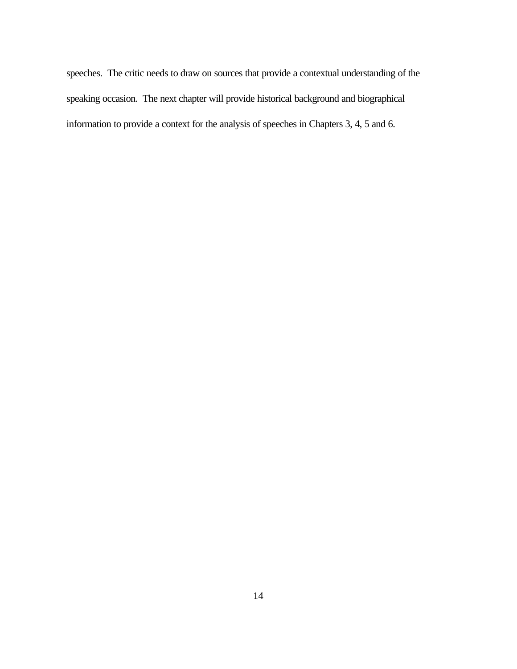speeches. The critic needs to draw on sources that provide a contextual understanding of the speaking occasion. The next chapter will provide historical background and biographical information to provide a context for the analysis of speeches in Chapters 3, 4, 5 and 6.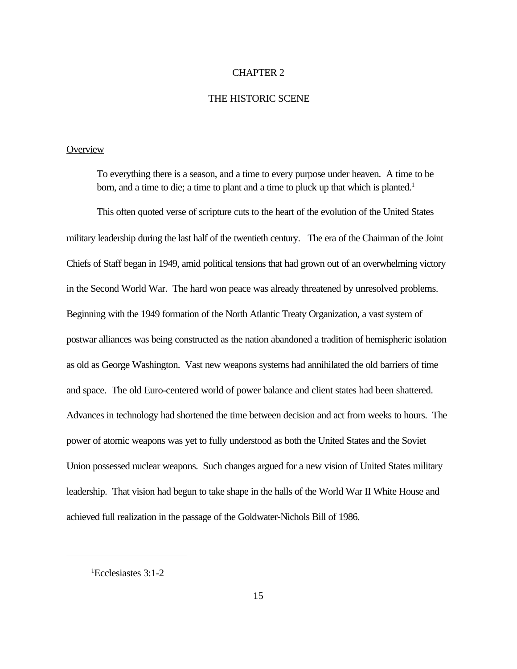#### CHAPTER 2

#### THE HISTORIC SCENE

### **Overview**

To everything there is a season, and a time to every purpose under heaven. A time to be born, and a time to die; a time to plant and a time to pluck up that which is planted.<sup>1</sup>

This often quoted verse of scripture cuts to the heart of the evolution of the United States military leadership during the last half of the twentieth century. The era of the Chairman of the Joint Chiefs of Staff began in 1949, amid political tensions that had grown out of an overwhelming victory in the Second World War. The hard won peace was already threatened by unresolved problems. Beginning with the 1949 formation of the North Atlantic Treaty Organization, a vast system of postwar alliances was being constructed as the nation abandoned a tradition of hemispheric isolation as old as George Washington. Vast new weapons systems had annihilated the old barriers of time and space. The old Euro-centered world of power balance and client states had been shattered. Advances in technology had shortened the time between decision and act from weeks to hours. The power of atomic weapons was yet to fully understood as both the United States and the Soviet Union possessed nuclear weapons. Such changes argued for a new vision of United States military leadership. That vision had begun to take shape in the halls of the World War II White House and achieved full realization in the passage of the Goldwater-Nichols Bill of 1986.

<sup>1</sup>Ecclesiastes 3:1-2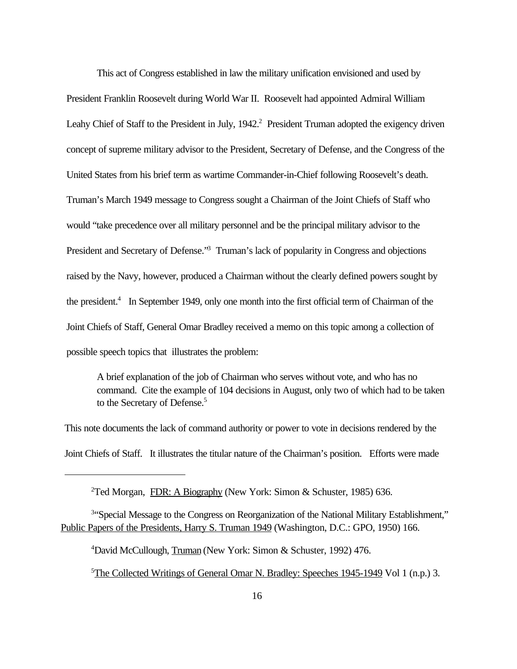This act of Congress established in law the military unification envisioned and used by President Franklin Roosevelt during World War II. Roosevelt had appointed Admiral William Leahy Chief of Staff to the President in July, 1942.<sup>2</sup> President Truman adopted the exigency driven concept of supreme military advisor to the President, Secretary of Defense, and the Congress of the United States from his brief term as wartime Commander-in-Chief following Roosevelt's death. Truman's March 1949 message to Congress sought a Chairman of the Joint Chiefs of Staff who would "take precedence over all military personnel and be the principal military advisor to the President and Secretary of Defense."<sup>3</sup> Truman's lack of popularity in Congress and objections raised by the Navy, however, produced a Chairman without the clearly defined powers sought by the president.<sup>4</sup> In September 1949, only one month into the first official term of Chairman of the Joint Chiefs of Staff, General Omar Bradley received a memo on this topic among a collection of possible speech topics that illustrates the problem:

A brief explanation of the job of Chairman who serves without vote, and who has no command. Cite the example of 104 decisions in August, only two of which had to be taken to the Secretary of Defense.<sup>5</sup>

This note documents the lack of command authority or power to vote in decisions rendered by the Joint Chiefs of Staff. It illustrates the titular nature of the Chairman's position. Efforts were made

<sup>3</sup>"Special Message to the Congress on Reorganization of the National Military Establishment," Public Papers of the Presidents, Harry S. Truman 1949 (Washington, D.C.: GPO, 1950) 166.

<sup>4</sup>David McCullough, Truman (New York: Simon & Schuster, 1992) 476.

<sup>5</sup>The Collected Writings of General Omar N. Bradley: Speeches 1945-1949 Vol 1 (n.p.) 3.

<sup>&</sup>lt;sup>2</sup>Ted Morgan, FDR: A Biography (New York: Simon & Schuster, 1985) 636.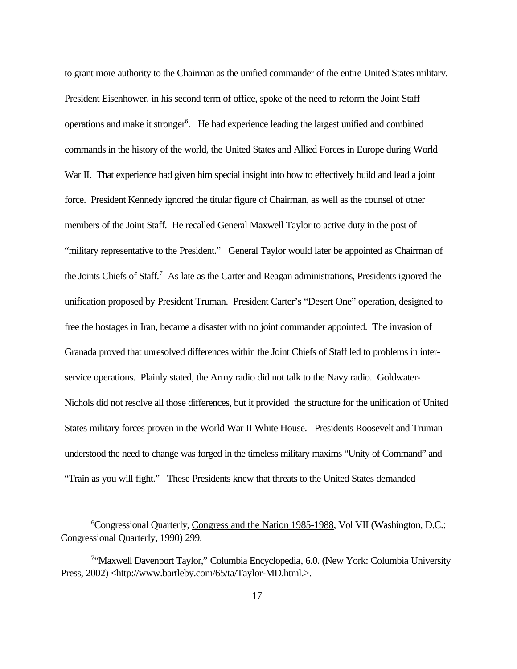to grant more authority to the Chairman as the unified commander of the entire United States military. President Eisenhower, in his second term of office, spoke of the need to reform the Joint Staff operations and make it stronger<sup>6</sup>. He had experience leading the largest unified and combined commands in the history of the world, the United States and Allied Forces in Europe during World War II. That experience had given him special insight into how to effectively build and lead a joint force. President Kennedy ignored the titular figure of Chairman, as well as the counsel of other members of the Joint Staff. He recalled General Maxwell Taylor to active duty in the post of "military representative to the President." General Taylor would later be appointed as Chairman of the Joints Chiefs of Staff.<sup>7</sup> As late as the Carter and Reagan administrations, Presidents ignored the unification proposed by President Truman. President Carter's "Desert One" operation, designed to free the hostages in Iran, became a disaster with no joint commander appointed. The invasion of Granada proved that unresolved differences within the Joint Chiefs of Staff led to problems in interservice operations. Plainly stated, the Army radio did not talk to the Navy radio. Goldwater-Nichols did not resolve all those differences, but it provided the structure for the unification of United States military forces proven in the World War II White House. Presidents Roosevelt and Truman understood the need to change was forged in the timeless military maxims "Unity of Command" and "Train as you will fight." These Presidents knew that threats to the United States demanded

<sup>&</sup>lt;sup>6</sup>Congressional Quarterly, Congress and the Nation 1985-1988, Vol VII (Washington, D.C.: Congressional Quarterly, 1990) 299.

<sup>&</sup>lt;sup>7</sup>"Maxwell Davenport Taylor," Columbia Encyclopedia, 6.0. (New York: Columbia University Press, 2002) <http://www.bartleby.com/65/ta/Taylor-MD.html.>.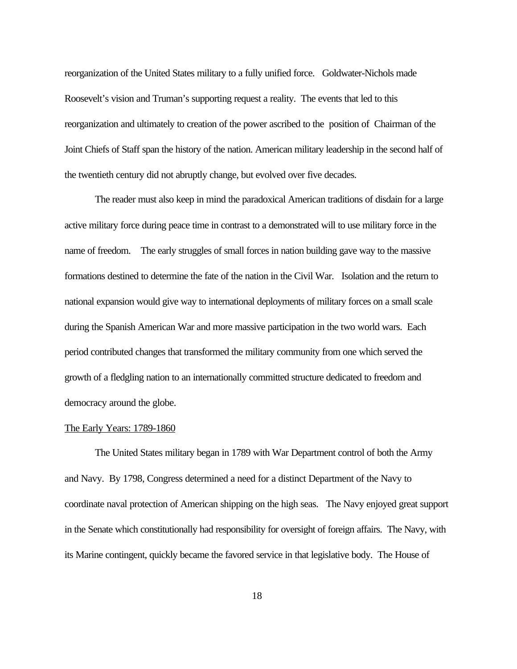reorganization of the United States military to a fully unified force. Goldwater-Nichols made Roosevelt's vision and Truman's supporting request a reality. The events that led to this reorganization and ultimately to creation of the power ascribed to the position of Chairman of the Joint Chiefs of Staff span the history of the nation. American military leadership in the second half of the twentieth century did not abruptly change, but evolved over five decades.

The reader must also keep in mind the paradoxical American traditions of disdain for a large active military force during peace time in contrast to a demonstrated will to use military force in the name of freedom. The early struggles of small forces in nation building gave way to the massive formations destined to determine the fate of the nation in the Civil War. Isolation and the return to national expansion would give way to international deployments of military forces on a small scale during the Spanish American War and more massive participation in the two world wars. Each period contributed changes that transformed the military community from one which served the growth of a fledgling nation to an internationally committed structure dedicated to freedom and democracy around the globe.

#### The Early Years: 1789-1860

The United States military began in 1789 with War Department control of both the Army and Navy. By 1798, Congress determined a need for a distinct Department of the Navy to coordinate naval protection of American shipping on the high seas. The Navy enjoyed great support in the Senate which constitutionally had responsibility for oversight of foreign affairs. The Navy, with its Marine contingent, quickly became the favored service in that legislative body. The House of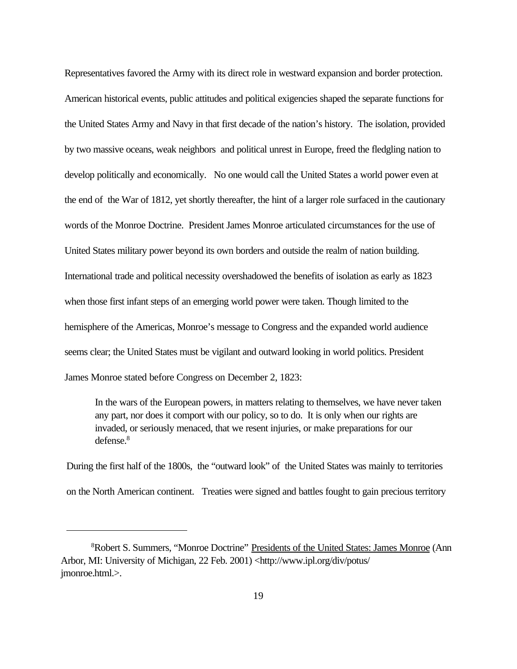Representatives favored the Army with its direct role in westward expansion and border protection. American historical events, public attitudes and political exigencies shaped the separate functions for the United States Army and Navy in that first decade of the nation's history. The isolation, provided by two massive oceans, weak neighbors and political unrest in Europe, freed the fledgling nation to develop politically and economically. No one would call the United States a world power even at the end of the War of 1812, yet shortly thereafter, the hint of a larger role surfaced in the cautionary words of the Monroe Doctrine. President James Monroe articulated circumstances for the use of United States military power beyond its own borders and outside the realm of nation building. International trade and political necessity overshadowed the benefits of isolation as early as 1823 when those first infant steps of an emerging world power were taken. Though limited to the hemisphere of the Americas, Monroe's message to Congress and the expanded world audience seems clear; the United States must be vigilant and outward looking in world politics. President James Monroe stated before Congress on December 2, 1823:

In the wars of the European powers, in matters relating to themselves, we have never taken any part, nor does it comport with our policy, so to do. It is only when our rights are invaded, or seriously menaced, that we resent injuries, or make preparations for our defense.<sup>8</sup>

During the first half of the 1800s, the "outward look" of the United States was mainly to territories on the North American continent. Treaties were signed and battles fought to gain precious territory

<sup>&</sup>lt;sup>8</sup>Robert S. Summers, "Monroe Doctrine" Presidents of the United States: James Monroe (Ann Arbor, MI: University of Michigan, 22 Feb. 2001) <http://www.ipl.org/div/potus/ jmonroe.html.>.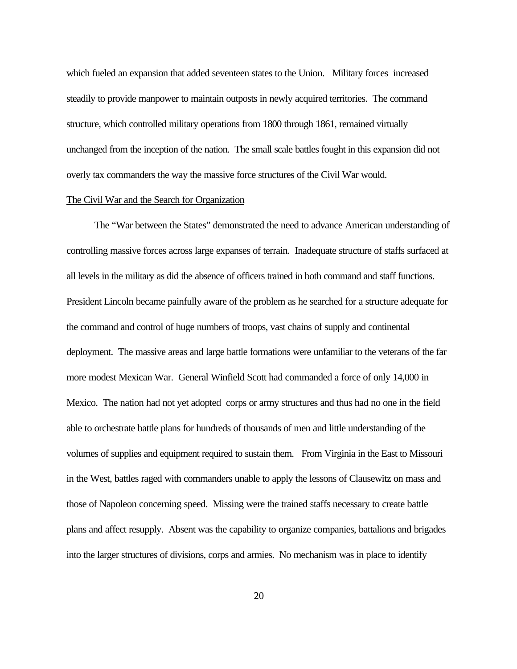which fueled an expansion that added seventeen states to the Union. Military forces increased steadily to provide manpower to maintain outposts in newly acquired territories. The command structure, which controlled military operations from 1800 through 1861, remained virtually unchanged from the inception of the nation. The small scale battles fought in this expansion did not overly tax commanders the way the massive force structures of the Civil War would.

#### The Civil War and the Search for Organization

 The "War between the States" demonstrated the need to advance American understanding of controlling massive forces across large expanses of terrain. Inadequate structure of staffs surfaced at all levels in the military as did the absence of officers trained in both command and staff functions. President Lincoln became painfully aware of the problem as he searched for a structure adequate for the command and control of huge numbers of troops, vast chains of supply and continental deployment. The massive areas and large battle formations were unfamiliar to the veterans of the far more modest Mexican War. General Winfield Scott had commanded a force of only 14,000 in Mexico. The nation had not yet adopted corps or army structures and thus had no one in the field able to orchestrate battle plans for hundreds of thousands of men and little understanding of the volumes of supplies and equipment required to sustain them. From Virginia in the East to Missouri in the West, battles raged with commanders unable to apply the lessons of Clausewitz on mass and those of Napoleon concerning speed. Missing were the trained staffs necessary to create battle plans and affect resupply. Absent was the capability to organize companies, battalions and brigades into the larger structures of divisions, corps and armies. No mechanism was in place to identify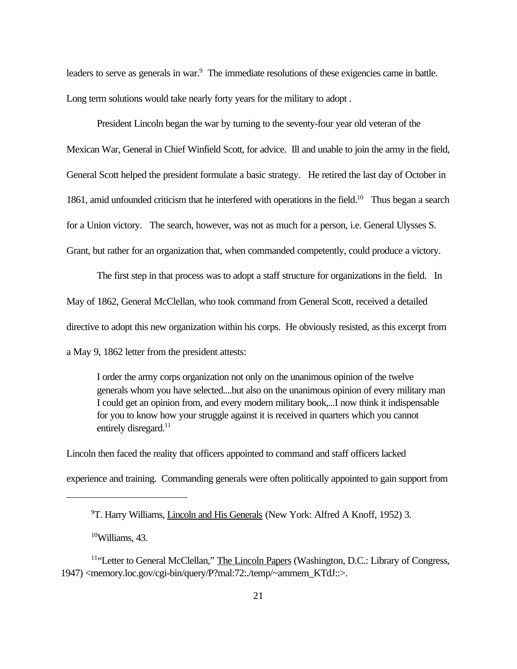leaders to serve as generals in war.<sup>9</sup> The immediate resolutions of these exigencies came in battle. Long term solutions would take nearly forty years for the military to adopt .

President Lincoln began the war by turning to the seventy-four year old veteran of the Mexican War, General in Chief Winfield Scott, for advice. Ill and unable to join the army in the field, General Scott helped the president formulate a basic strategy. He retired the last day of October in 1861, amid unfounded criticism that he interfered with operations in the field.<sup>10</sup> Thus began a search for a Union victory. The search, however, was not as much for a person, i.e. General Ulysses S. Grant, but rather for an organization that, when commanded competently, could produce a victory.

The first step in that process was to adopt a staff structure for organizations in the field. In May of 1862, General McClellan, who took command from General Scott, received a detailed directive to adopt this new organization within his corps. He obviously resisted, as this excerpt from a May 9, 1862 letter from the president attests:

I order the army corps organization not only on the unanimous opinion of the twelve generals whom you have selected....but also on the unanimous opinion of every military man I could get an opinion from, and every modern military book,...I now think it indispensable for you to know how your struggle against it is received in quarters which you cannot entirely disregard.<sup>11</sup>

Lincoln then faced the reality that officers appointed to command and staff officers lacked experience and training. Commanding generals were often politically appointed to gain support from

 $10$ Williams, 43.

<sup>9</sup>T. Harry Williams, Lincoln and His Generals (New York: Alfred A Knoff, 1952) 3.

<sup>&</sup>lt;sup>11"</sup>Letter to General McClellan," The Lincoln Papers (Washington, D.C.: Library of Congress, 1947) <memory.loc.gov/cgi-bin/query/P?mal:72:./temp/~ammem\_KTdJ::>.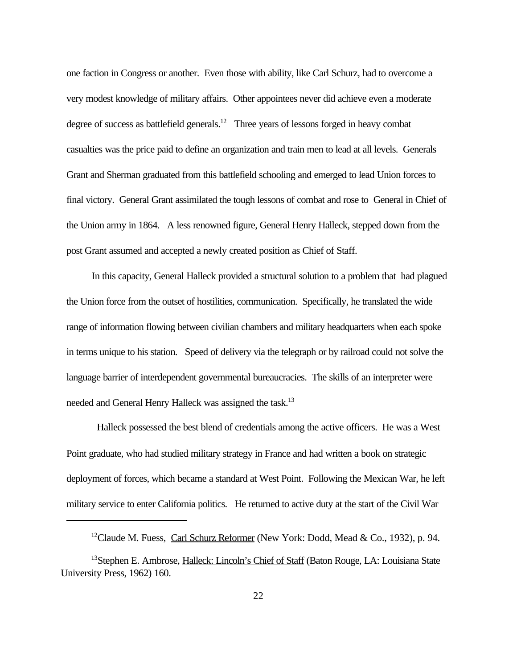one faction in Congress or another. Even those with ability, like Carl Schurz, had to overcome a very modest knowledge of military affairs. Other appointees never did achieve even a moderate degree of success as battlefield generals.<sup>12</sup> Three years of lessons forged in heavy combat casualties was the price paid to define an organization and train men to lead at all levels. Generals Grant and Sherman graduated from this battlefield schooling and emerged to lead Union forces to final victory. General Grant assimilated the tough lessons of combat and rose to General in Chief of the Union army in 1864. A less renowned figure, General Henry Halleck, stepped down from the post Grant assumed and accepted a newly created position as Chief of Staff.

 In this capacity, General Halleck provided a structural solution to a problem that had plagued the Union force from the outset of hostilities, communication. Specifically, he translated the wide range of information flowing between civilian chambers and military headquarters when each spoke in terms unique to his station. Speed of delivery via the telegraph or by railroad could not solve the language barrier of interdependent governmental bureaucracies. The skills of an interpreter were needed and General Henry Halleck was assigned the task.<sup>13</sup>

Halleck possessed the best blend of credentials among the active officers. He was a West Point graduate, who had studied military strategy in France and had written a book on strategic deployment of forces, which became a standard at West Point. Following the Mexican War, he left military service to enter California politics. He returned to active duty at the start of the Civil War

<sup>&</sup>lt;sup>12</sup>Claude M. Fuess, *Carl Schurz Reformer* (New York: Dodd, Mead & Co., 1932), p. 94.

<sup>&</sup>lt;sup>13</sup>Stephen E. Ambrose, Halleck: Lincoln's Chief of Staff (Baton Rouge, LA: Louisiana State University Press, 1962) 160.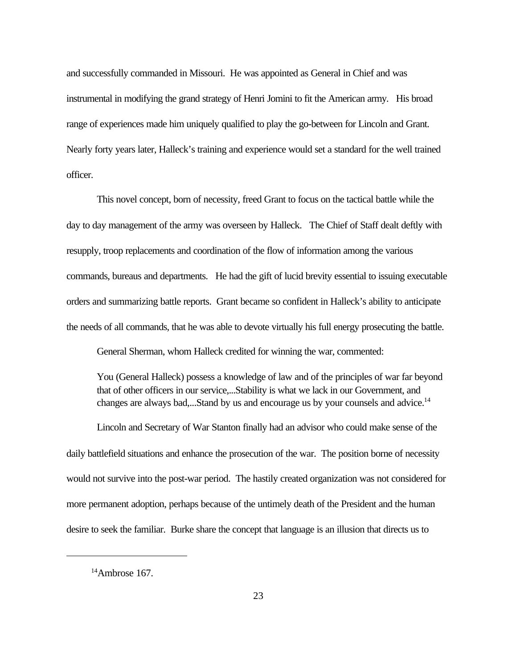and successfully commanded in Missouri. He was appointed as General in Chief and was instrumental in modifying the grand strategy of Henri Jomini to fit the American army. His broad range of experiences made him uniquely qualified to play the go-between for Lincoln and Grant. Nearly forty years later, Halleck's training and experience would set a standard for the well trained officer.

This novel concept, born of necessity, freed Grant to focus on the tactical battle while the day to day management of the army was overseen by Halleck. The Chief of Staff dealt deftly with resupply, troop replacements and coordination of the flow of information among the various commands, bureaus and departments. He had the gift of lucid brevity essential to issuing executable orders and summarizing battle reports. Grant became so confident in Halleck's ability to anticipate the needs of all commands, that he was able to devote virtually his full energy prosecuting the battle.

General Sherman, whom Halleck credited for winning the war, commented:

You (General Halleck) possess a knowledge of law and of the principles of war far beyond that of other officers in our service,...Stability is what we lack in our Government, and changes are always bad,...Stand by us and encourage us by your counsels and advice.<sup>14</sup>

Lincoln and Secretary of War Stanton finally had an advisor who could make sense of the daily battlefield situations and enhance the prosecution of the war. The position borne of necessity would not survive into the post-war period. The hastily created organization was not considered for more permanent adoption, perhaps because of the untimely death of the President and the human desire to seek the familiar. Burke share the concept that language is an illusion that directs us to

 $14$ Ambrose 167.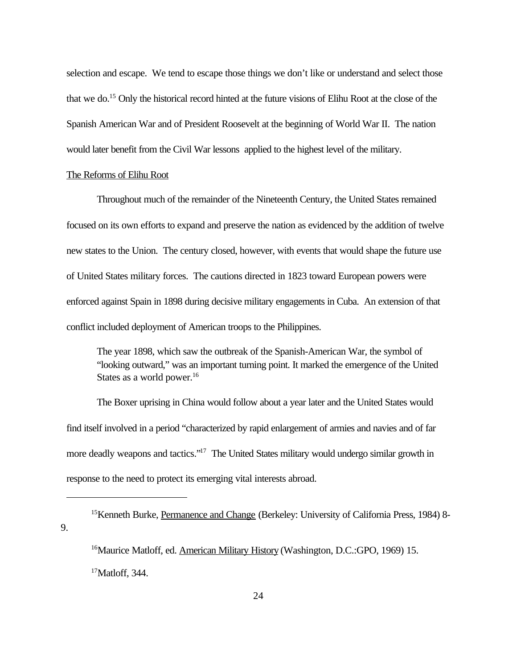selection and escape. We tend to escape those things we don't like or understand and select those that we do.<sup>15</sup> Only the historical record hinted at the future visions of Elihu Root at the close of the Spanish American War and of President Roosevelt at the beginning of World War II. The nation would later benefit from the Civil War lessons applied to the highest level of the military.

#### The Reforms of Elihu Root

Throughout much of the remainder of the Nineteenth Century, the United States remained focused on its own efforts to expand and preserve the nation as evidenced by the addition of twelve new states to the Union. The century closed, however, with events that would shape the future use of United States military forces. The cautions directed in 1823 toward European powers were enforced against Spain in 1898 during decisive military engagements in Cuba. An extension of that conflict included deployment of American troops to the Philippines.

The year 1898, which saw the outbreak of the Spanish-American War, the symbol of "looking outward," was an important turning point. It marked the emergence of the United States as a world power.<sup>16</sup>

The Boxer uprising in China would follow about a year later and the United States would find itself involved in a period "characterized by rapid enlargement of armies and navies and of far more deadly weapons and tactics."<sup>17</sup> The United States military would undergo similar growth in response to the need to protect its emerging vital interests abroad.

<sup>&</sup>lt;sup>15</sup>Kenneth Burke, Permanence and Change (Berkeley: University of California Press, 1984) 8-9.

<sup>&</sup>lt;sup>16</sup>Maurice Matloff, ed. American Military History (Washington, D.C.:GPO, 1969) 15.  $17$ Matloff, 344.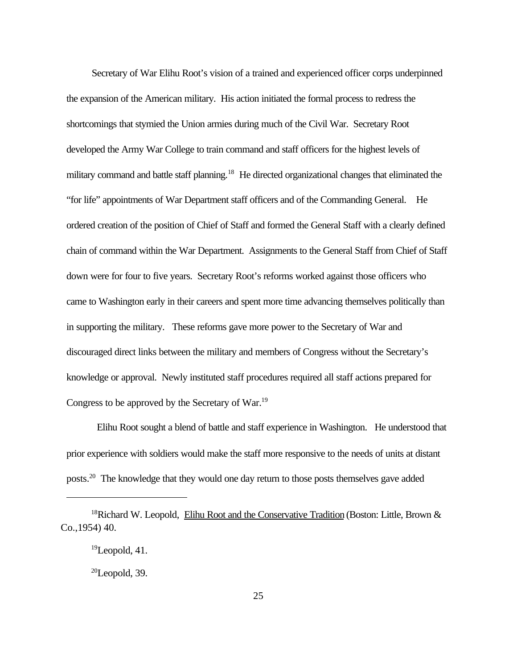Secretary of War Elihu Root's vision of a trained and experienced officer corps underpinned the expansion of the American military. His action initiated the formal process to redress the shortcomings that stymied the Union armies during much of the Civil War. Secretary Root developed the Army War College to train command and staff officers for the highest levels of military command and battle staff planning.<sup>18</sup> He directed organizational changes that eliminated the "for life" appointments of War Department staff officers and of the Commanding General. He ordered creation of the position of Chief of Staff and formed the General Staff with a clearly defined chain of command within the War Department. Assignments to the General Staff from Chief of Staff down were for four to five years. Secretary Root's reforms worked against those officers who came to Washington early in their careers and spent more time advancing themselves politically than in supporting the military. These reforms gave more power to the Secretary of War and discouraged direct links between the military and members of Congress without the Secretary's knowledge or approval. Newly instituted staff procedures required all staff actions prepared for Congress to be approved by the Secretary of War.<sup>19</sup>

Elihu Root sought a blend of battle and staff experience in Washington. He understood that prior experience with soldiers would make the staff more responsive to the needs of units at distant posts.20 The knowledge that they would one day return to those posts themselves gave added

<sup>&</sup>lt;sup>18</sup>Richard W. Leopold, Elihu Root and the Conservative Tradition (Boston: Little, Brown & Co.,1954) 40.

 $19$ Leopold, 41.

 $20$ Leopold, 39.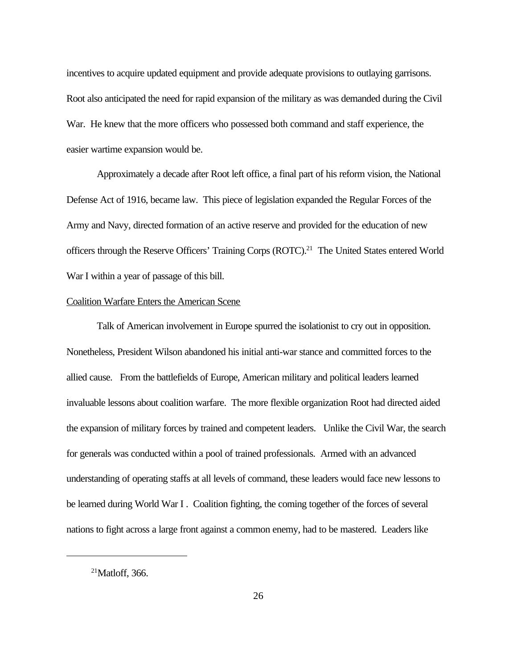incentives to acquire updated equipment and provide adequate provisions to outlaying garrisons. Root also anticipated the need for rapid expansion of the military as was demanded during the Civil War. He knew that the more officers who possessed both command and staff experience, the easier wartime expansion would be.

Approximately a decade after Root left office, a final part of his reform vision, the National Defense Act of 1916, became law. This piece of legislation expanded the Regular Forces of the Army and Navy, directed formation of an active reserve and provided for the education of new officers through the Reserve Officers' Training Corps (ROTC).<sup>21</sup> The United States entered World War I within a year of passage of this bill.

## Coalition Warfare Enters the American Scene

Talk of American involvement in Europe spurred the isolationist to cry out in opposition. Nonetheless, President Wilson abandoned his initial anti-war stance and committed forces to the allied cause. From the battlefields of Europe, American military and political leaders learned invaluable lessons about coalition warfare. The more flexible organization Root had directed aided the expansion of military forces by trained and competent leaders. Unlike the Civil War, the search for generals was conducted within a pool of trained professionals. Armed with an advanced understanding of operating staffs at all levels of command, these leaders would face new lessons to be learned during World War I . Coalition fighting, the coming together of the forces of several nations to fight across a large front against a common enemy, had to be mastered. Leaders like

 $21$ Matloff, 366.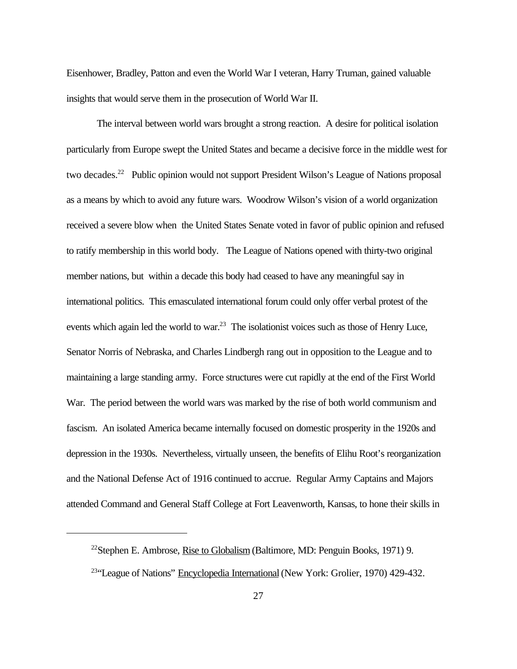Eisenhower, Bradley, Patton and even the World War I veteran, Harry Truman, gained valuable insights that would serve them in the prosecution of World War II.

The interval between world wars brought a strong reaction. A desire for political isolation particularly from Europe swept the United States and became a decisive force in the middle west for two decades.<sup>22</sup> Public opinion would not support President Wilson's League of Nations proposal as a means by which to avoid any future wars. Woodrow Wilson's vision of a world organization received a severe blow when the United States Senate voted in favor of public opinion and refused to ratify membership in this world body. The League of Nations opened with thirty-two original member nations, but within a decade this body had ceased to have any meaningful say in international politics. This emasculated international forum could only offer verbal protest of the events which again led the world to war.<sup>23</sup> The isolationist voices such as those of Henry Luce, Senator Norris of Nebraska, and Charles Lindbergh rang out in opposition to the League and to maintaining a large standing army. Force structures were cut rapidly at the end of the First World War. The period between the world wars was marked by the rise of both world communism and fascism. An isolated America became internally focused on domestic prosperity in the 1920s and depression in the 1930s. Nevertheless, virtually unseen, the benefits of Elihu Root's reorganization and the National Defense Act of 1916 continued to accrue. Regular Army Captains and Majors attended Command and General Staff College at Fort Leavenworth, Kansas, to hone their skills in

<sup>&</sup>lt;sup>22</sup>Stephen E. Ambrose, Rise to Globalism (Baltimore, MD: Penguin Books, 1971) 9.

<sup>&</sup>lt;sup>23</sup>"League of Nations" Encyclopedia International (New York: Grolier, 1970) 429-432.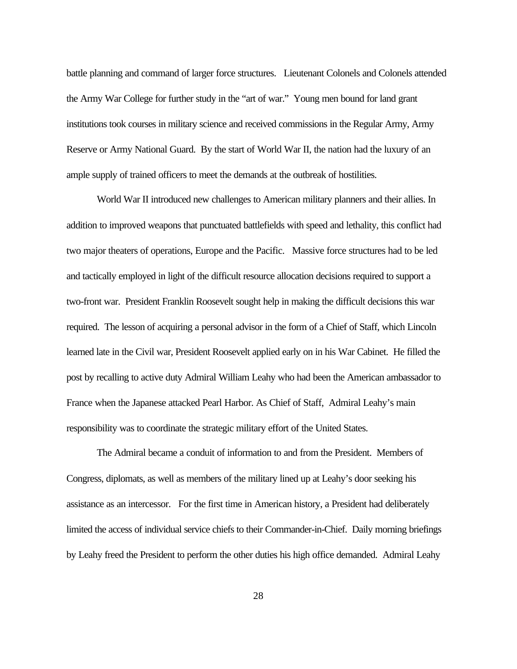battle planning and command of larger force structures. Lieutenant Colonels and Colonels attended the Army War College for further study in the "art of war." Young men bound for land grant institutions took courses in military science and received commissions in the Regular Army, Army Reserve or Army National Guard. By the start of World War II, the nation had the luxury of an ample supply of trained officers to meet the demands at the outbreak of hostilities.

World War II introduced new challenges to American military planners and their allies. In addition to improved weapons that punctuated battlefields with speed and lethality, this conflict had two major theaters of operations, Europe and the Pacific. Massive force structures had to be led and tactically employed in light of the difficult resource allocation decisions required to support a two-front war. President Franklin Roosevelt sought help in making the difficult decisions this war required. The lesson of acquiring a personal advisor in the form of a Chief of Staff, which Lincoln learned late in the Civil war, President Roosevelt applied early on in his War Cabinet. He filled the post by recalling to active duty Admiral William Leahy who had been the American ambassador to France when the Japanese attacked Pearl Harbor. As Chief of Staff, Admiral Leahy's main responsibility was to coordinate the strategic military effort of the United States.

The Admiral became a conduit of information to and from the President. Members of Congress, diplomats, as well as members of the military lined up at Leahy's door seeking his assistance as an intercessor. For the first time in American history, a President had deliberately limited the access of individual service chiefs to their Commander-in-Chief. Daily morning briefings by Leahy freed the President to perform the other duties his high office demanded. Admiral Leahy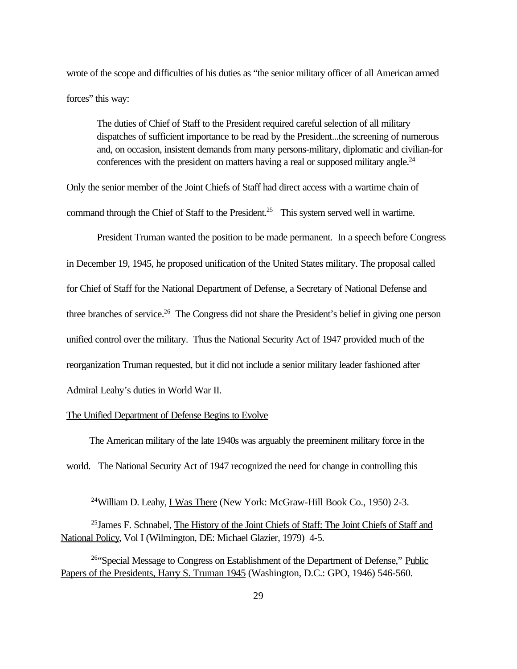wrote of the scope and difficulties of his duties as "the senior military officer of all American armed forces" this way:

The duties of Chief of Staff to the President required careful selection of all military dispatches of sufficient importance to be read by the President...the screening of numerous and, on occasion, insistent demands from many persons-military, diplomatic and civilian-for conferences with the president on matters having a real or supposed military angle. $^{24}$ 

Only the senior member of the Joint Chiefs of Staff had direct access with a wartime chain of command through the Chief of Staff to the President.<sup>25</sup> This system served well in wartime.

President Truman wanted the position to be made permanent. In a speech before Congress in December 19, 1945, he proposed unification of the United States military. The proposal called for Chief of Staff for the National Department of Defense, a Secretary of National Defense and three branches of service.<sup>26</sup> The Congress did not share the President's belief in giving one person unified control over the military. Thus the National Security Act of 1947 provided much of the reorganization Truman requested, but it did not include a senior military leader fashioned after Admiral Leahy's duties in World War II.

## The Unified Department of Defense Begins to Evolve

 The American military of the late 1940s was arguably the preeminent military force in the world. The National Security Act of 1947 recognized the need for change in controlling this

<sup>&</sup>lt;sup>24</sup>William D. Leahy, I Was There (New York: McGraw-Hill Book Co., 1950) 2-3.

<sup>&</sup>lt;sup>25</sup> James F. Schnabel, The History of the Joint Chiefs of Staff: The Joint Chiefs of Staff and National Policy, Vol I (Wilmington, DE: Michael Glazier, 1979) 4-5.

<sup>&</sup>lt;sup>26"</sup>Special Message to Congress on Establishment of the Department of Defense," Public Papers of the Presidents, Harry S. Truman 1945 (Washington, D.C.: GPO, 1946) 546-560.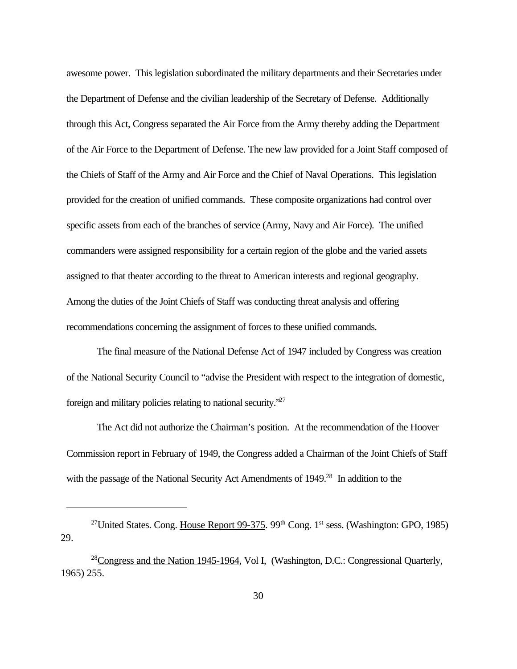awesome power. This legislation subordinated the military departments and their Secretaries under the Department of Defense and the civilian leadership of the Secretary of Defense. Additionally through this Act, Congress separated the Air Force from the Army thereby adding the Department of the Air Force to the Department of Defense. The new law provided for a Joint Staff composed of the Chiefs of Staff of the Army and Air Force and the Chief of Naval Operations. This legislation provided for the creation of unified commands. These composite organizations had control over specific assets from each of the branches of service (Army, Navy and Air Force). The unified commanders were assigned responsibility for a certain region of the globe and the varied assets assigned to that theater according to the threat to American interests and regional geography. Among the duties of the Joint Chiefs of Staff was conducting threat analysis and offering recommendations concerning the assignment of forces to these unified commands.

The final measure of the National Defense Act of 1947 included by Congress was creation of the National Security Council to "advise the President with respect to the integration of domestic, foreign and military policies relating to national security."<sup>27</sup>

The Act did not authorize the Chairman's position. At the recommendation of the Hoover Commission report in February of 1949, the Congress added a Chairman of the Joint Chiefs of Staff with the passage of the National Security Act Amendments of 1949.<sup>28</sup> In addition to the

<sup>&</sup>lt;sup>27</sup>United States. Cong. House Report 99-375. 99<sup>th</sup> Cong. 1<sup>st</sup> sess. (Washington: GPO, 1985) 29.

<sup>&</sup>lt;sup>28</sup>Congress and the Nation 1945-1964, Vol I, (Washington, D.C.: Congressional Quarterly, 1965) 255.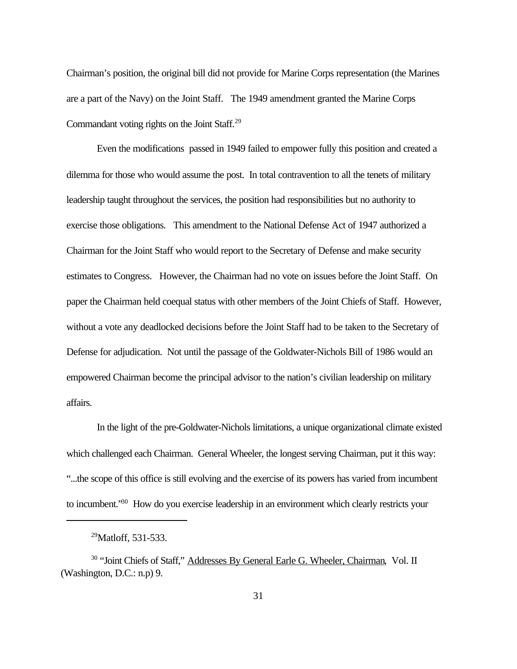Chairman's position, the original bill did not provide for Marine Corps representation (the Marines are a part of the Navy) on the Joint Staff. The 1949 amendment granted the Marine Corps Commandant voting rights on the Joint Staff.<sup>29</sup>

Even the modifications passed in 1949 failed to empower fully this position and created a dilemma for those who would assume the post. In total contravention to all the tenets of military leadership taught throughout the services, the position had responsibilities but no authority to exercise those obligations. This amendment to the National Defense Act of 1947 authorized a Chairman for the Joint Staff who would report to the Secretary of Defense and make security estimates to Congress. However, the Chairman had no vote on issues before the Joint Staff. On paper the Chairman held coequal status with other members of the Joint Chiefs of Staff. However, without a vote any deadlocked decisions before the Joint Staff had to be taken to the Secretary of Defense for adjudication. Not until the passage of the Goldwater-Nichols Bill of 1986 would an empowered Chairman become the principal advisor to the nation's civilian leadership on military affairs.

In the light of the pre-Goldwater-Nichols limitations, a unique organizational climate existed which challenged each Chairman. General Wheeler, the longest serving Chairman, put it this way: "...the scope of this office is still evolving and the exercise of its powers has varied from incumbent to incumbent."<sup>30</sup> How do you exercise leadership in an environment which clearly restricts your

<sup>&</sup>lt;sup>29</sup>Matloff, 531-533.

<sup>&</sup>lt;sup>30</sup> "Joint Chiefs of Staff," Addresses By General Earle G. Wheeler, Chairman, Vol. II (Washington, D.C.: n.p) 9.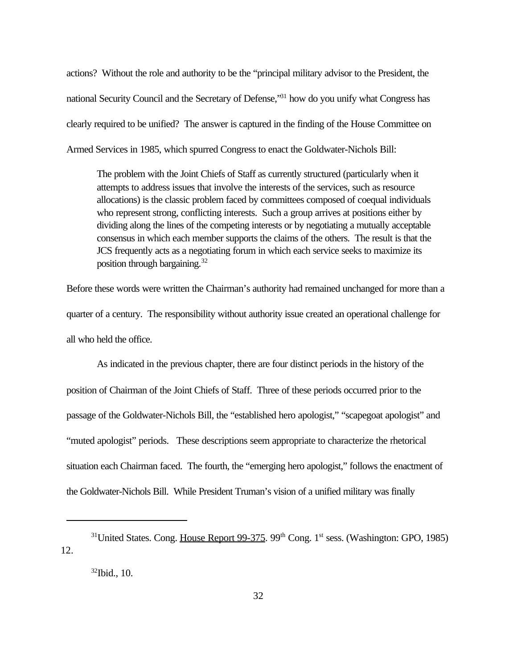actions? Without the role and authority to be the "principal military advisor to the President, the national Security Council and the Secretary of Defense,"<sup>31</sup> how do you unify what Congress has clearly required to be unified? The answer is captured in the finding of the House Committee on Armed Services in 1985, which spurred Congress to enact the Goldwater-Nichols Bill:

The problem with the Joint Chiefs of Staff as currently structured (particularly when it attempts to address issues that involve the interests of the services, such as resource allocations) is the classic problem faced by committees composed of coequal individuals who represent strong, conflicting interests. Such a group arrives at positions either by dividing along the lines of the competing interests or by negotiating a mutually acceptable consensus in which each member supports the claims of the others. The result is that the JCS frequently acts as a negotiating forum in which each service seeks to maximize its position through bargaining.<sup>32</sup>

Before these words were written the Chairman's authority had remained unchanged for more than a quarter of a century. The responsibility without authority issue created an operational challenge for all who held the office.

As indicated in the previous chapter, there are four distinct periods in the history of the position of Chairman of the Joint Chiefs of Staff. Three of these periods occurred prior to the passage of the Goldwater-Nichols Bill, the "established hero apologist," "scapegoat apologist" and "muted apologist" periods. These descriptions seem appropriate to characterize the rhetorical situation each Chairman faced. The fourth, the "emerging hero apologist," follows the enactment of the Goldwater-Nichols Bill. While President Truman's vision of a unified military was finally

<sup>&</sup>lt;sup>31</sup>United States. Cong. House Report 99-375. 99<sup>th</sup> Cong. 1<sup>st</sup> sess. (Washington: GPO, 1985) 12.

<sup>32</sup>Ibid., 10.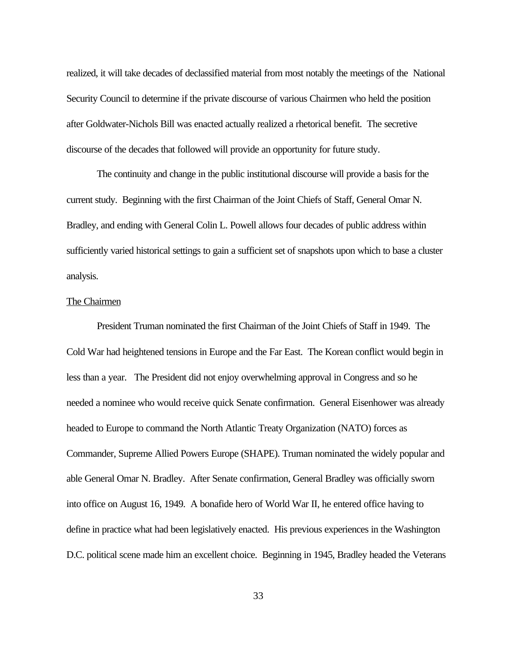realized, it will take decades of declassified material from most notably the meetings of the National Security Council to determine if the private discourse of various Chairmen who held the position after Goldwater-Nichols Bill was enacted actually realized a rhetorical benefit. The secretive discourse of the decades that followed will provide an opportunity for future study.

The continuity and change in the public institutional discourse will provide a basis for the current study. Beginning with the first Chairman of the Joint Chiefs of Staff, General Omar N. Bradley, and ending with General Colin L. Powell allows four decades of public address within sufficiently varied historical settings to gain a sufficient set of snapshots upon which to base a cluster analysis.

## The Chairmen

President Truman nominated the first Chairman of the Joint Chiefs of Staff in 1949. The Cold War had heightened tensions in Europe and the Far East. The Korean conflict would begin in less than a year. The President did not enjoy overwhelming approval in Congress and so he needed a nominee who would receive quick Senate confirmation. General Eisenhower was already headed to Europe to command the North Atlantic Treaty Organization (NATO) forces as Commander, Supreme Allied Powers Europe (SHAPE). Truman nominated the widely popular and able General Omar N. Bradley. After Senate confirmation, General Bradley was officially sworn into office on August 16, 1949. A bonafide hero of World War II, he entered office having to define in practice what had been legislatively enacted. His previous experiences in the Washington D.C. political scene made him an excellent choice. Beginning in 1945, Bradley headed the Veterans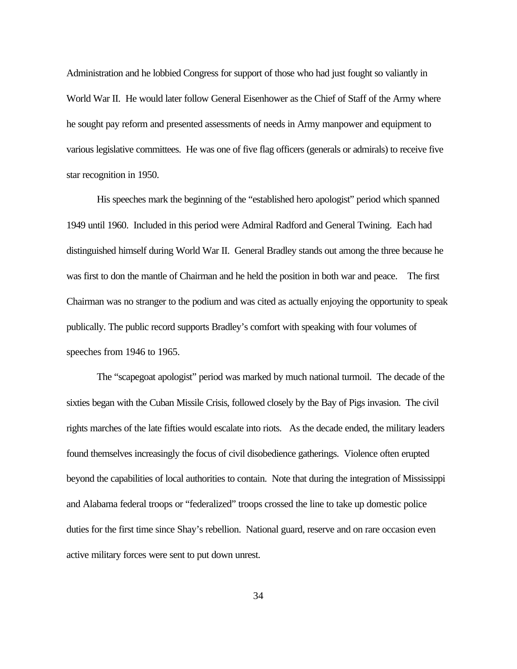Administration and he lobbied Congress for support of those who had just fought so valiantly in World War II. He would later follow General Eisenhower as the Chief of Staff of the Army where he sought pay reform and presented assessments of needs in Army manpower and equipment to various legislative committees. He was one of five flag officers (generals or admirals) to receive five star recognition in 1950.

His speeches mark the beginning of the "established hero apologist" period which spanned 1949 until 1960. Included in this period were Admiral Radford and General Twining. Each had distinguished himself during World War II. General Bradley stands out among the three because he was first to don the mantle of Chairman and he held the position in both war and peace. The first Chairman was no stranger to the podium and was cited as actually enjoying the opportunity to speak publically. The public record supports Bradley's comfort with speaking with four volumes of speeches from 1946 to 1965.

The "scapegoat apologist" period was marked by much national turmoil. The decade of the sixties began with the Cuban Missile Crisis, followed closely by the Bay of Pigs invasion. The civil rights marches of the late fifties would escalate into riots. As the decade ended, the military leaders found themselves increasingly the focus of civil disobedience gatherings. Violence often erupted beyond the capabilities of local authorities to contain. Note that during the integration of Mississippi and Alabama federal troops or "federalized" troops crossed the line to take up domestic police duties for the first time since Shay's rebellion. National guard, reserve and on rare occasion even active military forces were sent to put down unrest.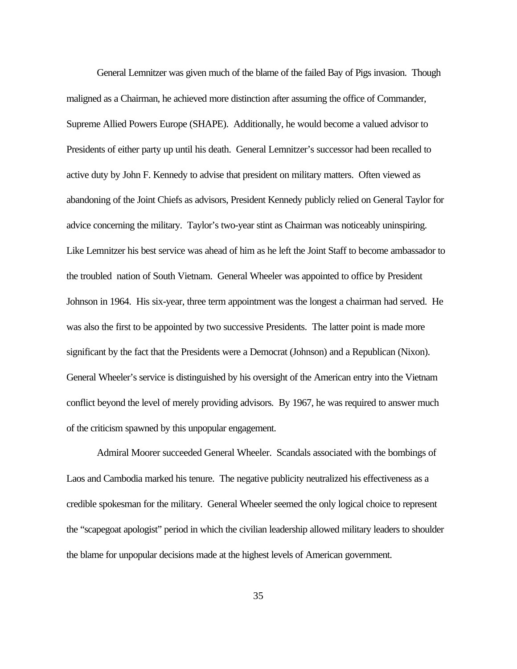General Lemnitzer was given much of the blame of the failed Bay of Pigs invasion. Though maligned as a Chairman, he achieved more distinction after assuming the office of Commander, Supreme Allied Powers Europe (SHAPE). Additionally, he would become a valued advisor to Presidents of either party up until his death. General Lemnitzer's successor had been recalled to active duty by John F. Kennedy to advise that president on military matters. Often viewed as abandoning of the Joint Chiefs as advisors, President Kennedy publicly relied on General Taylor for advice concerning the military. Taylor's two-year stint as Chairman was noticeably uninspiring. Like Lemnitzer his best service was ahead of him as he left the Joint Staff to become ambassador to the troubled nation of South Vietnam. General Wheeler was appointed to office by President Johnson in 1964. His six-year, three term appointment was the longest a chairman had served. He was also the first to be appointed by two successive Presidents. The latter point is made more significant by the fact that the Presidents were a Democrat (Johnson) and a Republican (Nixon). General Wheeler's service is distinguished by his oversight of the American entry into the Vietnam conflict beyond the level of merely providing advisors. By 1967, he was required to answer much of the criticism spawned by this unpopular engagement.

Admiral Moorer succeeded General Wheeler. Scandals associated with the bombings of Laos and Cambodia marked his tenure. The negative publicity neutralized his effectiveness as a credible spokesman for the military. General Wheeler seemed the only logical choice to represent the "scapegoat apologist" period in which the civilian leadership allowed military leaders to shoulder the blame for unpopular decisions made at the highest levels of American government.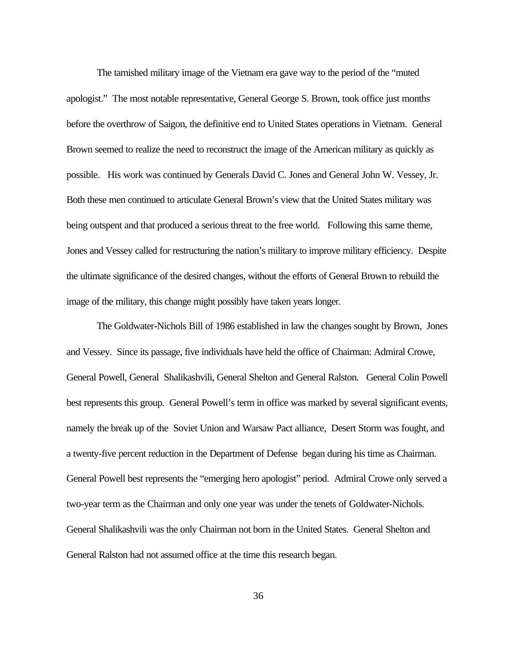The tarnished military image of the Vietnam era gave way to the period of the "muted apologist." The most notable representative, General George S. Brown, took office just months before the overthrow of Saigon, the definitive end to United States operations in Vietnam. General Brown seemed to realize the need to reconstruct the image of the American military as quickly as possible. His work was continued by Generals David C. Jones and General John W. Vessey, Jr. Both these men continued to articulate General Brown's view that the United States military was being outspent and that produced a serious threat to the free world. Following this same theme, Jones and Vessey called for restructuring the nation's military to improve military efficiency. Despite the ultimate significance of the desired changes, without the efforts of General Brown to rebuild the image of the military, this change might possibly have taken years longer.

The Goldwater-Nichols Bill of 1986 established in law the changes sought by Brown, Jones and Vessey. Since its passage, five individuals have held the office of Chairman: Admiral Crowe, General Powell, General Shalikashvili, General Shelton and General Ralston. General Colin Powell best represents this group. General Powell's term in office was marked by several significant events, namely the break up of the Soviet Union and Warsaw Pact alliance, Desert Storm was fought, and a twenty-five percent reduction in the Department of Defense began during his time as Chairman. General Powell best represents the "emerging hero apologist" period. Admiral Crowe only served a two-year term as the Chairman and only one year was under the tenets of Goldwater-Nichols. General Shalikashvili was the only Chairman not born in the United States. General Shelton and General Ralston had not assumed office at the time this research began.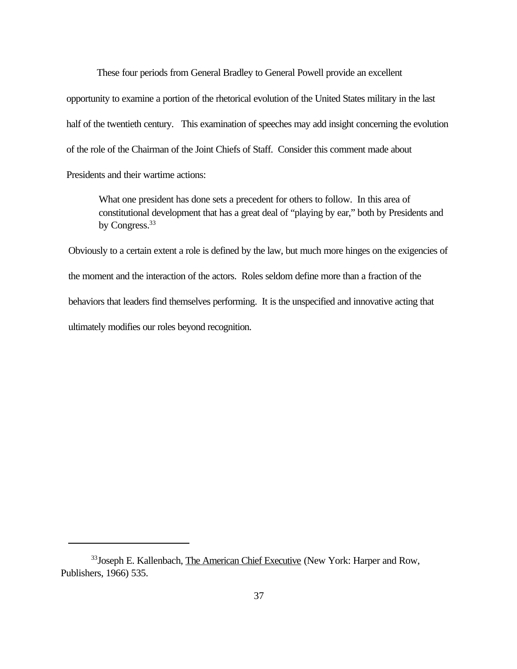These four periods from General Bradley to General Powell provide an excellent opportunity to examine a portion of the rhetorical evolution of the United States military in the last half of the twentieth century. This examination of speeches may add insight concerning the evolution of the role of the Chairman of the Joint Chiefs of Staff. Consider this comment made about Presidents and their wartime actions:

What one president has done sets a precedent for others to follow. In this area of constitutional development that has a great deal of "playing by ear," both by Presidents and by Congress.<sup>33</sup>

Obviously to a certain extent a role is defined by the law, but much more hinges on the exigencies of the moment and the interaction of the actors. Roles seldom define more than a fraction of the behaviors that leaders find themselves performing. It is the unspecified and innovative acting that ultimately modifies our roles beyond recognition.

<sup>&</sup>lt;sup>33</sup> Joseph E. Kallenbach, The American Chief Executive (New York: Harper and Row, Publishers, 1966) 535.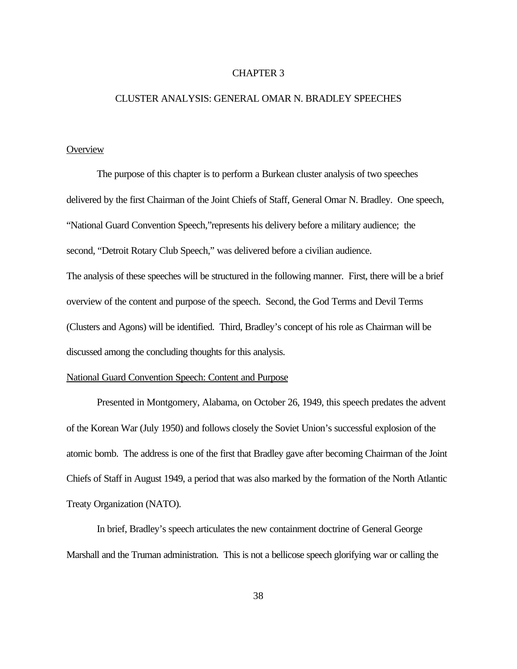## CHAPTER 3

## CLUSTER ANALYSIS: GENERAL OMAR N. BRADLEY SPEECHES

# **Overview**

The purpose of this chapter is to perform a Burkean cluster analysis of two speeches delivered by the first Chairman of the Joint Chiefs of Staff, General Omar N. Bradley. One speech, "National Guard Convention Speech,"represents his delivery before a military audience; the second, "Detroit Rotary Club Speech," was delivered before a civilian audience. The analysis of these speeches will be structured in the following manner. First, there will be a brief overview of the content and purpose of the speech. Second, the God Terms and Devil Terms (Clusters and Agons) will be identified. Third, Bradley's concept of his role as Chairman will be

discussed among the concluding thoughts for this analysis.

#### National Guard Convention Speech: Content and Purpose

Presented in Montgomery, Alabama, on October 26, 1949, this speech predates the advent of the Korean War (July 1950) and follows closely the Soviet Union's successful explosion of the atomic bomb. The address is one of the first that Bradley gave after becoming Chairman of the Joint Chiefs of Staff in August 1949, a period that was also marked by the formation of the North Atlantic Treaty Organization (NATO).

In brief, Bradley's speech articulates the new containment doctrine of General George Marshall and the Truman administration. This is not a bellicose speech glorifying war or calling the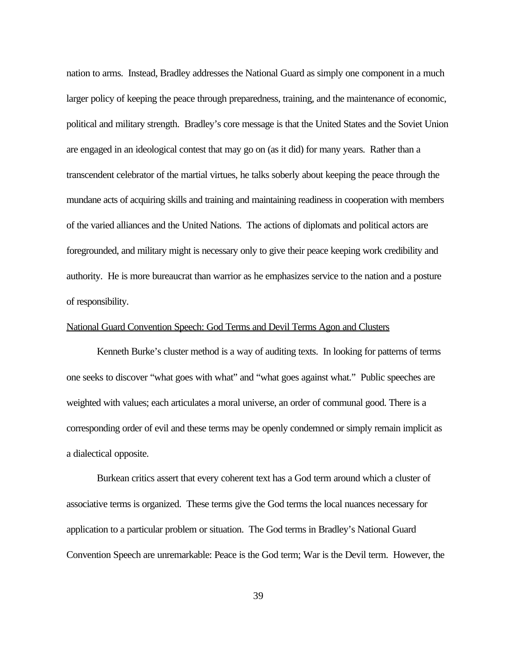nation to arms. Instead, Bradley addresses the National Guard as simply one component in a much larger policy of keeping the peace through preparedness, training, and the maintenance of economic, political and military strength. Bradley's core message is that the United States and the Soviet Union are engaged in an ideological contest that may go on (as it did) for many years. Rather than a transcendent celebrator of the martial virtues, he talks soberly about keeping the peace through the mundane acts of acquiring skills and training and maintaining readiness in cooperation with members of the varied alliances and the United Nations. The actions of diplomats and political actors are foregrounded, and military might is necessary only to give their peace keeping work credibility and authority. He is more bureaucrat than warrior as he emphasizes service to the nation and a posture of responsibility.

# National Guard Convention Speech: God Terms and Devil Terms Agon and Clusters

Kenneth Burke's cluster method is a way of auditing texts. In looking for patterns of terms one seeks to discover "what goes with what" and "what goes against what." Public speeches are weighted with values; each articulates a moral universe, an order of communal good. There is a corresponding order of evil and these terms may be openly condemned or simply remain implicit as a dialectical opposite.

Burkean critics assert that every coherent text has a God term around which a cluster of associative terms is organized. These terms give the God terms the local nuances necessary for application to a particular problem or situation. The God terms in Bradley's National Guard Convention Speech are unremarkable: Peace is the God term; War is the Devil term. However, the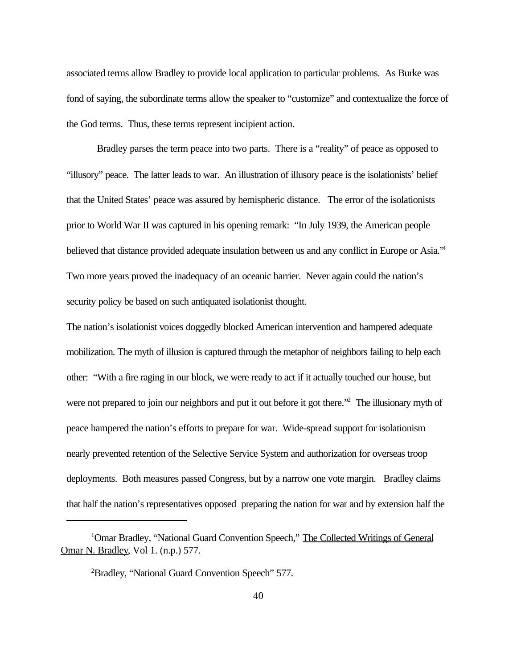associated terms allow Bradley to provide local application to particular problems. As Burke was fond of saying, the subordinate terms allow the speaker to "customize" and contextualize the force of the God terms. Thus, these terms represent incipient action.

Bradley parses the term peace into two parts. There is a "reality" of peace as opposed to "illusory" peace. The latter leads to war. An illustration of illusory peace is the isolationists' belief that the United States' peace was assured by hemispheric distance. The error of the isolationists prior to World War II was captured in his opening remark: "In July 1939, the American people believed that distance provided adequate insulation between us and any conflict in Europe or Asia."<sup>1</sup> Two more years proved the inadequacy of an oceanic barrier. Never again could the nation's security policy be based on such antiquated isolationist thought.

The nation's isolationist voices doggedly blocked American intervention and hampered adequate mobilization. The myth of illusion is captured through the metaphor of neighbors failing to help each other: "With a fire raging in our block, we were ready to act if it actually touched our house, but were not prepared to join our neighbors and put it out before it got there."<sup>2</sup> The illusionary myth of peace hampered the nation's efforts to prepare for war. Wide-spread support for isolationism nearly prevented retention of the Selective Service System and authorization for overseas troop deployments. Both measures passed Congress, but by a narrow one vote margin. Bradley claims that half the nation's representatives opposed preparing the nation for war and by extension half the

<sup>&</sup>lt;sup>1</sup>Omar Bradley, "National Guard Convention Speech," The Collected Writings of General Omar N. Bradley, Vol 1. (n.p.) 577.

<sup>2</sup>Bradley, "National Guard Convention Speech" 577.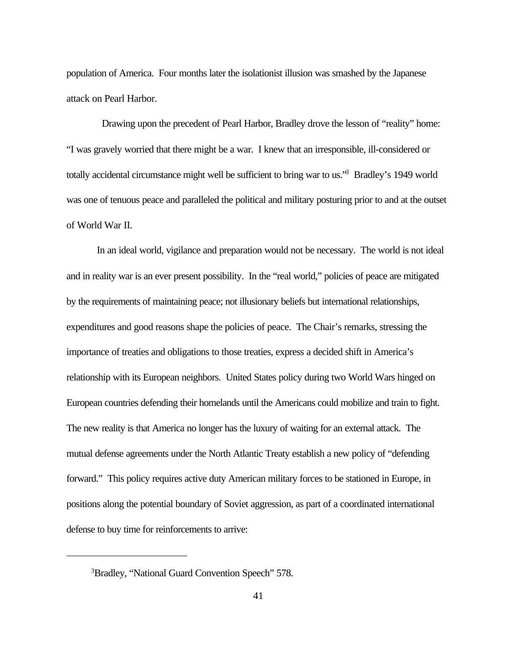population of America. Four months later the isolationist illusion was smashed by the Japanese attack on Pearl Harbor.

 Drawing upon the precedent of Pearl Harbor, Bradley drove the lesson of "reality" home: "I was gravely worried that there might be a war. I knew that an irresponsible, ill-considered or totally accidental circumstance might well be sufficient to bring war to us."<sup>3</sup> Bradley's 1949 world was one of tenuous peace and paralleled the political and military posturing prior to and at the outset of World War II.

In an ideal world, vigilance and preparation would not be necessary. The world is not ideal and in reality war is an ever present possibility. In the "real world," policies of peace are mitigated by the requirements of maintaining peace; not illusionary beliefs but international relationships, expenditures and good reasons shape the policies of peace. The Chair's remarks, stressing the importance of treaties and obligations to those treaties, express a decided shift in America's relationship with its European neighbors. United States policy during two World Wars hinged on European countries defending their homelands until the Americans could mobilize and train to fight. The new reality is that America no longer has the luxury of waiting for an external attack. The mutual defense agreements under the North Atlantic Treaty establish a new policy of "defending forward." This policy requires active duty American military forces to be stationed in Europe, in positions along the potential boundary of Soviet aggression, as part of a coordinated international defense to buy time for reinforcements to arrive:

<sup>3</sup>Bradley, "National Guard Convention Speech" 578.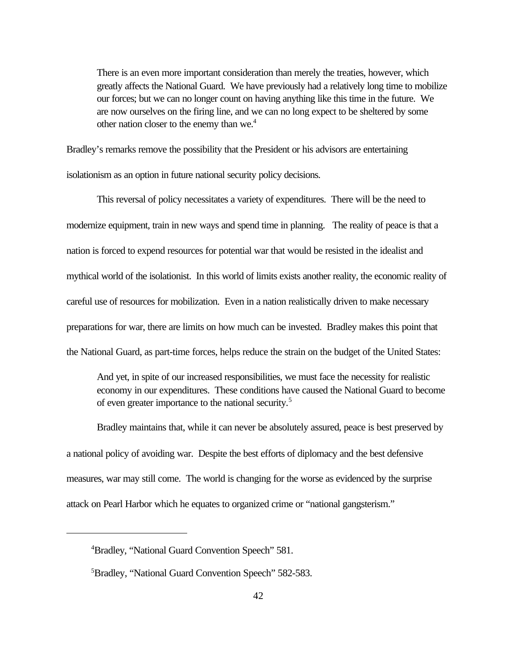There is an even more important consideration than merely the treaties, however, which greatly affects the National Guard. We have previously had a relatively long time to mobilize our forces; but we can no longer count on having anything like this time in the future. We are now ourselves on the firing line, and we can no long expect to be sheltered by some other nation closer to the enemy than we.<sup>4</sup>

Bradley's remarks remove the possibility that the President or his advisors are entertaining isolationism as an option in future national security policy decisions.

This reversal of policy necessitates a variety of expenditures. There will be the need to modernize equipment, train in new ways and spend time in planning. The reality of peace is that a nation is forced to expend resources for potential war that would be resisted in the idealist and mythical world of the isolationist. In this world of limits exists another reality, the economic reality of careful use of resources for mobilization. Even in a nation realistically driven to make necessary preparations for war, there are limits on how much can be invested. Bradley makes this point that the National Guard, as part-time forces, helps reduce the strain on the budget of the United States:

And yet, in spite of our increased responsibilities, we must face the necessity for realistic economy in our expenditures. These conditions have caused the National Guard to become of even greater importance to the national security.<sup>5</sup>

Bradley maintains that, while it can never be absolutely assured, peace is best preserved by a national policy of avoiding war. Despite the best efforts of diplomacy and the best defensive measures, war may still come. The world is changing for the worse as evidenced by the surprise attack on Pearl Harbor which he equates to organized crime or "national gangsterism."

<sup>4</sup>Bradley, "National Guard Convention Speech" 581.

<sup>5</sup>Bradley, "National Guard Convention Speech" 582-583.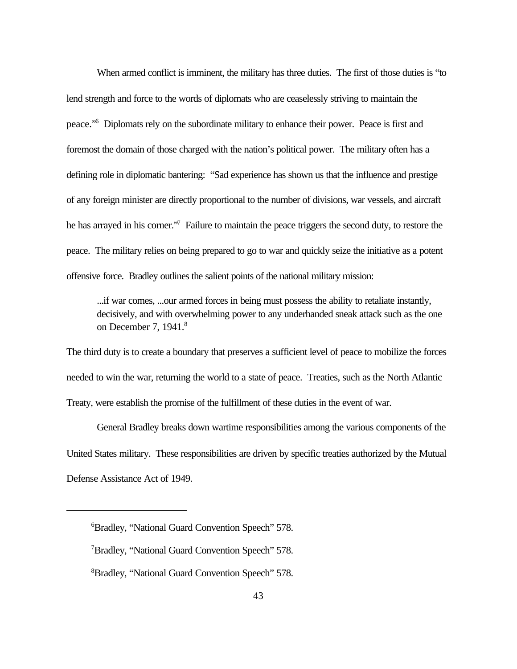When armed conflict is imminent, the military has three duties. The first of those duties is "to lend strength and force to the words of diplomats who are ceaselessly striving to maintain the peace."<sup>6</sup> Diplomats rely on the subordinate military to enhance their power. Peace is first and foremost the domain of those charged with the nation's political power. The military often has a defining role in diplomatic bantering: "Sad experience has shown us that the influence and prestige of any foreign minister are directly proportional to the number of divisions, war vessels, and aircraft he has arrayed in his corner."<sup>7</sup> Failure to maintain the peace triggers the second duty, to restore the peace. The military relies on being prepared to go to war and quickly seize the initiative as a potent offensive force. Bradley outlines the salient points of the national military mission:

...if war comes, ...our armed forces in being must possess the ability to retaliate instantly, decisively, and with overwhelming power to any underhanded sneak attack such as the one on December 7, 1941.<sup>8</sup>

The third duty is to create a boundary that preserves a sufficient level of peace to mobilize the forces needed to win the war, returning the world to a state of peace. Treaties, such as the North Atlantic Treaty, were establish the promise of the fulfillment of these duties in the event of war.

General Bradley breaks down wartime responsibilities among the various components of the United States military. These responsibilities are driven by specific treaties authorized by the Mutual Defense Assistance Act of 1949.

<sup>6</sup>Bradley, "National Guard Convention Speech" 578.

<sup>7</sup>Bradley, "National Guard Convention Speech" 578.

<sup>8</sup>Bradley, "National Guard Convention Speech" 578.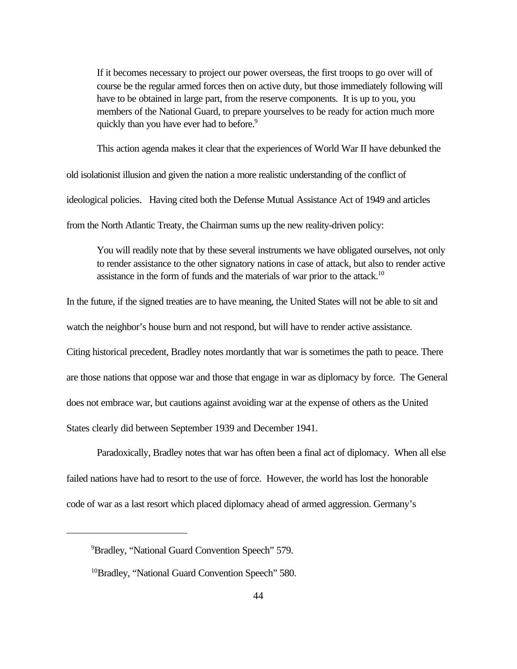If it becomes necessary to project our power overseas, the first troops to go over will of course be the regular armed forces then on active duty, but those immediately following will have to be obtained in large part, from the reserve components. It is up to you, you members of the National Guard, to prepare yourselves to be ready for action much more quickly than you have ever had to before.<sup>9</sup>

This action agenda makes it clear that the experiences of World War II have debunked the

old isolationist illusion and given the nation a more realistic understanding of the conflict of ideological policies. Having cited both the Defense Mutual Assistance Act of 1949 and articles from the North Atlantic Treaty, the Chairman sums up the new reality-driven policy:

You will readily note that by these several instruments we have obligated ourselves, not only to render assistance to the other signatory nations in case of attack, but also to render active assistance in the form of funds and the materials of war prior to the attack.<sup>10</sup>

In the future, if the signed treaties are to have meaning, the United States will not be able to sit and

watch the neighbor's house burn and not respond, but will have to render active assistance.

Citing historical precedent, Bradley notes mordantly that war is sometimes the path to peace. There are those nations that oppose war and those that engage in war as diplomacy by force. The General does not embrace war, but cautions against avoiding war at the expense of others as the United States clearly did between September 1939 and December 1941.

Paradoxically, Bradley notes that war has often been a final act of diplomacy. When all else failed nations have had to resort to the use of force. However, the world has lost the honorable code of war as a last resort which placed diplomacy ahead of armed aggression. Germany's

<sup>9</sup>Bradley, "National Guard Convention Speech" 579.

<sup>&</sup>lt;sup>10</sup>Bradley, "National Guard Convention Speech" 580.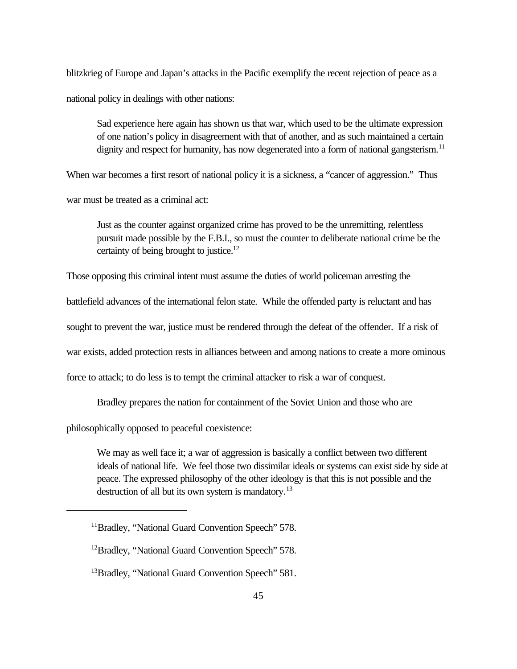blitzkrieg of Europe and Japan's attacks in the Pacific exemplify the recent rejection of peace as a national policy in dealings with other nations:

Sad experience here again has shown us that war, which used to be the ultimate expression of one nation's policy in disagreement with that of another, and as such maintained a certain dignity and respect for humanity, has now degenerated into a form of national gangsterism.<sup>11</sup>

When war becomes a first resort of national policy it is a sickness, a "cancer of aggression." Thus

war must be treated as a criminal act:

Just as the counter against organized crime has proved to be the unremitting, relentless pursuit made possible by the F.B.I., so must the counter to deliberate national crime be the certainty of being brought to justice.<sup>12</sup>

Those opposing this criminal intent must assume the duties of world policeman arresting the

battlefield advances of the international felon state. While the offended party is reluctant and has

sought to prevent the war, justice must be rendered through the defeat of the offender. If a risk of

war exists, added protection rests in alliances between and among nations to create a more ominous

force to attack; to do less is to tempt the criminal attacker to risk a war of conquest.

Bradley prepares the nation for containment of the Soviet Union and those who are

philosophically opposed to peaceful coexistence:

We may as well face it; a war of aggression is basically a conflict between two different ideals of national life. We feel those two dissimilar ideals or systems can exist side by side at peace. The expressed philosophy of the other ideology is that this is not possible and the destruction of all but its own system is mandatory.<sup>13</sup>

<sup>&</sup>lt;sup>11</sup>Bradley, "National Guard Convention Speech" 578.

<sup>&</sup>lt;sup>12</sup>Bradley, "National Guard Convention Speech" 578.

<sup>&</sup>lt;sup>13</sup>Bradley, "National Guard Convention Speech" 581.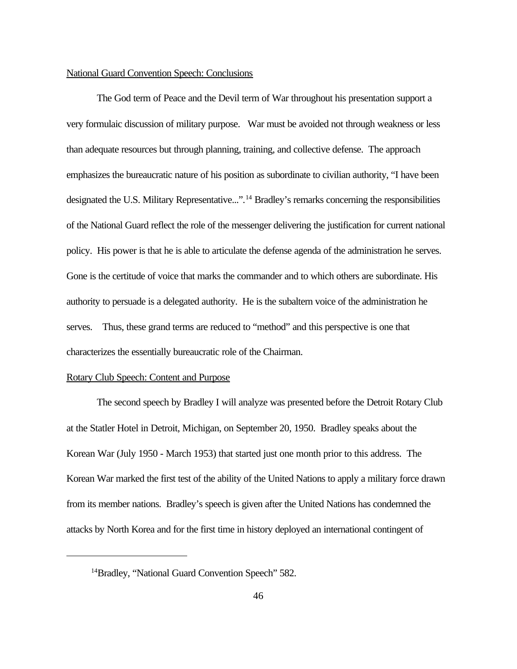#### National Guard Convention Speech: Conclusions

The God term of Peace and the Devil term of War throughout his presentation support a very formulaic discussion of military purpose. War must be avoided not through weakness or less than adequate resources but through planning, training, and collective defense. The approach emphasizes the bureaucratic nature of his position as subordinate to civilian authority, "I have been designated the U.S. Military Representative...".<sup>14</sup> Bradley's remarks concerning the responsibilities of the National Guard reflect the role of the messenger delivering the justification for current national policy. His power is that he is able to articulate the defense agenda of the administration he serves. Gone is the certitude of voice that marks the commander and to which others are subordinate. His authority to persuade is a delegated authority. He is the subaltern voice of the administration he serves. Thus, these grand terms are reduced to "method" and this perspective is one that characterizes the essentially bureaucratic role of the Chairman.

#### Rotary Club Speech: Content and Purpose

The second speech by Bradley I will analyze was presented before the Detroit Rotary Club at the Statler Hotel in Detroit, Michigan, on September 20, 1950. Bradley speaks about the Korean War (July 1950 - March 1953) that started just one month prior to this address. The Korean War marked the first test of the ability of the United Nations to apply a military force drawn from its member nations. Bradley's speech is given after the United Nations has condemned the attacks by North Korea and for the first time in history deployed an international contingent of

<sup>&</sup>lt;sup>14</sup>Bradley, "National Guard Convention Speech" 582.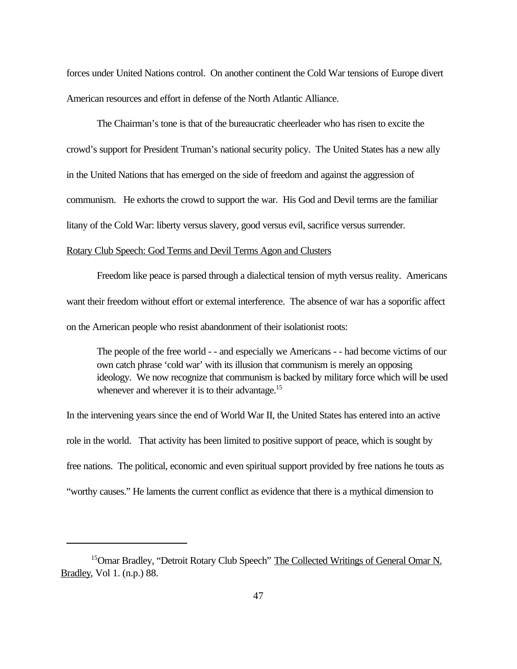forces under United Nations control. On another continent the Cold War tensions of Europe divert American resources and effort in defense of the North Atlantic Alliance.

The Chairman's tone is that of the bureaucratic cheerleader who has risen to excite the crowd's support for President Truman's national security policy. The United States has a new ally in the United Nations that has emerged on the side of freedom and against the aggression of communism. He exhorts the crowd to support the war. His God and Devil terms are the familiar litany of the Cold War: liberty versus slavery, good versus evil, sacrifice versus surrender. Rotary Club Speech: God Terms and Devil Terms Agon and Clusters

Freedom like peace is parsed through a dialectical tension of myth versus reality. Americans want their freedom without effort or external interference. The absence of war has a soporific affect on the American people who resist abandonment of their isolationist roots:

The people of the free world - - and especially we Americans - - had become victims of our own catch phrase 'cold war' with its illusion that communism is merely an opposing ideology. We now recognize that communism is backed by military force which will be used whenever and wherever it is to their advantage.<sup>15</sup>

In the intervening years since the end of World War II, the United States has entered into an active role in the world. That activity has been limited to positive support of peace, which is sought by free nations. The political, economic and even spiritual support provided by free nations he touts as "worthy causes." He laments the current conflict as evidence that there is a mythical dimension to

<sup>&</sup>lt;sup>15</sup>Omar Bradley, "Detroit Rotary Club Speech" The Collected Writings of General Omar N. Bradley, Vol 1. (n.p.) 88.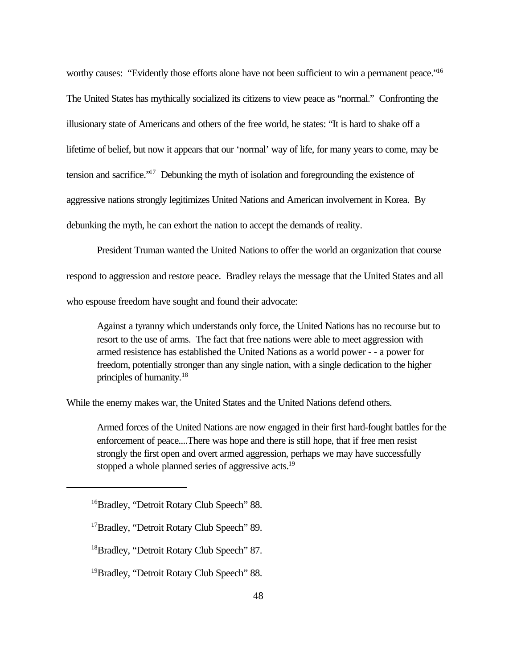worthy causes: "Evidently those efforts alone have not been sufficient to win a permanent peace."<sup>16</sup> The United States has mythically socialized its citizens to view peace as "normal." Confronting the illusionary state of Americans and others of the free world, he states: "It is hard to shake off a lifetime of belief, but now it appears that our 'normal' way of life, for many years to come, may be tension and sacrifice."<sup>17</sup> Debunking the myth of isolation and foregrounding the existence of aggressive nations strongly legitimizes United Nations and American involvement in Korea. By debunking the myth, he can exhort the nation to accept the demands of reality.

President Truman wanted the United Nations to offer the world an organization that course respond to aggression and restore peace. Bradley relays the message that the United States and all who espouse freedom have sought and found their advocate:

Against a tyranny which understands only force, the United Nations has no recourse but to resort to the use of arms. The fact that free nations were able to meet aggression with armed resistence has established the United Nations as a world power - - a power for freedom, potentially stronger than any single nation, with a single dedication to the higher principles of humanity.<sup>18</sup>

While the enemy makes war, the United States and the United Nations defend others.

Armed forces of the United Nations are now engaged in their first hard-fought battles for the enforcement of peace....There was hope and there is still hope, that if free men resist strongly the first open and overt armed aggression, perhaps we may have successfully stopped a whole planned series of aggressive acts.<sup>19</sup>

<sup>&</sup>lt;sup>16</sup>Bradley, "Detroit Rotary Club Speech" 88.

<sup>&</sup>lt;sup>17</sup>Bradley, "Detroit Rotary Club Speech" 89.

<sup>&</sup>lt;sup>18</sup>Bradley, "Detroit Rotary Club Speech" 87.

<sup>&</sup>lt;sup>19</sup>Bradley, "Detroit Rotary Club Speech" 88.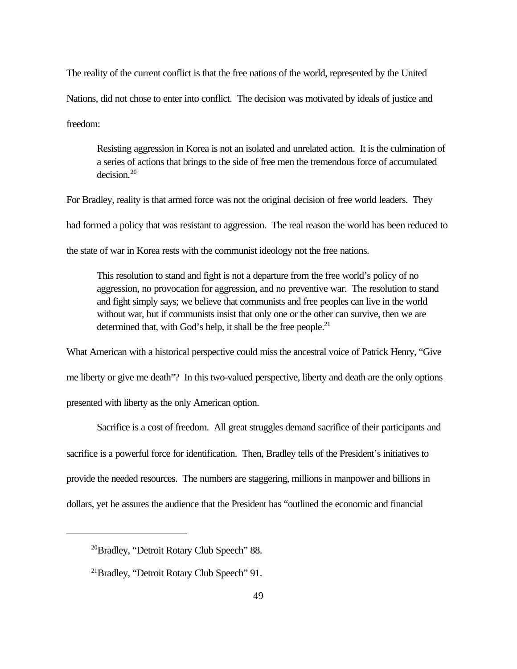The reality of the current conflict is that the free nations of the world, represented by the United Nations, did not chose to enter into conflict. The decision was motivated by ideals of justice and freedom:

Resisting aggression in Korea is not an isolated and unrelated action. It is the culmination of a series of actions that brings to the side of free men the tremendous force of accumulated decision<sup>20</sup>

For Bradley, reality is that armed force was not the original decision of free world leaders. They had formed a policy that was resistant to aggression. The real reason the world has been reduced to the state of war in Korea rests with the communist ideology not the free nations.

This resolution to stand and fight is not a departure from the free world's policy of no aggression, no provocation for aggression, and no preventive war. The resolution to stand and fight simply says; we believe that communists and free peoples can live in the world without war, but if communists insist that only one or the other can survive, then we are determined that, with God's help, it shall be the free people. $21$ 

What American with a historical perspective could miss the ancestral voice of Patrick Henry, "Give me liberty or give me death"? In this two-valued perspective, liberty and death are the only options presented with liberty as the only American option.

Sacrifice is a cost of freedom. All great struggles demand sacrifice of their participants and sacrifice is a powerful force for identification. Then, Bradley tells of the President's initiatives to provide the needed resources. The numbers are staggering, millions in manpower and billions in dollars, yet he assures the audience that the President has "outlined the economic and financial

<sup>20</sup>Bradley, "Detroit Rotary Club Speech" 88.

<sup>21</sup>Bradley, "Detroit Rotary Club Speech" 91.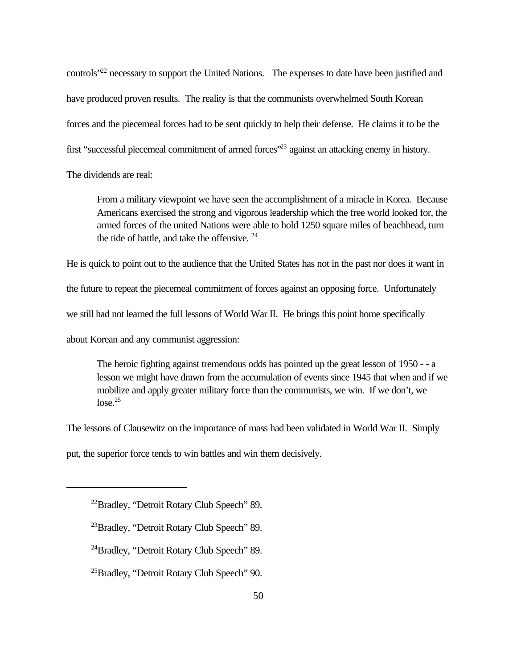controls"<sup>22</sup> necessary to support the United Nations. The expenses to date have been justified and have produced proven results. The reality is that the communists overwhelmed South Korean forces and the piecemeal forces had to be sent quickly to help their defense. He claims it to be the first "successful piecemeal commitment of armed forces"<sup>23</sup> against an attacking enemy in history.

The dividends are real:

From a military viewpoint we have seen the accomplishment of a miracle in Korea. Because Americans exercised the strong and vigorous leadership which the free world looked for, the armed forces of the united Nations were able to hold 1250 square miles of beachhead, turn the tide of battle, and take the offensive. <sup>24</sup>

He is quick to point out to the audience that the United States has not in the past nor does it want in

the future to repeat the piecemeal commitment of forces against an opposing force. Unfortunately

we still had not learned the full lessons of World War II. He brings this point home specifically

about Korean and any communist aggression:

The heroic fighting against tremendous odds has pointed up the great lesson of 1950 - - a lesson we might have drawn from the accumulation of events since 1945 that when and if we mobilize and apply greater military force than the communists, we win. If we don't, we  $\log e^{25}$ 

The lessons of Clausewitz on the importance of mass had been validated in World War II. Simply

put, the superior force tends to win battles and win them decisively.

<sup>22</sup>Bradley, "Detroit Rotary Club Speech" 89.

<sup>&</sup>lt;sup>23</sup>Bradley, "Detroit Rotary Club Speech" 89.

<sup>24</sup>Bradley, "Detroit Rotary Club Speech" 89.

<sup>25</sup>Bradley, "Detroit Rotary Club Speech" 90.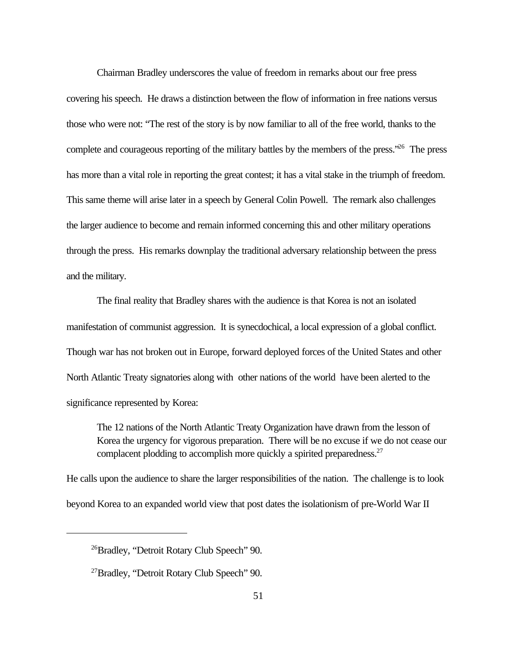Chairman Bradley underscores the value of freedom in remarks about our free press covering his speech. He draws a distinction between the flow of information in free nations versus those who were not: "The rest of the story is by now familiar to all of the free world, thanks to the complete and courageous reporting of the military battles by the members of the press.<sup>"26</sup> The press has more than a vital role in reporting the great contest; it has a vital stake in the triumph of freedom. This same theme will arise later in a speech by General Colin Powell. The remark also challenges the larger audience to become and remain informed concerning this and other military operations through the press. His remarks downplay the traditional adversary relationship between the press and the military.

The final reality that Bradley shares with the audience is that Korea is not an isolated manifestation of communist aggression. It is synecdochical, a local expression of a global conflict. Though war has not broken out in Europe, forward deployed forces of the United States and other North Atlantic Treaty signatories along with other nations of the world have been alerted to the significance represented by Korea:

The 12 nations of the North Atlantic Treaty Organization have drawn from the lesson of Korea the urgency for vigorous preparation. There will be no excuse if we do not cease our complacent plodding to accomplish more quickly a spirited preparedness.<sup>27</sup>

He calls upon the audience to share the larger responsibilities of the nation. The challenge is to look beyond Korea to an expanded world view that post dates the isolationism of pre-World War II

<sup>26</sup>Bradley, "Detroit Rotary Club Speech" 90.

<sup>&</sup>lt;sup>27</sup>Bradley, "Detroit Rotary Club Speech" 90.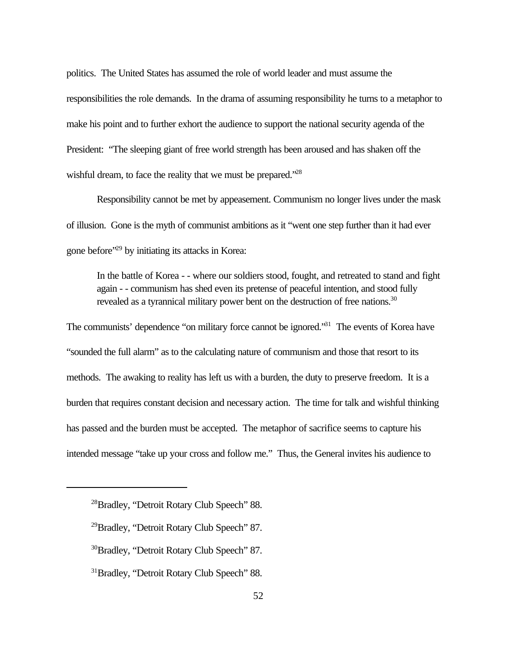politics. The United States has assumed the role of world leader and must assume the responsibilities the role demands. In the drama of assuming responsibility he turns to a metaphor to make his point and to further exhort the audience to support the national security agenda of the President: "The sleeping giant of free world strength has been aroused and has shaken off the wishful dream, to face the reality that we must be prepared.<sup>"28</sup>

Responsibility cannot be met by appeasement. Communism no longer lives under the mask of illusion. Gone is the myth of communist ambitions as it "went one step further than it had ever gone before"<sup>29</sup> by initiating its attacks in Korea:

In the battle of Korea - - where our soldiers stood, fought, and retreated to stand and fight again - - communism has shed even its pretense of peaceful intention, and stood fully revealed as a tyrannical military power bent on the destruction of free nations.<sup>30</sup>

The communists' dependence "on military force cannot be ignored."<sup>31</sup> The events of Korea have "sounded the full alarm" as to the calculating nature of communism and those that resort to its methods. The awaking to reality has left us with a burden, the duty to preserve freedom. It is a burden that requires constant decision and necessary action. The time for talk and wishful thinking has passed and the burden must be accepted. The metaphor of sacrifice seems to capture his intended message "take up your cross and follow me." Thus, the General invites his audience to

<sup>28</sup>Bradley, "Detroit Rotary Club Speech" 88.

<sup>&</sup>lt;sup>29</sup>Bradley, "Detroit Rotary Club Speech" 87.

<sup>&</sup>lt;sup>30</sup>Bradley, "Detroit Rotary Club Speech" 87.

<sup>&</sup>lt;sup>31</sup>Bradley, "Detroit Rotary Club Speech" 88.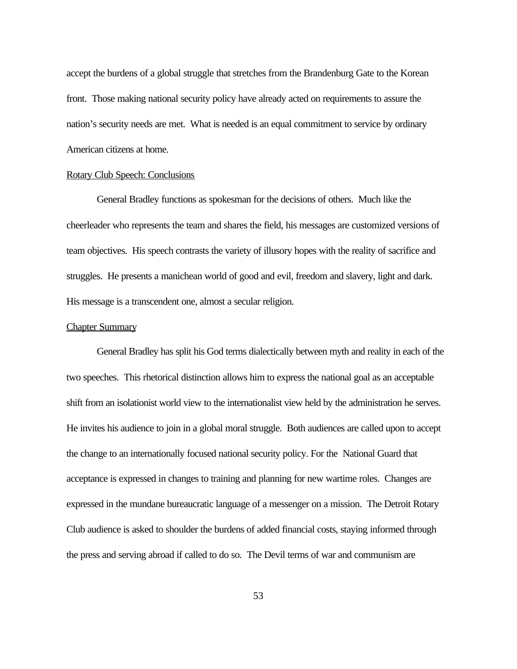accept the burdens of a global struggle that stretches from the Brandenburg Gate to the Korean front. Those making national security policy have already acted on requirements to assure the nation's security needs are met. What is needed is an equal commitment to service by ordinary American citizens at home.

### Rotary Club Speech: Conclusions

General Bradley functions as spokesman for the decisions of others. Much like the cheerleader who represents the team and shares the field, his messages are customized versions of team objectives. His speech contrasts the variety of illusory hopes with the reality of sacrifice and struggles. He presents a manichean world of good and evil, freedom and slavery, light and dark. His message is a transcendent one, almost a secular religion.

## Chapter Summary

General Bradley has split his God terms dialectically between myth and reality in each of the two speeches. This rhetorical distinction allows him to express the national goal as an acceptable shift from an isolationist world view to the internationalist view held by the administration he serves. He invites his audience to join in a global moral struggle. Both audiences are called upon to accept the change to an internationally focused national security policy. For the National Guard that acceptance is expressed in changes to training and planning for new wartime roles. Changes are expressed in the mundane bureaucratic language of a messenger on a mission. The Detroit Rotary Club audience is asked to shoulder the burdens of added financial costs, staying informed through the press and serving abroad if called to do so. The Devil terms of war and communism are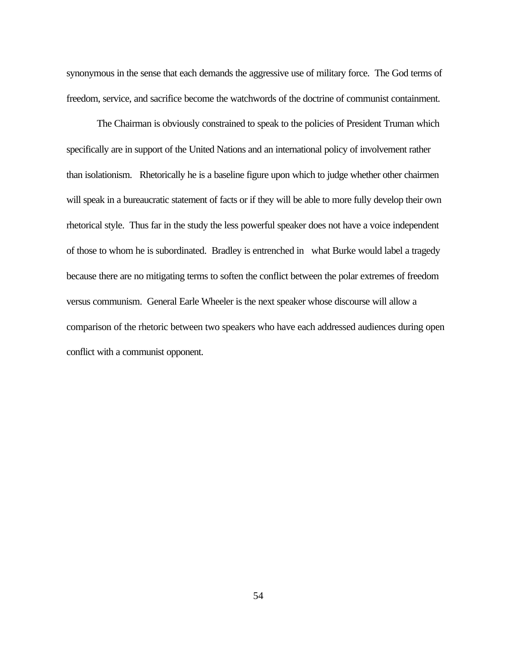synonymous in the sense that each demands the aggressive use of military force. The God terms of freedom, service, and sacrifice become the watchwords of the doctrine of communist containment.

The Chairman is obviously constrained to speak to the policies of President Truman which specifically are in support of the United Nations and an international policy of involvement rather than isolationism. Rhetorically he is a baseline figure upon which to judge whether other chairmen will speak in a bureaucratic statement of facts or if they will be able to more fully develop their own rhetorical style. Thus far in the study the less powerful speaker does not have a voice independent of those to whom he is subordinated. Bradley is entrenched in what Burke would label a tragedy because there are no mitigating terms to soften the conflict between the polar extremes of freedom versus communism. General Earle Wheeler is the next speaker whose discourse will allow a comparison of the rhetoric between two speakers who have each addressed audiences during open conflict with a communist opponent.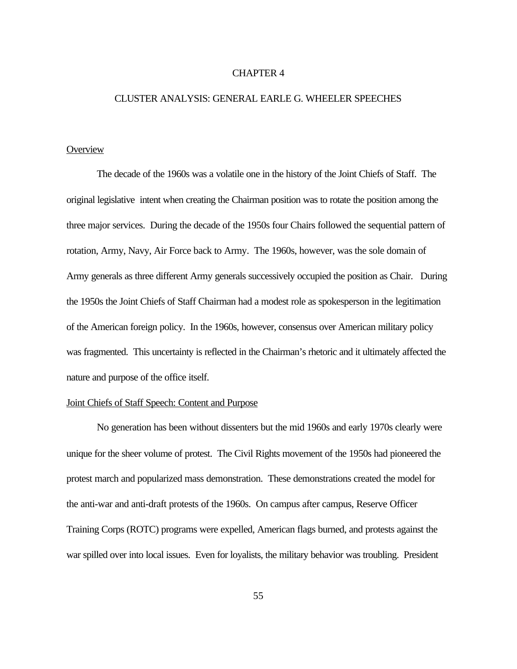#### CHAPTER 4

## CLUSTER ANALYSIS: GENERAL EARLE G. WHEELER SPEECHES

# **Overview**

The decade of the 1960s was a volatile one in the history of the Joint Chiefs of Staff. The original legislative intent when creating the Chairman position was to rotate the position among the three major services. During the decade of the 1950s four Chairs followed the sequential pattern of rotation, Army, Navy, Air Force back to Army. The 1960s, however, was the sole domain of Army generals as three different Army generals successively occupied the position as Chair. During the 1950s the Joint Chiefs of Staff Chairman had a modest role as spokesperson in the legitimation of the American foreign policy. In the 1960s, however, consensus over American military policy was fragmented. This uncertainty is reflected in the Chairman's rhetoric and it ultimately affected the nature and purpose of the office itself.

## Joint Chiefs of Staff Speech: Content and Purpose

No generation has been without dissenters but the mid 1960s and early 1970s clearly were unique for the sheer volume of protest. The Civil Rights movement of the 1950s had pioneered the protest march and popularized mass demonstration. These demonstrations created the model for the anti-war and anti-draft protests of the 1960s. On campus after campus, Reserve Officer Training Corps (ROTC) programs were expelled, American flags burned, and protests against the war spilled over into local issues. Even for loyalists, the military behavior was troubling. President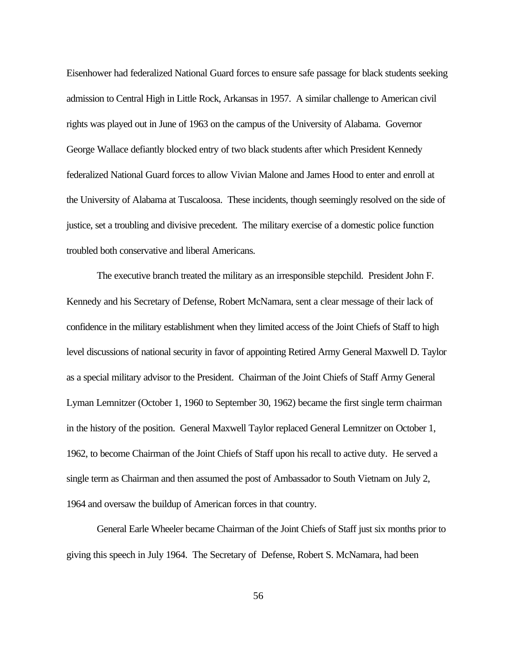Eisenhower had federalized National Guard forces to ensure safe passage for black students seeking admission to Central High in Little Rock, Arkansas in 1957. A similar challenge to American civil rights was played out in June of 1963 on the campus of the University of Alabama. Governor George Wallace defiantly blocked entry of two black students after which President Kennedy federalized National Guard forces to allow Vivian Malone and James Hood to enter and enroll at the University of Alabama at Tuscaloosa. These incidents, though seemingly resolved on the side of justice, set a troubling and divisive precedent. The military exercise of a domestic police function troubled both conservative and liberal Americans.

The executive branch treated the military as an irresponsible stepchild. President John F. Kennedy and his Secretary of Defense, Robert McNamara, sent a clear message of their lack of confidence in the military establishment when they limited access of the Joint Chiefs of Staff to high level discussions of national security in favor of appointing Retired Army General Maxwell D. Taylor as a special military advisor to the President. Chairman of the Joint Chiefs of Staff Army General Lyman Lemnitzer (October 1, 1960 to September 30, 1962) became the first single term chairman in the history of the position. General Maxwell Taylor replaced General Lemnitzer on October 1, 1962, to become Chairman of the Joint Chiefs of Staff upon his recall to active duty. He served a single term as Chairman and then assumed the post of Ambassador to South Vietnam on July 2, 1964 and oversaw the buildup of American forces in that country.

General Earle Wheeler became Chairman of the Joint Chiefs of Staff just six months prior to giving this speech in July 1964. The Secretary of Defense, Robert S. McNamara, had been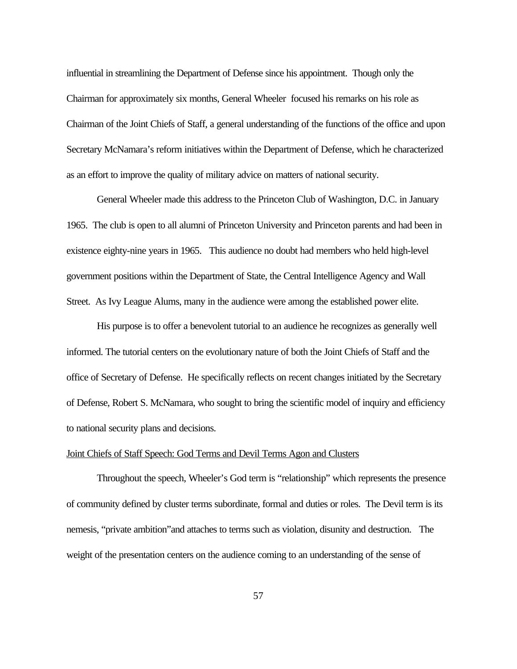influential in streamlining the Department of Defense since his appointment. Though only the Chairman for approximately six months, General Wheeler focused his remarks on his role as Chairman of the Joint Chiefs of Staff, a general understanding of the functions of the office and upon Secretary McNamara's reform initiatives within the Department of Defense, which he characterized as an effort to improve the quality of military advice on matters of national security.

General Wheeler made this address to the Princeton Club of Washington, D.C. in January 1965. The club is open to all alumni of Princeton University and Princeton parents and had been in existence eighty-nine years in 1965. This audience no doubt had members who held high-level government positions within the Department of State, the Central Intelligence Agency and Wall Street. As Ivy League Alums, many in the audience were among the established power elite.

His purpose is to offer a benevolent tutorial to an audience he recognizes as generally well informed. The tutorial centers on the evolutionary nature of both the Joint Chiefs of Staff and the office of Secretary of Defense. He specifically reflects on recent changes initiated by the Secretary of Defense, Robert S. McNamara, who sought to bring the scientific model of inquiry and efficiency to national security plans and decisions.

### Joint Chiefs of Staff Speech: God Terms and Devil Terms Agon and Clusters

Throughout the speech, Wheeler's God term is "relationship" which represents the presence of community defined by cluster terms subordinate, formal and duties or roles. The Devil term is its nemesis, "private ambition"and attaches to terms such as violation, disunity and destruction. The weight of the presentation centers on the audience coming to an understanding of the sense of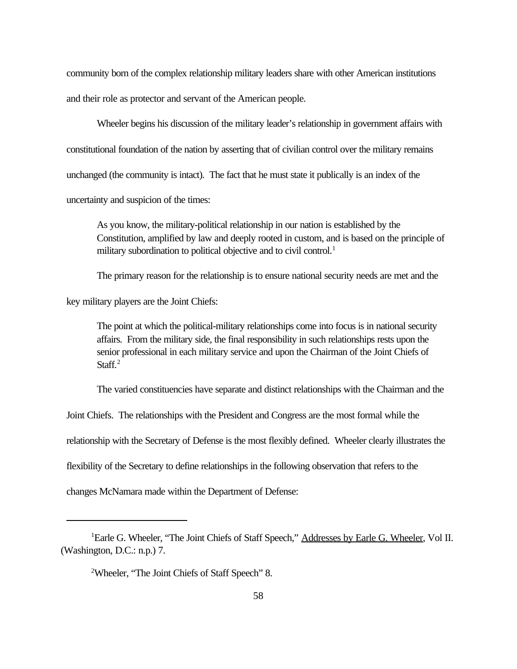community born of the complex relationship military leaders share with other American institutions and their role as protector and servant of the American people.

Wheeler begins his discussion of the military leader's relationship in government affairs with constitutional foundation of the nation by asserting that of civilian control over the military remains unchanged (the community is intact). The fact that he must state it publically is an index of the uncertainty and suspicion of the times:

As you know, the military-political relationship in our nation is established by the Constitution, amplified by law and deeply rooted in custom, and is based on the principle of military subordination to political objective and to civil control.<sup>1</sup>

The primary reason for the relationship is to ensure national security needs are met and the

key military players are the Joint Chiefs:

The point at which the political-military relationships come into focus is in national security affairs. From the military side, the final responsibility in such relationships rests upon the senior professional in each military service and upon the Chairman of the Joint Chiefs of Staff<sup>2</sup>

The varied constituencies have separate and distinct relationships with the Chairman and the

Joint Chiefs. The relationships with the President and Congress are the most formal while the

relationship with the Secretary of Defense is the most flexibly defined. Wheeler clearly illustrates the

flexibility of the Secretary to define relationships in the following observation that refers to the

changes McNamara made within the Department of Defense:

<sup>&</sup>lt;sup>1</sup>Earle G. Wheeler, "The Joint Chiefs of Staff Speech," Addresses by Earle G. Wheeler, Vol II. (Washington, D.C.: n.p.) 7.

<sup>2</sup>Wheeler, "The Joint Chiefs of Staff Speech" 8.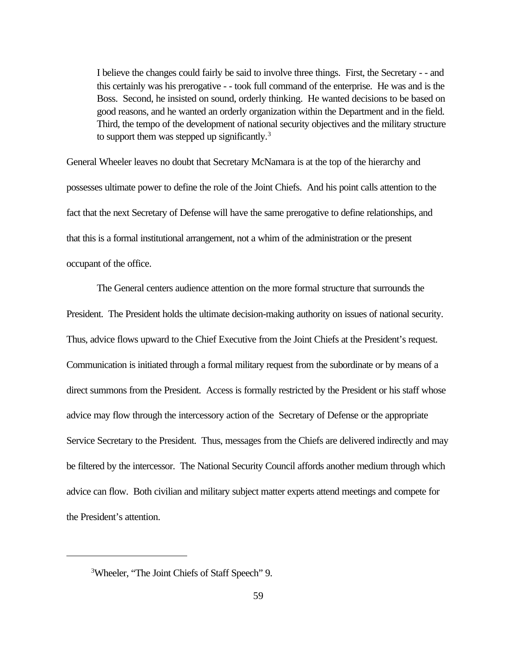I believe the changes could fairly be said to involve three things. First, the Secretary - - and this certainly was his prerogative - - took full command of the enterprise. He was and is the Boss. Second, he insisted on sound, orderly thinking. He wanted decisions to be based on good reasons, and he wanted an orderly organization within the Department and in the field. Third, the tempo of the development of national security objectives and the military structure to support them was stepped up significantly.<sup>3</sup>

General Wheeler leaves no doubt that Secretary McNamara is at the top of the hierarchy and possesses ultimate power to define the role of the Joint Chiefs. And his point calls attention to the fact that the next Secretary of Defense will have the same prerogative to define relationships, and that this is a formal institutional arrangement, not a whim of the administration or the present occupant of the office.

The General centers audience attention on the more formal structure that surrounds the President. The President holds the ultimate decision-making authority on issues of national security. Thus, advice flows upward to the Chief Executive from the Joint Chiefs at the President's request. Communication is initiated through a formal military request from the subordinate or by means of a direct summons from the President. Access is formally restricted by the President or his staff whose advice may flow through the intercessory action of the Secretary of Defense or the appropriate Service Secretary to the President. Thus, messages from the Chiefs are delivered indirectly and may be filtered by the intercessor. The National Security Council affords another medium through which advice can flow. Both civilian and military subject matter experts attend meetings and compete for the President's attention.

<sup>3</sup>Wheeler, "The Joint Chiefs of Staff Speech" 9.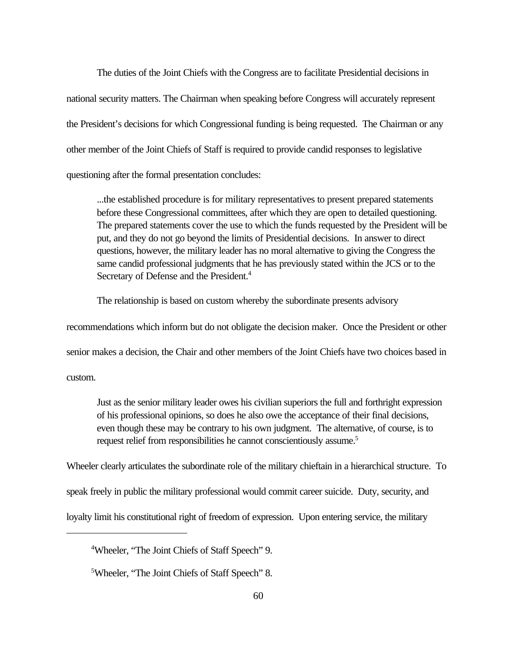The duties of the Joint Chiefs with the Congress are to facilitate Presidential decisions in national security matters. The Chairman when speaking before Congress will accurately represent the President's decisions for which Congressional funding is being requested. The Chairman or any other member of the Joint Chiefs of Staff is required to provide candid responses to legislative questioning after the formal presentation concludes:

...the established procedure is for military representatives to present prepared statements before these Congressional committees, after which they are open to detailed questioning. The prepared statements cover the use to which the funds requested by the President will be put, and they do not go beyond the limits of Presidential decisions. In answer to direct questions, however, the military leader has no moral alternative to giving the Congress the same candid professional judgments that he has previously stated within the JCS or to the Secretary of Defense and the President.<sup>4</sup>

The relationship is based on custom whereby the subordinate presents advisory

recommendations which inform but do not obligate the decision maker. Once the President or other senior makes a decision, the Chair and other members of the Joint Chiefs have two choices based in custom.

Just as the senior military leader owes his civilian superiors the full and forthright expression of his professional opinions, so does he also owe the acceptance of their final decisions, even though these may be contrary to his own judgment. The alternative, of course, is to request relief from responsibilities he cannot conscientiously assume.<sup>5</sup>

Wheeler clearly articulates the subordinate role of the military chieftain in a hierarchical structure. To speak freely in public the military professional would commit career suicide. Duty, security, and loyalty limit his constitutional right of freedom of expression. Upon entering service, the military

<sup>4</sup>Wheeler, "The Joint Chiefs of Staff Speech" 9.

<sup>5</sup>Wheeler, "The Joint Chiefs of Staff Speech" 8.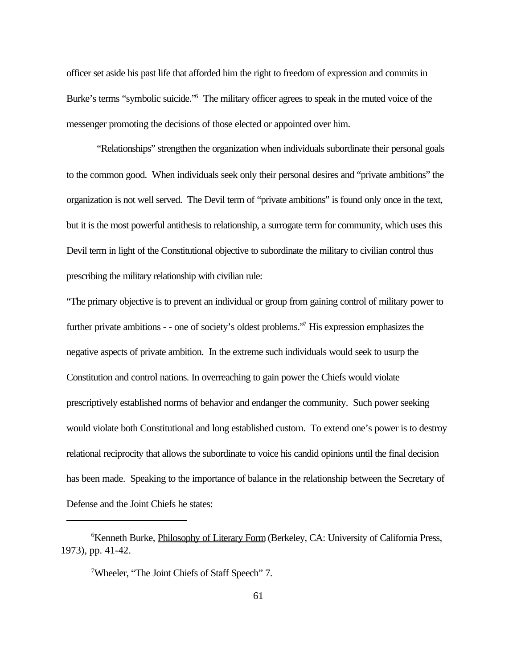officer set aside his past life that afforded him the right to freedom of expression and commits in Burke's terms "symbolic suicide."<sup>6</sup> The military officer agrees to speak in the muted voice of the messenger promoting the decisions of those elected or appointed over him.

"Relationships" strengthen the organization when individuals subordinate their personal goals to the common good. When individuals seek only their personal desires and "private ambitions" the organization is not well served. The Devil term of "private ambitions" is found only once in the text, but it is the most powerful antithesis to relationship, a surrogate term for community, which uses this Devil term in light of the Constitutional objective to subordinate the military to civilian control thus prescribing the military relationship with civilian rule:

"The primary objective is to prevent an individual or group from gaining control of military power to further private ambitions - - one of society's oldest problems."<sup>7</sup> His expression emphasizes the negative aspects of private ambition. In the extreme such individuals would seek to usurp the Constitution and control nations. In overreaching to gain power the Chiefs would violate prescriptively established norms of behavior and endanger the community. Such power seeking would violate both Constitutional and long established custom. To extend one's power is to destroy relational reciprocity that allows the subordinate to voice his candid opinions until the final decision has been made. Speaking to the importance of balance in the relationship between the Secretary of Defense and the Joint Chiefs he states:

<sup>&</sup>lt;sup>6</sup>Kenneth Burke, *Philosophy of Literary Form* (Berkeley, CA: University of California Press, 1973), pp. 41-42.

<sup>7</sup>Wheeler, "The Joint Chiefs of Staff Speech" 7.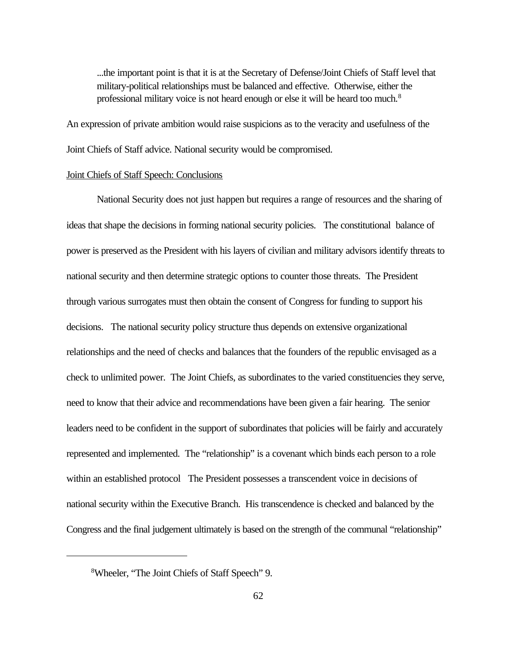...the important point is that it is at the Secretary of Defense/Joint Chiefs of Staff level that military-political relationships must be balanced and effective. Otherwise, either the professional military voice is not heard enough or else it will be heard too much.<sup>8</sup>

An expression of private ambition would raise suspicions as to the veracity and usefulness of the Joint Chiefs of Staff advice. National security would be compromised.

### Joint Chiefs of Staff Speech: Conclusions

National Security does not just happen but requires a range of resources and the sharing of ideas that shape the decisions in forming national security policies. The constitutional balance of power is preserved as the President with his layers of civilian and military advisors identify threats to national security and then determine strategic options to counter those threats. The President through various surrogates must then obtain the consent of Congress for funding to support his decisions. The national security policy structure thus depends on extensive organizational relationships and the need of checks and balances that the founders of the republic envisaged as a check to unlimited power. The Joint Chiefs, as subordinates to the varied constituencies they serve, need to know that their advice and recommendations have been given a fair hearing. The senior leaders need to be confident in the support of subordinates that policies will be fairly and accurately represented and implemented. The "relationship" is a covenant which binds each person to a role within an established protocol The President possesses a transcendent voice in decisions of national security within the Executive Branch. His transcendence is checked and balanced by the Congress and the final judgement ultimately is based on the strength of the communal "relationship"

<sup>8</sup>Wheeler, "The Joint Chiefs of Staff Speech" 9.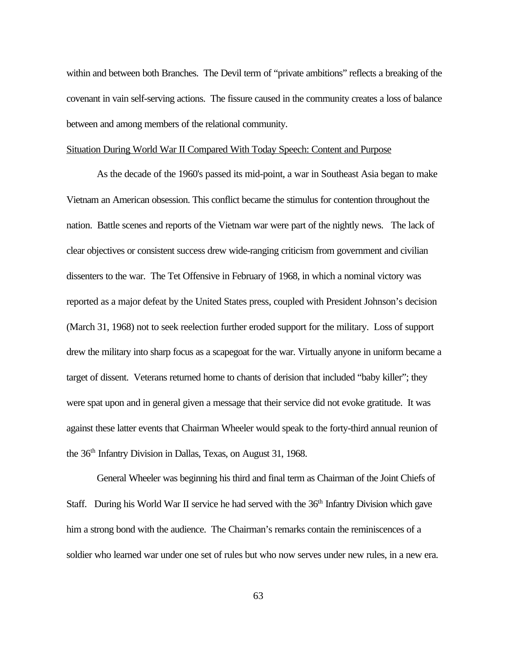within and between both Branches. The Devil term of "private ambitions" reflects a breaking of the covenant in vain self-serving actions. The fissure caused in the community creates a loss of balance between and among members of the relational community.

#### Situation During World War II Compared With Today Speech: Content and Purpose

As the decade of the 1960's passed its mid-point, a war in Southeast Asia began to make Vietnam an American obsession. This conflict became the stimulus for contention throughout the nation. Battle scenes and reports of the Vietnam war were part of the nightly news. The lack of clear objectives or consistent success drew wide-ranging criticism from government and civilian dissenters to the war. The Tet Offensive in February of 1968, in which a nominal victory was reported as a major defeat by the United States press, coupled with President Johnson's decision (March 31, 1968) not to seek reelection further eroded support for the military. Loss of support drew the military into sharp focus as a scapegoat for the war. Virtually anyone in uniform became a target of dissent. Veterans returned home to chants of derision that included "baby killer"; they were spat upon and in general given a message that their service did not evoke gratitude. It was against these latter events that Chairman Wheeler would speak to the forty-third annual reunion of the 36th Infantry Division in Dallas, Texas, on August 31, 1968.

General Wheeler was beginning his third and final term as Chairman of the Joint Chiefs of Staff. During his World War II service he had served with the  $36<sup>th</sup>$  Infantry Division which gave him a strong bond with the audience. The Chairman's remarks contain the reminiscences of a soldier who learned war under one set of rules but who now serves under new rules, in a new era.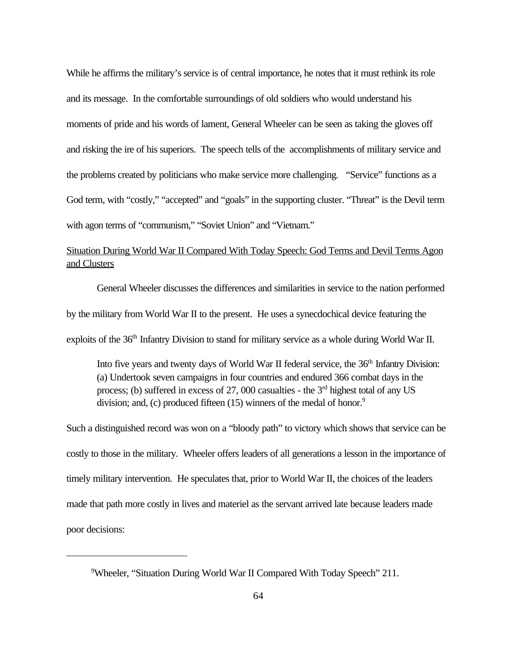While he affirms the military's service is of central importance, he notes that it must rethink its role and its message. In the comfortable surroundings of old soldiers who would understand his moments of pride and his words of lament, General Wheeler can be seen as taking the gloves off and risking the ire of his superiors. The speech tells of the accomplishments of military service and the problems created by politicians who make service more challenging. "Service" functions as a God term, with "costly," "accepted" and "goals" in the supporting cluster. "Threat" is the Devil term with agon terms of "communism," "Soviet Union" and "Vietnam."

# Situation During World War II Compared With Today Speech: God Terms and Devil Terms Agon and Clusters

General Wheeler discusses the differences and similarities in service to the nation performed by the military from World War II to the present. He uses a synecdochical device featuring the exploits of the 36<sup>th</sup> Infantry Division to stand for military service as a whole during World War II.

Into five years and twenty days of World War II federal service, the 36<sup>th</sup> Infantry Division: (a) Undertook seven campaigns in four countries and endured 366 combat days in the process; (b) suffered in excess of 27, 000 casualties - the 3rd highest total of any US division; and, (c) produced fifteen (15) winners of the medal of honor.<sup>9</sup>

Such a distinguished record was won on a "bloody path" to victory which shows that service can be costly to those in the military. Wheeler offers leaders of all generations a lesson in the importance of timely military intervention. He speculates that, prior to World War II, the choices of the leaders made that path more costly in lives and materiel as the servant arrived late because leaders made poor decisions:

<sup>&</sup>lt;sup>9</sup>Wheeler, "Situation During World War II Compared With Today Speech" 211.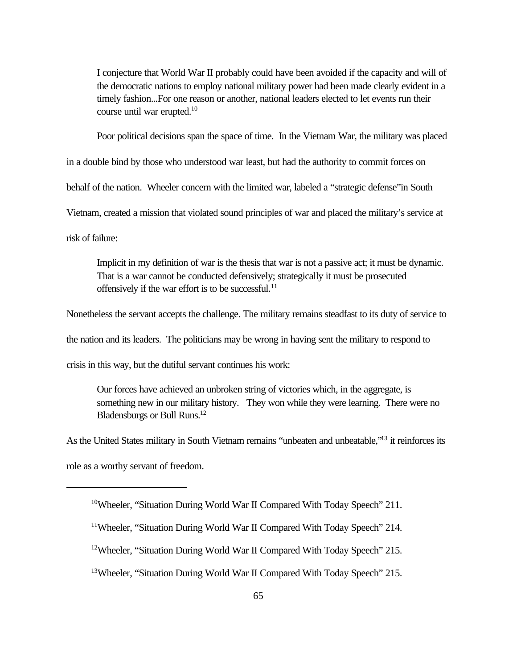I conjecture that World War II probably could have been avoided if the capacity and will of the democratic nations to employ national military power had been made clearly evident in a timely fashion...For one reason or another, national leaders elected to let events run their course until war erupted.<sup>10</sup>

Poor political decisions span the space of time. In the Vietnam War, the military was placed

in a double bind by those who understood war least, but had the authority to commit forces on

behalf of the nation. Wheeler concern with the limited war, labeled a "strategic defense"in South

Vietnam, created a mission that violated sound principles of war and placed the military's service at

risk of failure:

Implicit in my definition of war is the thesis that war is not a passive act; it must be dynamic. That is a war cannot be conducted defensively; strategically it must be prosecuted offensively if the war effort is to be successful. $^{11}$ 

Nonetheless the servant accepts the challenge. The military remains steadfast to its duty of service to

the nation and its leaders. The politicians may be wrong in having sent the military to respond to

crisis in this way, but the dutiful servant continues his work:

Our forces have achieved an unbroken string of victories which, in the aggregate, is something new in our military history. They won while they were learning. There were no Bladensburgs or Bull Runs.<sup>12</sup>

As the United States military in South Vietnam remains "unbeaten and unbeatable,"<sup>13</sup> it reinforces its

role as a worthy servant of freedom.

<sup>&</sup>lt;sup>10</sup>Wheeler, "Situation During World War II Compared With Today Speech" 211.

<sup>&</sup>lt;sup>11</sup>Wheeler, "Situation During World War II Compared With Today Speech" 214.

<sup>&</sup>lt;sup>12</sup>Wheeler, "Situation During World War II Compared With Today Speech" 215.

<sup>&</sup>lt;sup>13</sup>Wheeler, "Situation During World War II Compared With Today Speech" 215.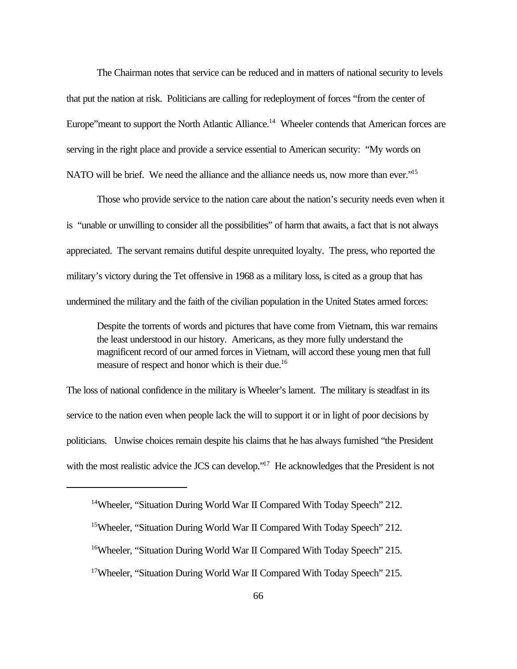The Chairman notes that service can be reduced and in matters of national security to levels that put the nation at risk. Politicians are calling for redeployment of forces "from the center of Europe" meant to support the North Atlantic Alliance.<sup>14</sup> Wheeler contends that American forces are serving in the right place and provide a service essential to American security: "My words on NATO will be brief. We need the alliance and the alliance needs us, now more than ever."<sup>15</sup>

Those who provide service to the nation care about the nation's security needs even when it is "unable or unwilling to consider all the possibilities" of harm that awaits, a fact that is not always appreciated. The servant remains dutiful despite unrequited loyalty. The press, who reported the military's victory during the Tet offensive in 1968 as a military loss, is cited as a group that has undermined the military and the faith of the civilian population in the United States armed forces:

Despite the torrents of words and pictures that have come from Vietnam, this war remains the least understood in our history. Americans, as they more fully understand the magnificent record of our armed forces in Vietnam, will accord these young men that full measure of respect and honor which is their due.<sup>16</sup>

The loss of national confidence in the military is Wheeler's lament. The military is steadfast in its service to the nation even when people lack the will to support it or in light of poor decisions by politicians. Unwise choices remain despite his claims that he has always furnished "the President with the most realistic advice the JCS can develop."<sup>17</sup> He acknowledges that the President is not

<sup>&</sup>lt;sup>14</sup>Wheeler, "Situation During World War II Compared With Today Speech" 212.

<sup>&</sup>lt;sup>15</sup>Wheeler, "Situation During World War II Compared With Today Speech" 212.

<sup>&</sup>lt;sup>16</sup>Wheeler, "Situation During World War II Compared With Today Speech" 215.

<sup>&</sup>lt;sup>17</sup>Wheeler, "Situation During World War II Compared With Today Speech" 215.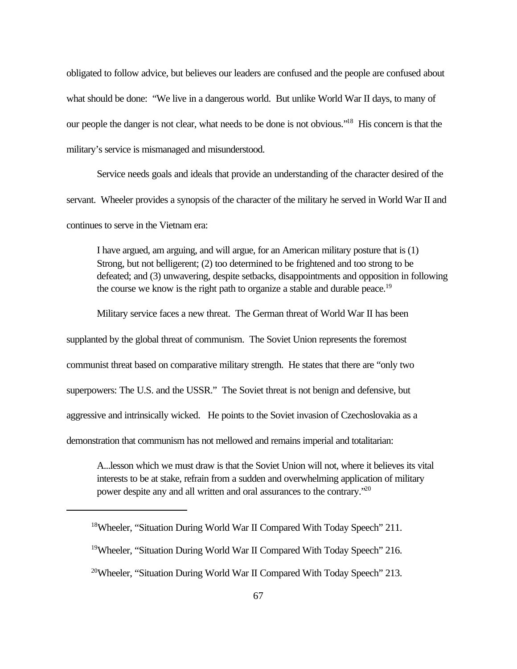obligated to follow advice, but believes our leaders are confused and the people are confused about what should be done: "We live in a dangerous world. But unlike World War II days, to many of our people the danger is not clear, what needs to be done is not obvious."<sup>18</sup> His concern is that the military's service is mismanaged and misunderstood.

Service needs goals and ideals that provide an understanding of the character desired of the servant. Wheeler provides a synopsis of the character of the military he served in World War II and continues to serve in the Vietnam era:

I have argued, am arguing, and will argue, for an American military posture that is (1) Strong, but not belligerent; (2) too determined to be frightened and too strong to be defeated; and (3) unwavering, despite setbacks, disappointments and opposition in following the course we know is the right path to organize a stable and durable peace.<sup>19</sup>

Military service faces a new threat. The German threat of World War II has been supplanted by the global threat of communism. The Soviet Union represents the foremost communist threat based on comparative military strength. He states that there are "only two superpowers: The U.S. and the USSR." The Soviet threat is not benign and defensive, but aggressive and intrinsically wicked. He points to the Soviet invasion of Czechoslovakia as a demonstration that communism has not mellowed and remains imperial and totalitarian:

A...lesson which we must draw is that the Soviet Union will not, where it believes its vital interests to be at stake, refrain from a sudden and overwhelming application of military power despite any and all written and oral assurances to the contrary."20

<sup>&</sup>lt;sup>18</sup>Wheeler, "Situation During World War II Compared With Today Speech" 211.

<sup>19</sup>Wheeler, "Situation During World War II Compared With Today Speech" 216.

<sup>&</sup>lt;sup>20</sup>Wheeler, "Situation During World War II Compared With Today Speech" 213.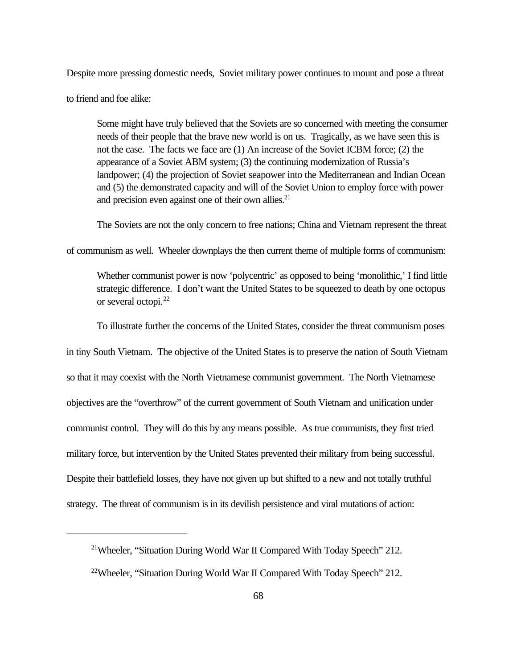Despite more pressing domestic needs, Soviet military power continues to mount and pose a threat to friend and foe alike:

Some might have truly believed that the Soviets are so concerned with meeting the consumer needs of their people that the brave new world is on us. Tragically, as we have seen this is not the case. The facts we face are (1) An increase of the Soviet ICBM force; (2) the appearance of a Soviet ABM system; (3) the continuing modernization of Russia's landpower; (4) the projection of Soviet seapower into the Mediterranean and Indian Ocean and (5) the demonstrated capacity and will of the Soviet Union to employ force with power and precision even against one of their own allies.<sup>21</sup>

The Soviets are not the only concern to free nations; China and Vietnam represent the threat

of communism as well. Wheeler downplays the then current theme of multiple forms of communism:

Whether communist power is now 'polycentric' as opposed to being 'monolithic,' I find little strategic difference. I don't want the United States to be squeezed to death by one octopus or several octopi.<sup>22</sup>

To illustrate further the concerns of the United States, consider the threat communism poses

in tiny South Vietnam. The objective of the United States is to preserve the nation of South Vietnam so that it may coexist with the North Vietnamese communist government. The North Vietnamese objectives are the "overthrow" of the current government of South Vietnam and unification under communist control. They will do this by any means possible. As true communists, they first tried military force, but intervention by the United States prevented their military from being successful. Despite their battlefield losses, they have not given up but shifted to a new and not totally truthful strategy. The threat of communism is in its devilish persistence and viral mutations of action:

<sup>&</sup>lt;sup>21</sup>Wheeler, "Situation During World War II Compared With Today Speech" 212.

<sup>&</sup>lt;sup>22</sup>Wheeler, "Situation During World War II Compared With Today Speech" 212.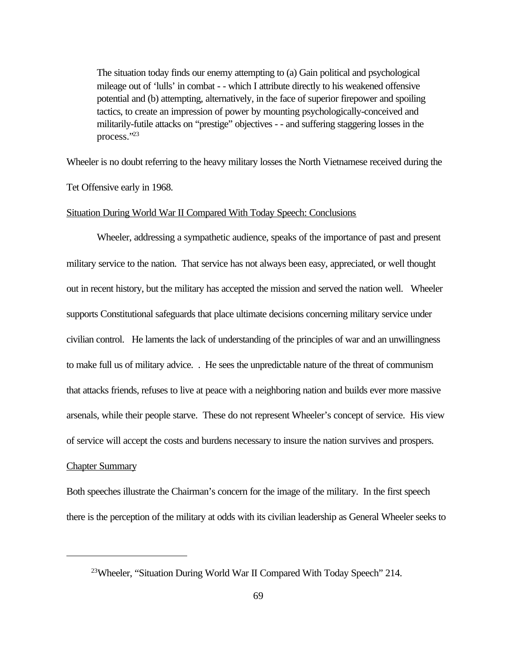The situation today finds our enemy attempting to (a) Gain political and psychological mileage out of 'lulls' in combat - - which I attribute directly to his weakened offensive potential and (b) attempting, alternatively, in the face of superior firepower and spoiling tactics, to create an impression of power by mounting psychologically-conceived and militarily-futile attacks on "prestige" objectives - - and suffering staggering losses in the process."<sup>23</sup>

Wheeler is no doubt referring to the heavy military losses the North Vietnamese received during the

Tet Offensive early in 1968.

## Situation During World War II Compared With Today Speech: Conclusions

Wheeler, addressing a sympathetic audience, speaks of the importance of past and present military service to the nation. That service has not always been easy, appreciated, or well thought out in recent history, but the military has accepted the mission and served the nation well. Wheeler supports Constitutional safeguards that place ultimate decisions concerning military service under civilian control. He laments the lack of understanding of the principles of war and an unwillingness to make full us of military advice. . He sees the unpredictable nature of the threat of communism that attacks friends, refuses to live at peace with a neighboring nation and builds ever more massive arsenals, while their people starve. These do not represent Wheeler's concept of service. His view of service will accept the costs and burdens necessary to insure the nation survives and prospers.

## Chapter Summary

Both speeches illustrate the Chairman's concern for the image of the military. In the first speech there is the perception of the military at odds with its civilian leadership as General Wheeler seeks to

<sup>&</sup>lt;sup>23</sup>Wheeler, "Situation During World War II Compared With Today Speech" 214.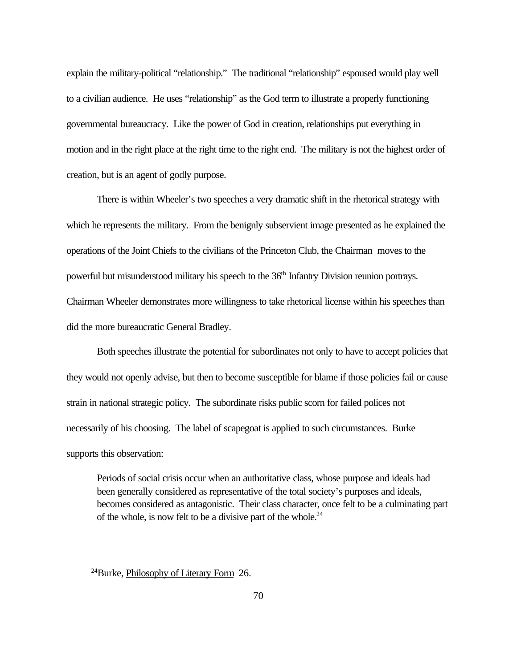explain the military-political "relationship." The traditional "relationship" espoused would play well to a civilian audience. He uses "relationship" as the God term to illustrate a properly functioning governmental bureaucracy. Like the power of God in creation, relationships put everything in motion and in the right place at the right time to the right end. The military is not the highest order of creation, but is an agent of godly purpose.

There is within Wheeler's two speeches a very dramatic shift in the rhetorical strategy with which he represents the military. From the benignly subservient image presented as he explained the operations of the Joint Chiefs to the civilians of the Princeton Club, the Chairman moves to the powerful but misunderstood military his speech to the 36<sup>th</sup> Infantry Division reunion portrays. Chairman Wheeler demonstrates more willingness to take rhetorical license within his speeches than did the more bureaucratic General Bradley.

Both speeches illustrate the potential for subordinates not only to have to accept policies that they would not openly advise, but then to become susceptible for blame if those policies fail or cause strain in national strategic policy. The subordinate risks public scorn for failed polices not necessarily of his choosing. The label of scapegoat is applied to such circumstances. Burke supports this observation:

Periods of social crisis occur when an authoritative class, whose purpose and ideals had been generally considered as representative of the total society's purposes and ideals, becomes considered as antagonistic. Their class character, once felt to be a culminating part of the whole, is now felt to be a divisive part of the whole. $24$ 

<sup>24</sup>Burke, Philosophy of Literary Form 26.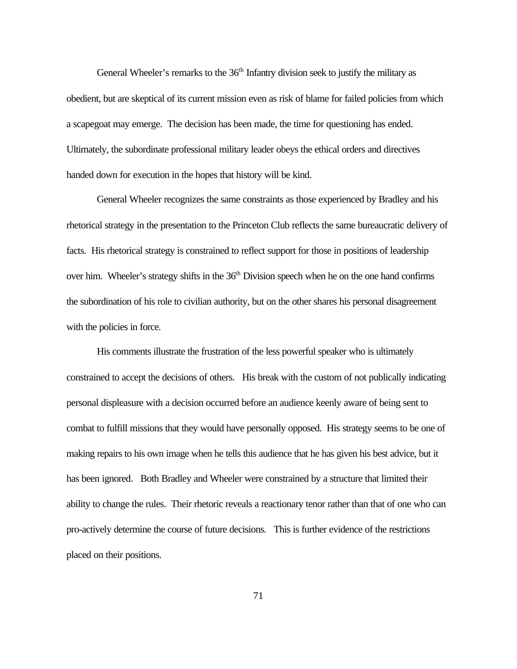General Wheeler's remarks to the 36<sup>th</sup> Infantry division seek to justify the military as obedient, but are skeptical of its current mission even as risk of blame for failed policies from which a scapegoat may emerge. The decision has been made, the time for questioning has ended. Ultimately, the subordinate professional military leader obeys the ethical orders and directives handed down for execution in the hopes that history will be kind.

General Wheeler recognizes the same constraints as those experienced by Bradley and his rhetorical strategy in the presentation to the Princeton Club reflects the same bureaucratic delivery of facts. His rhetorical strategy is constrained to reflect support for those in positions of leadership over him. Wheeler's strategy shifts in the  $36<sup>th</sup>$  Division speech when he on the one hand confirms the subordination of his role to civilian authority, but on the other shares his personal disagreement with the policies in force.

His comments illustrate the frustration of the less powerful speaker who is ultimately constrained to accept the decisions of others. His break with the custom of not publically indicating personal displeasure with a decision occurred before an audience keenly aware of being sent to combat to fulfill missions that they would have personally opposed. His strategy seems to be one of making repairs to his own image when he tells this audience that he has given his best advice, but it has been ignored. Both Bradley and Wheeler were constrained by a structure that limited their ability to change the rules. Their rhetoric reveals a reactionary tenor rather than that of one who can pro-actively determine the course of future decisions. This is further evidence of the restrictions placed on their positions.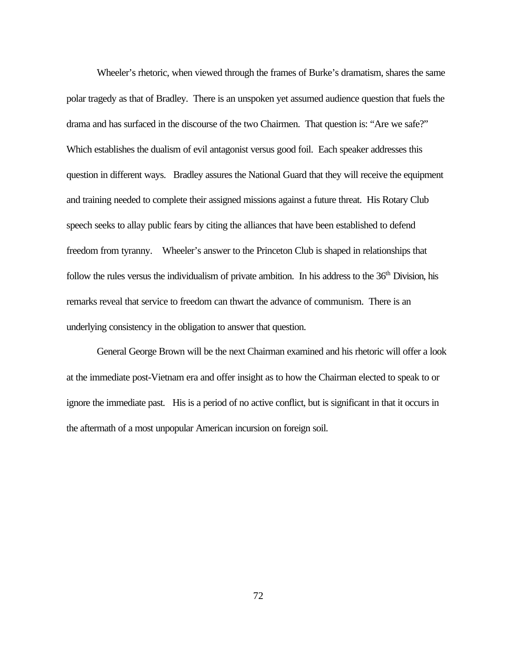Wheeler's rhetoric, when viewed through the frames of Burke's dramatism, shares the same polar tragedy as that of Bradley. There is an unspoken yet assumed audience question that fuels the drama and has surfaced in the discourse of the two Chairmen. That question is: "Are we safe?" Which establishes the dualism of evil antagonist versus good foil. Each speaker addresses this question in different ways. Bradley assures the National Guard that they will receive the equipment and training needed to complete their assigned missions against a future threat. His Rotary Club speech seeks to allay public fears by citing the alliances that have been established to defend freedom from tyranny. Wheeler's answer to the Princeton Club is shaped in relationships that follow the rules versus the individualism of private ambition. In his address to the  $36<sup>th</sup>$  Division, his remarks reveal that service to freedom can thwart the advance of communism. There is an underlying consistency in the obligation to answer that question.

General George Brown will be the next Chairman examined and his rhetoric will offer a look at the immediate post-Vietnam era and offer insight as to how the Chairman elected to speak to or ignore the immediate past. His is a period of no active conflict, but is significant in that it occurs in the aftermath of a most unpopular American incursion on foreign soil.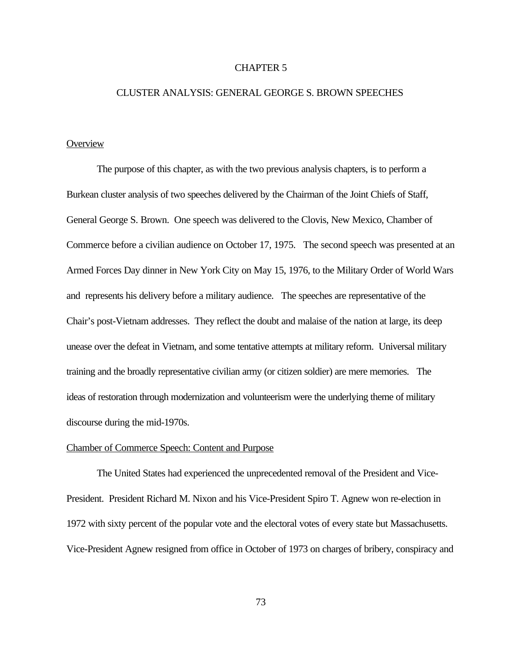### CHAPTER 5

# CLUSTER ANALYSIS: GENERAL GEORGE S. BROWN SPEECHES

## **Overview**

The purpose of this chapter, as with the two previous analysis chapters, is to perform a Burkean cluster analysis of two speeches delivered by the Chairman of the Joint Chiefs of Staff, General George S. Brown. One speech was delivered to the Clovis, New Mexico, Chamber of Commerce before a civilian audience on October 17, 1975. The second speech was presented at an Armed Forces Day dinner in New York City on May 15, 1976, to the Military Order of World Wars and represents his delivery before a military audience. The speeches are representative of the Chair's post-Vietnam addresses. They reflect the doubt and malaise of the nation at large, its deep unease over the defeat in Vietnam, and some tentative attempts at military reform. Universal military training and the broadly representative civilian army (or citizen soldier) are mere memories. The ideas of restoration through modernization and volunteerism were the underlying theme of military discourse during the mid-1970s.

## Chamber of Commerce Speech: Content and Purpose

The United States had experienced the unprecedented removal of the President and Vice-President. President Richard M. Nixon and his Vice-President Spiro T. Agnew won re-election in 1972 with sixty percent of the popular vote and the electoral votes of every state but Massachusetts. Vice-President Agnew resigned from office in October of 1973 on charges of bribery, conspiracy and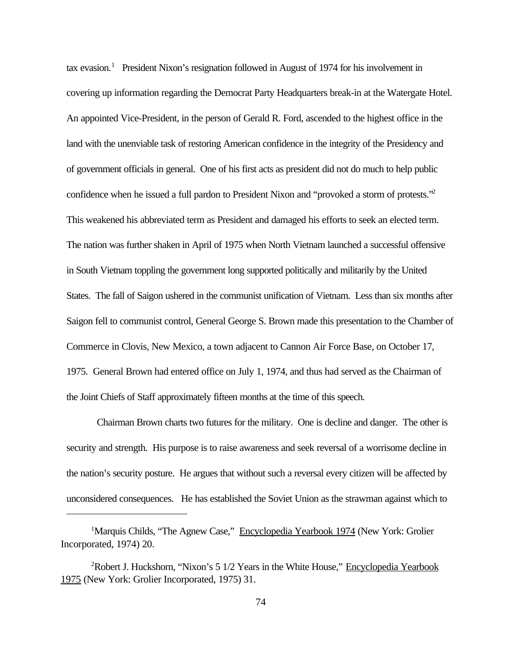tax evasion.<sup>1</sup> President Nixon's resignation followed in August of 1974 for his involvement in covering up information regarding the Democrat Party Headquarters break-in at the Watergate Hotel. An appointed Vice-President, in the person of Gerald R. Ford, ascended to the highest office in the land with the unenviable task of restoring American confidence in the integrity of the Presidency and of government officials in general. One of his first acts as president did not do much to help public confidence when he issued a full pardon to President Nixon and "provoked a storm of protests."<sup>2</sup> This weakened his abbreviated term as President and damaged his efforts to seek an elected term. The nation was further shaken in April of 1975 when North Vietnam launched a successful offensive in South Vietnam toppling the government long supported politically and militarily by the United States. The fall of Saigon ushered in the communist unification of Vietnam. Less than six months after Saigon fell to communist control, General George S. Brown made this presentation to the Chamber of Commerce in Clovis, New Mexico, a town adjacent to Cannon Air Force Base, on October 17, 1975. General Brown had entered office on July 1, 1974, and thus had served as the Chairman of the Joint Chiefs of Staff approximately fifteen months at the time of this speech.

Chairman Brown charts two futures for the military. One is decline and danger. The other is security and strength. His purpose is to raise awareness and seek reversal of a worrisome decline in the nation's security posture. He argues that without such a reversal every citizen will be affected by unconsidered consequences. He has established the Soviet Union as the strawman against which to

<sup>&</sup>lt;sup>1</sup>Marquis Childs, "The Agnew Case," Encyclopedia Yearbook 1974 (New York: Grolier Incorporated, 1974) 20.

<sup>&</sup>lt;sup>2</sup>Robert J. Huckshorn, "Nixon's 5 1/2 Years in the White House," Encyclopedia Yearbook 1975 (New York: Grolier Incorporated, 1975) 31.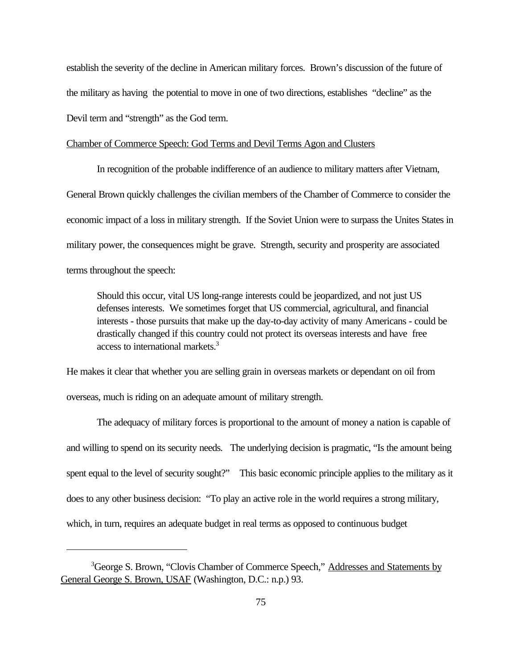establish the severity of the decline in American military forces. Brown's discussion of the future of the military as having the potential to move in one of two directions, establishes "decline" as the Devil term and "strength" as the God term.

## Chamber of Commerce Speech: God Terms and Devil Terms Agon and Clusters

In recognition of the probable indifference of an audience to military matters after Vietnam, General Brown quickly challenges the civilian members of the Chamber of Commerce to consider the economic impact of a loss in military strength. If the Soviet Union were to surpass the Unites States in military power, the consequences might be grave. Strength, security and prosperity are associated terms throughout the speech:

Should this occur, vital US long-range interests could be jeopardized, and not just US defenses interests. We sometimes forget that US commercial, agricultural, and financial interests - those pursuits that make up the day-to-day activity of many Americans - could be drastically changed if this country could not protect its overseas interests and have free access to international markets.<sup>3</sup>

He makes it clear that whether you are selling grain in overseas markets or dependant on oil from overseas, much is riding on an adequate amount of military strength.

The adequacy of military forces is proportional to the amount of money a nation is capable of and willing to spend on its security needs. The underlying decision is pragmatic, "Is the amount being spent equal to the level of security sought?" This basic economic principle applies to the military as it does to any other business decision: "To play an active role in the world requires a strong military, which, in turn, requires an adequate budget in real terms as opposed to continuous budget

<sup>&</sup>lt;sup>3</sup>George S. Brown, "Clovis Chamber of Commerce Speech," Addresses and Statements by General George S. Brown, USAF (Washington, D.C.: n.p.) 93.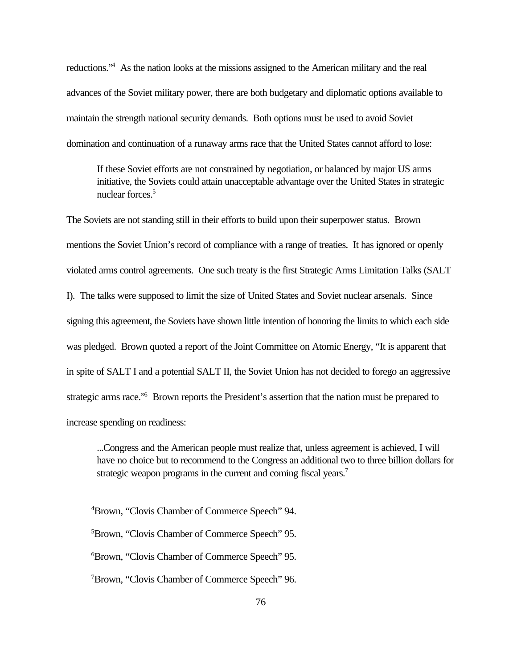reductions."<sup>4</sup> As the nation looks at the missions assigned to the American military and the real advances of the Soviet military power, there are both budgetary and diplomatic options available to maintain the strength national security demands. Both options must be used to avoid Soviet domination and continuation of a runaway arms race that the United States cannot afford to lose:

If these Soviet efforts are not constrained by negotiation, or balanced by major US arms initiative, the Soviets could attain unacceptable advantage over the United States in strategic nuclear forces.<sup>5</sup>

The Soviets are not standing still in their efforts to build upon their superpower status. Brown mentions the Soviet Union's record of compliance with a range of treaties. It has ignored or openly violated arms control agreements. One such treaty is the first Strategic Arms Limitation Talks (SALT I). The talks were supposed to limit the size of United States and Soviet nuclear arsenals. Since signing this agreement, the Soviets have shown little intention of honoring the limits to which each side was pledged. Brown quoted a report of the Joint Committee on Atomic Energy, "It is apparent that in spite of SALT I and a potential SALT II, the Soviet Union has not decided to forego an aggressive strategic arms race.<sup>76</sup> Brown reports the President's assertion that the nation must be prepared to increase spending on readiness:

...Congress and the American people must realize that, unless agreement is achieved, I will have no choice but to recommend to the Congress an additional two to three billion dollars for strategic weapon programs in the current and coming fiscal years.<sup>7</sup>

<sup>4</sup>Brown, "Clovis Chamber of Commerce Speech" 94.

<sup>5</sup>Brown, "Clovis Chamber of Commerce Speech" 95.

<sup>6</sup>Brown, "Clovis Chamber of Commerce Speech" 95.

<sup>7</sup>Brown, "Clovis Chamber of Commerce Speech" 96.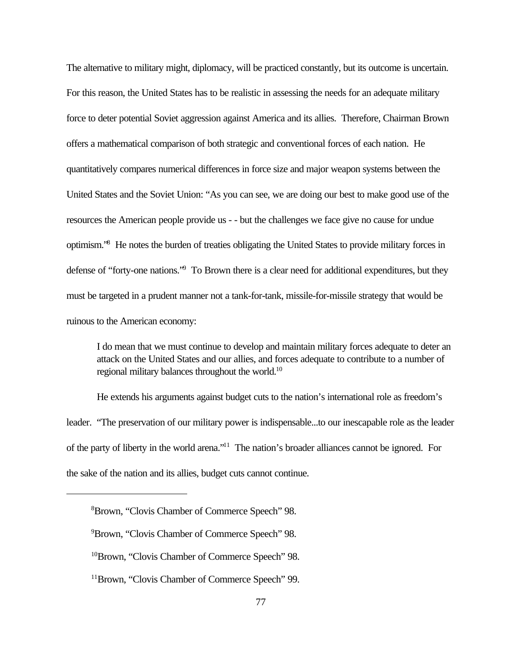The alternative to military might, diplomacy, will be practiced constantly, but its outcome is uncertain. For this reason, the United States has to be realistic in assessing the needs for an adequate military force to deter potential Soviet aggression against America and its allies. Therefore, Chairman Brown offers a mathematical comparison of both strategic and conventional forces of each nation. He quantitatively compares numerical differences in force size and major weapon systems between the United States and the Soviet Union: "As you can see, we are doing our best to make good use of the resources the American people provide us - - but the challenges we face give no cause for undue optimism."<sup>8</sup> He notes the burden of treaties obligating the United States to provide military forces in defense of "forty-one nations." To Brown there is a clear need for additional expenditures, but they must be targeted in a prudent manner not a tank-for-tank, missile-for-missile strategy that would be ruinous to the American economy:

I do mean that we must continue to develop and maintain military forces adequate to deter an attack on the United States and our allies, and forces adequate to contribute to a number of regional military balances throughout the world.<sup>10</sup>

He extends his arguments against budget cuts to the nation's international role as freedom's leader. "The preservation of our military power is indispensable...to our inescapable role as the leader of the party of liberty in the world arena."<sup>11</sup> The nation's broader alliances cannot be ignored. For the sake of the nation and its allies, budget cuts cannot continue.

<sup>8</sup>Brown, "Clovis Chamber of Commerce Speech" 98.

<sup>9</sup>Brown, "Clovis Chamber of Commerce Speech" 98.

<sup>10</sup>Brown, "Clovis Chamber of Commerce Speech" 98.

<sup>11</sup>Brown, "Clovis Chamber of Commerce Speech" 99.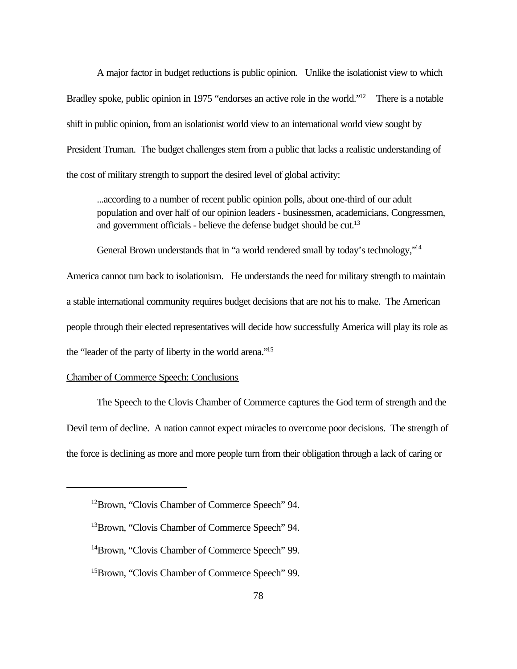A major factor in budget reductions is public opinion. Unlike the isolationist view to which Bradley spoke, public opinion in 1975 "endorses an active role in the world."<sup>12</sup> There is a notable shift in public opinion, from an isolationist world view to an international world view sought by President Truman. The budget challenges stem from a public that lacks a realistic understanding of the cost of military strength to support the desired level of global activity:

...according to a number of recent public opinion polls, about one-third of our adult population and over half of our opinion leaders - businessmen, academicians, Congressmen, and government officials - believe the defense budget should be cut.<sup>13</sup>

General Brown understands that in "a world rendered small by today's technology,"<sup>14</sup>

America cannot turn back to isolationism. He understands the need for military strength to maintain a stable international community requires budget decisions that are not his to make. The American people through their elected representatives will decide how successfully America will play its role as the "leader of the party of liberty in the world arena."<sup>15</sup>

## Chamber of Commerce Speech: Conclusions

The Speech to the Clovis Chamber of Commerce captures the God term of strength and the Devil term of decline. A nation cannot expect miracles to overcome poor decisions. The strength of the force is declining as more and more people turn from their obligation through a lack of caring or

<sup>12</sup>Brown, "Clovis Chamber of Commerce Speech" 94.

<sup>13</sup>Brown, "Clovis Chamber of Commerce Speech" 94.

<sup>&</sup>lt;sup>14</sup>Brown, "Clovis Chamber of Commerce Speech" 99.

<sup>15</sup>Brown, "Clovis Chamber of Commerce Speech" 99.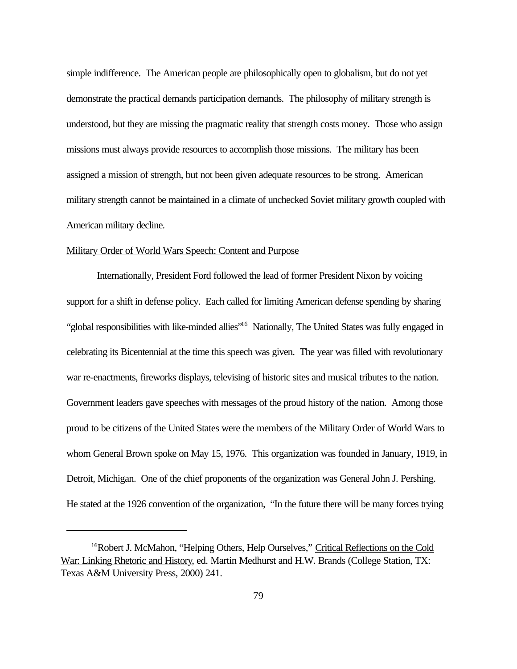simple indifference. The American people are philosophically open to globalism, but do not yet demonstrate the practical demands participation demands. The philosophy of military strength is understood, but they are missing the pragmatic reality that strength costs money. Those who assign missions must always provide resources to accomplish those missions. The military has been assigned a mission of strength, but not been given adequate resources to be strong. American military strength cannot be maintained in a climate of unchecked Soviet military growth coupled with American military decline.

# Military Order of World Wars Speech: Content and Purpose

Internationally, President Ford followed the lead of former President Nixon by voicing support for a shift in defense policy. Each called for limiting American defense spending by sharing "global responsibilities with like-minded allies"<sup>16</sup> Nationally, The United States was fully engaged in celebrating its Bicentennial at the time this speech was given. The year was filled with revolutionary war re-enactments, fireworks displays, televising of historic sites and musical tributes to the nation. Government leaders gave speeches with messages of the proud history of the nation. Among those proud to be citizens of the United States were the members of the Military Order of World Wars to whom General Brown spoke on May 15, 1976. This organization was founded in January, 1919, in Detroit, Michigan. One of the chief proponents of the organization was General John J. Pershing. He stated at the 1926 convention of the organization, "In the future there will be many forces trying

<sup>&</sup>lt;sup>16</sup>Robert J. McMahon, "Helping Others, Help Ourselves," Critical Reflections on the Cold War: Linking Rhetoric and History, ed. Martin Medhurst and H.W. Brands (College Station, TX: Texas A&M University Press, 2000) 241.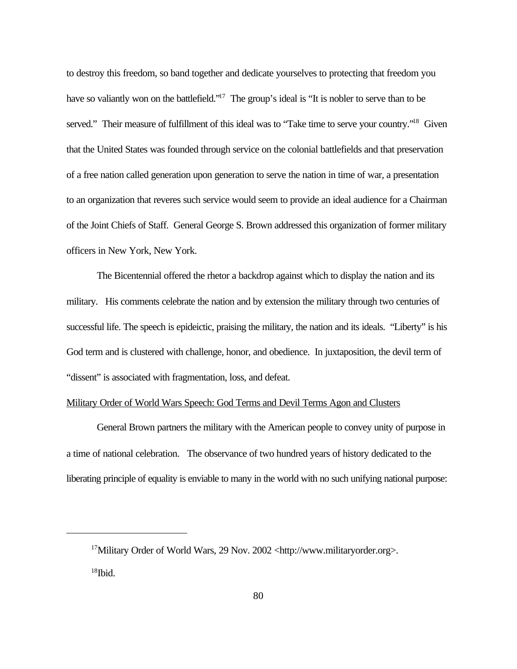to destroy this freedom, so band together and dedicate yourselves to protecting that freedom you have so valiantly won on the battlefield."<sup>17</sup> The group's ideal is "It is nobler to serve than to be served." Their measure of fulfillment of this ideal was to "Take time to serve your country."<sup>18</sup> Given that the United States was founded through service on the colonial battlefields and that preservation of a free nation called generation upon generation to serve the nation in time of war, a presentation to an organization that reveres such service would seem to provide an ideal audience for a Chairman of the Joint Chiefs of Staff. General George S. Brown addressed this organization of former military officers in New York, New York.

The Bicentennial offered the rhetor a backdrop against which to display the nation and its military. His comments celebrate the nation and by extension the military through two centuries of successful life. The speech is epideictic, praising the military, the nation and its ideals. "Liberty" is his God term and is clustered with challenge, honor, and obedience. In juxtaposition, the devil term of "dissent" is associated with fragmentation, loss, and defeat.

## Military Order of World Wars Speech: God Terms and Devil Terms Agon and Clusters

General Brown partners the military with the American people to convey unity of purpose in a time of national celebration. The observance of two hundred years of history dedicated to the liberating principle of equality is enviable to many in the world with no such unifying national purpose:

<sup>17</sup>Military Order of World Wars, 29 Nov. 2002 <http://www.militaryorder.org>.  $18$ Ibid.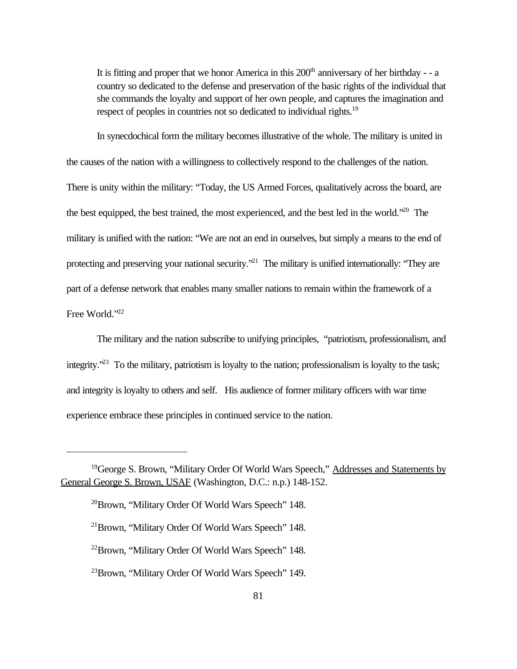It is fitting and proper that we honor America in this  $200<sup>th</sup>$  anniversary of her birthday - - a country so dedicated to the defense and preservation of the basic rights of the individual that she commands the loyalty and support of her own people, and captures the imagination and respect of peoples in countries not so dedicated to individual rights.<sup>19</sup>

In synecdochical form the military becomes illustrative of the whole. The military is united in the causes of the nation with a willingness to collectively respond to the challenges of the nation. There is unity within the military: "Today, the US Armed Forces, qualitatively across the board, are the best equipped, the best trained, the most experienced, and the best led in the world."<sup>20</sup> The military is unified with the nation: "We are not an end in ourselves, but simply a means to the end of protecting and preserving your national security."<sup>21</sup> The military is unified internationally: "They are part of a defense network that enables many smaller nations to remain within the framework of a Free World."22

The military and the nation subscribe to unifying principles, "patriotism, professionalism, and integrity."<sup>23</sup> To the military, patriotism is loyalty to the nation; professionalism is loyalty to the task; and integrity is loyalty to others and self. His audience of former military officers with war time experience embrace these principles in continued service to the nation.

<sup>&</sup>lt;sup>19</sup>George S. Brown, "Military Order Of World Wars Speech," Addresses and Statements by General George S. Brown, USAF (Washington, D.C.: n.p.) 148-152.

<sup>20</sup>Brown, "Military Order Of World Wars Speech" 148.

<sup>21</sup>Brown, "Military Order Of World Wars Speech" 148.

<sup>22</sup>Brown, "Military Order Of World Wars Speech" 148.

<sup>23</sup>Brown, "Military Order Of World Wars Speech" 149.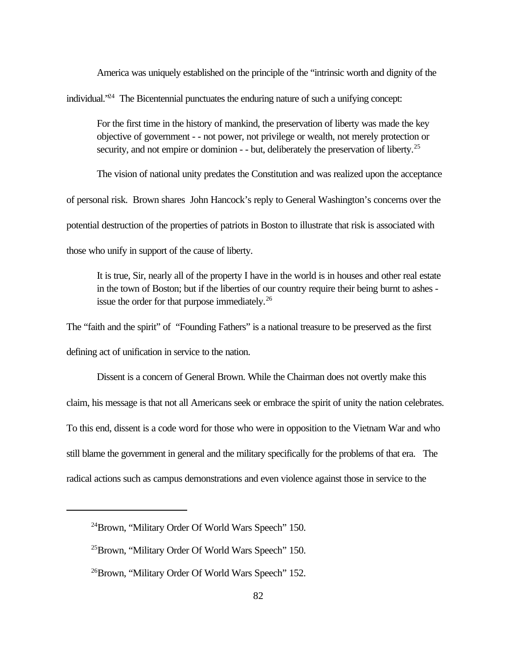America was uniquely established on the principle of the "intrinsic worth and dignity of the

individual."<sup>24</sup> The Bicentennial punctuates the enduring nature of such a unifying concept:

For the first time in the history of mankind, the preservation of liberty was made the key objective of government - - not power, not privilege or wealth, not merely protection or security, and not empire or dominion - - but, deliberately the preservation of liberty.<sup>25</sup>

The vision of national unity predates the Constitution and was realized upon the acceptance of personal risk. Brown shares John Hancock's reply to General Washington's concerns over the potential destruction of the properties of patriots in Boston to illustrate that risk is associated with

those who unify in support of the cause of liberty.

It is true, Sir, nearly all of the property I have in the world is in houses and other real estate in the town of Boston; but if the liberties of our country require their being burnt to ashes issue the order for that purpose immediately.<sup>26</sup>

The "faith and the spirit" of "Founding Fathers" is a national treasure to be preserved as the first

defining act of unification in service to the nation.

Dissent is a concern of General Brown. While the Chairman does not overtly make this claim, his message is that not all Americans seek or embrace the spirit of unity the nation celebrates. To this end, dissent is a code word for those who were in opposition to the Vietnam War and who still blame the government in general and the military specifically for the problems of that era. The radical actions such as campus demonstrations and even violence against those in service to the

<sup>24</sup>Brown, "Military Order Of World Wars Speech" 150.

<sup>25</sup>Brown, "Military Order Of World Wars Speech" 150.

<sup>26</sup>Brown, "Military Order Of World Wars Speech" 152.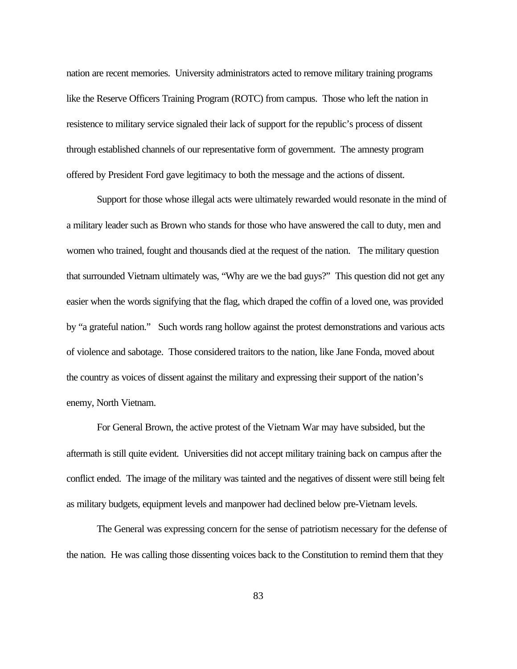nation are recent memories. University administrators acted to remove military training programs like the Reserve Officers Training Program (ROTC) from campus. Those who left the nation in resistence to military service signaled their lack of support for the republic's process of dissent through established channels of our representative form of government. The amnesty program offered by President Ford gave legitimacy to both the message and the actions of dissent.

Support for those whose illegal acts were ultimately rewarded would resonate in the mind of a military leader such as Brown who stands for those who have answered the call to duty, men and women who trained, fought and thousands died at the request of the nation. The military question that surrounded Vietnam ultimately was, "Why are we the bad guys?" This question did not get any easier when the words signifying that the flag, which draped the coffin of a loved one, was provided by "a grateful nation." Such words rang hollow against the protest demonstrations and various acts of violence and sabotage. Those considered traitors to the nation, like Jane Fonda, moved about the country as voices of dissent against the military and expressing their support of the nation's enemy, North Vietnam.

For General Brown, the active protest of the Vietnam War may have subsided, but the aftermath is still quite evident. Universities did not accept military training back on campus after the conflict ended. The image of the military was tainted and the negatives of dissent were still being felt as military budgets, equipment levels and manpower had declined below pre-Vietnam levels.

The General was expressing concern for the sense of patriotism necessary for the defense of the nation. He was calling those dissenting voices back to the Constitution to remind them that they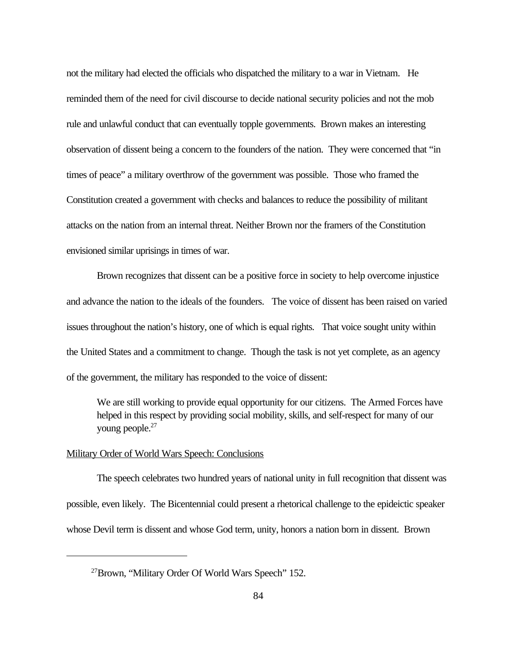not the military had elected the officials who dispatched the military to a war in Vietnam. He reminded them of the need for civil discourse to decide national security policies and not the mob rule and unlawful conduct that can eventually topple governments. Brown makes an interesting observation of dissent being a concern to the founders of the nation. They were concerned that "in times of peace" a military overthrow of the government was possible. Those who framed the Constitution created a government with checks and balances to reduce the possibility of militant attacks on the nation from an internal threat. Neither Brown nor the framers of the Constitution envisioned similar uprisings in times of war.

Brown recognizes that dissent can be a positive force in society to help overcome injustice and advance the nation to the ideals of the founders. The voice of dissent has been raised on varied issues throughout the nation's history, one of which is equal rights. That voice sought unity within the United States and a commitment to change. Though the task is not yet complete, as an agency of the government, the military has responded to the voice of dissent:

We are still working to provide equal opportunity for our citizens. The Armed Forces have helped in this respect by providing social mobility, skills, and self-respect for many of our young people.<sup>27</sup>

## Military Order of World Wars Speech: Conclusions

The speech celebrates two hundred years of national unity in full recognition that dissent was possible, even likely. The Bicentennial could present a rhetorical challenge to the epideictic speaker whose Devil term is dissent and whose God term, unity, honors a nation born in dissent. Brown

<sup>27</sup>Brown, "Military Order Of World Wars Speech" 152.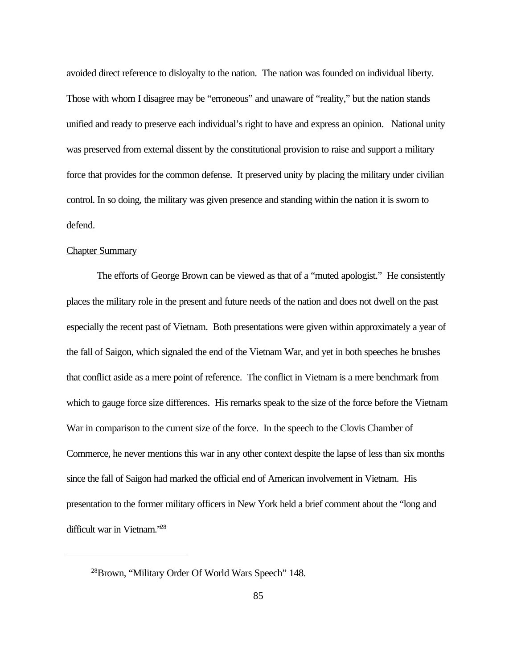avoided direct reference to disloyalty to the nation. The nation was founded on individual liberty. Those with whom I disagree may be "erroneous" and unaware of "reality," but the nation stands unified and ready to preserve each individual's right to have and express an opinion. National unity was preserved from external dissent by the constitutional provision to raise and support a military force that provides for the common defense. It preserved unity by placing the military under civilian control. In so doing, the military was given presence and standing within the nation it is sworn to defend.

# Chapter Summary

The efforts of George Brown can be viewed as that of a "muted apologist." He consistently places the military role in the present and future needs of the nation and does not dwell on the past especially the recent past of Vietnam. Both presentations were given within approximately a year of the fall of Saigon, which signaled the end of the Vietnam War, and yet in both speeches he brushes that conflict aside as a mere point of reference. The conflict in Vietnam is a mere benchmark from which to gauge force size differences. His remarks speak to the size of the force before the Vietnam War in comparison to the current size of the force. In the speech to the Clovis Chamber of Commerce, he never mentions this war in any other context despite the lapse of less than six months since the fall of Saigon had marked the official end of American involvement in Vietnam. His presentation to the former military officers in New York held a brief comment about the "long and difficult war in Vietnam."<sup>28</sup>

<sup>28</sup>Brown, "Military Order Of World Wars Speech" 148.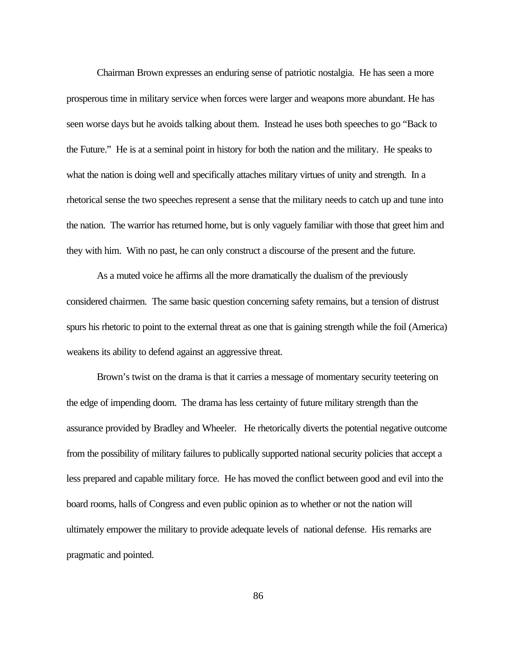Chairman Brown expresses an enduring sense of patriotic nostalgia. He has seen a more prosperous time in military service when forces were larger and weapons more abundant. He has seen worse days but he avoids talking about them. Instead he uses both speeches to go "Back to the Future." He is at a seminal point in history for both the nation and the military. He speaks to what the nation is doing well and specifically attaches military virtues of unity and strength. In a rhetorical sense the two speeches represent a sense that the military needs to catch up and tune into the nation. The warrior has returned home, but is only vaguely familiar with those that greet him and they with him. With no past, he can only construct a discourse of the present and the future.

As a muted voice he affirms all the more dramatically the dualism of the previously considered chairmen. The same basic question concerning safety remains, but a tension of distrust spurs his rhetoric to point to the external threat as one that is gaining strength while the foil (America) weakens its ability to defend against an aggressive threat.

Brown's twist on the drama is that it carries a message of momentary security teetering on the edge of impending doom. The drama has less certainty of future military strength than the assurance provided by Bradley and Wheeler. He rhetorically diverts the potential negative outcome from the possibility of military failures to publically supported national security policies that accept a less prepared and capable military force. He has moved the conflict between good and evil into the board rooms, halls of Congress and even public opinion as to whether or not the nation will ultimately empower the military to provide adequate levels of national defense. His remarks are pragmatic and pointed.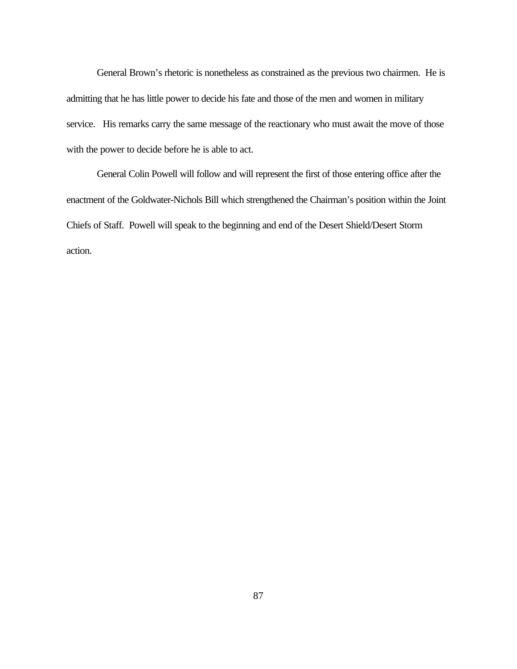General Brown's rhetoric is nonetheless as constrained as the previous two chairmen. He is admitting that he has little power to decide his fate and those of the men and women in military service. His remarks carry the same message of the reactionary who must await the move of those with the power to decide before he is able to act.

General Colin Powell will follow and will represent the first of those entering office after the enactment of the Goldwater-Nichols Bill which strengthened the Chairman's position within the Joint Chiefs of Staff. Powell will speak to the beginning and end of the Desert Shield/Desert Storm action.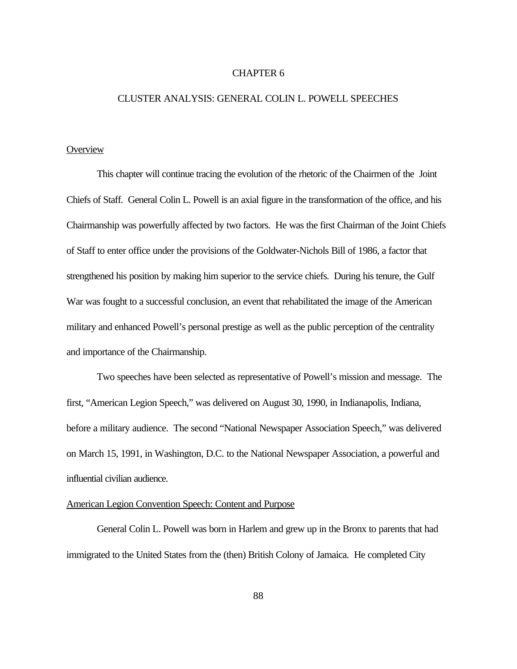## CHAPTER 6

## CLUSTER ANALYSIS: GENERAL COLIN L. POWELL SPEECHES

# **Overview**

This chapter will continue tracing the evolution of the rhetoric of the Chairmen of the Joint Chiefs of Staff. General Colin L. Powell is an axial figure in the transformation of the office, and his Chairmanship was powerfully affected by two factors. He was the first Chairman of the Joint Chiefs of Staff to enter office under the provisions of the Goldwater-Nichols Bill of 1986, a factor that strengthened his position by making him superior to the service chiefs. During his tenure, the Gulf War was fought to a successful conclusion, an event that rehabilitated the image of the American military and enhanced Powell's personal prestige as well as the public perception of the centrality and importance of the Chairmanship.

Two speeches have been selected as representative of Powell's mission and message. The first, "American Legion Speech," was delivered on August 30, 1990, in Indianapolis, Indiana, before a military audience. The second "National Newspaper Association Speech," was delivered on March 15, 1991, in Washington, D.C. to the National Newspaper Association, a powerful and influential civilian audience.

## American Legion Convention Speech: Content and Purpose

General Colin L. Powell was born in Harlem and grew up in the Bronx to parents that had immigrated to the United States from the (then) British Colony of Jamaica. He completed City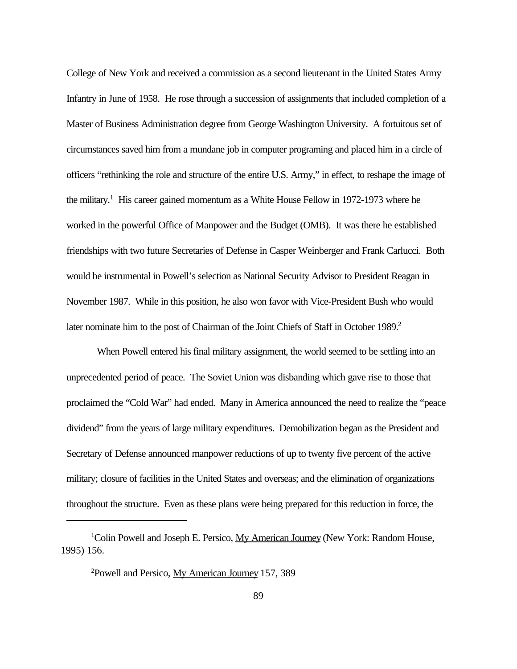College of New York and received a commission as a second lieutenant in the United States Army Infantry in June of 1958. He rose through a succession of assignments that included completion of a Master of Business Administration degree from George Washington University. A fortuitous set of circumstances saved him from a mundane job in computer programing and placed him in a circle of officers "rethinking the role and structure of the entire U.S. Army," in effect, to reshape the image of the military.<sup>1</sup> His career gained momentum as a White House Fellow in 1972-1973 where he worked in the powerful Office of Manpower and the Budget (OMB). It was there he established friendships with two future Secretaries of Defense in Casper Weinberger and Frank Carlucci. Both would be instrumental in Powell's selection as National Security Advisor to President Reagan in November 1987. While in this position, he also won favor with Vice-President Bush who would later nominate him to the post of Chairman of the Joint Chiefs of Staff in October 1989.<sup>2</sup>

When Powell entered his final military assignment, the world seemed to be settling into an unprecedented period of peace. The Soviet Union was disbanding which gave rise to those that proclaimed the "Cold War" had ended. Many in America announced the need to realize the "peace dividend" from the years of large military expenditures. Demobilization began as the President and Secretary of Defense announced manpower reductions of up to twenty five percent of the active military; closure of facilities in the United States and overseas; and the elimination of organizations throughout the structure. Even as these plans were being prepared for this reduction in force, the

<sup>&</sup>lt;sup>1</sup>Colin Powell and Joseph E. Persico,  $My$  American Journey (New York: Random House, 1995) 156.

<sup>2</sup>Powell and Persico, My American Journey 157, 389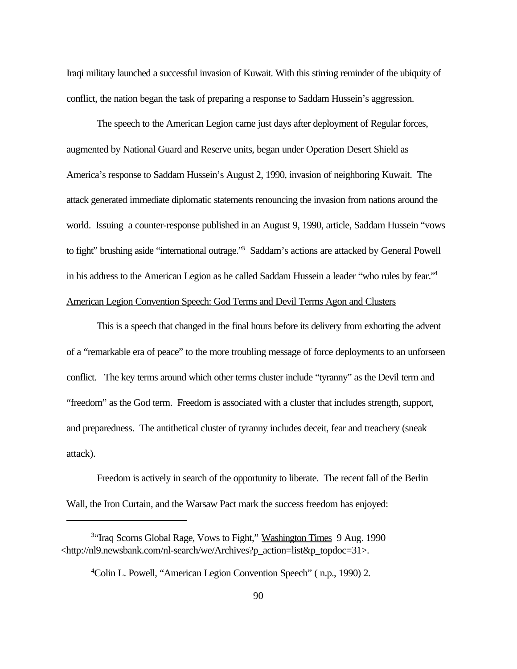Iraqi military launched a successful invasion of Kuwait. With this stirring reminder of the ubiquity of conflict, the nation began the task of preparing a response to Saddam Hussein's aggression.

The speech to the American Legion came just days after deployment of Regular forces, augmented by National Guard and Reserve units, began under Operation Desert Shield as America's response to Saddam Hussein's August 2, 1990, invasion of neighboring Kuwait. The attack generated immediate diplomatic statements renouncing the invasion from nations around the world. Issuing a counter-response published in an August 9, 1990, article, Saddam Hussein "vows to fight" brushing aside "international outrage." Saddam's actions are attacked by General Powell in his address to the American Legion as he called Saddam Hussein a leader "who rules by fear."<sup>4</sup> American Legion Convention Speech: God Terms and Devil Terms Agon and Clusters

This is a speech that changed in the final hours before its delivery from exhorting the advent of a "remarkable era of peace" to the more troubling message of force deployments to an unforseen conflict. The key terms around which other terms cluster include "tyranny" as the Devil term and "freedom" as the God term. Freedom is associated with a cluster that includes strength, support, and preparedness. The antithetical cluster of tyranny includes deceit, fear and treachery (sneak attack).

Freedom is actively in search of the opportunity to liberate. The recent fall of the Berlin Wall, the Iron Curtain, and the Warsaw Pact mark the success freedom has enjoyed:

<sup>&</sup>lt;sup>3</sup>"Iraq Scorns Global Rage, Vows to Fight," Washington Times 9 Aug. 1990 <http://nl9.newsbank.com/nl-search/we/Archives?p\_action=list&p\_topdoc=31>.

<sup>4</sup>Colin L. Powell, "American Legion Convention Speech" ( n.p., 1990) 2.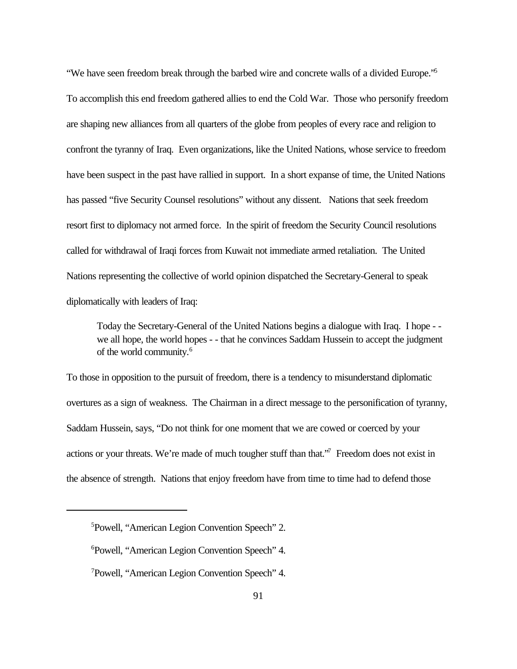"We have seen freedom break through the barbed wire and concrete walls of a divided Europe."<sup>5</sup> To accomplish this end freedom gathered allies to end the Cold War. Those who personify freedom are shaping new alliances from all quarters of the globe from peoples of every race and religion to confront the tyranny of Iraq. Even organizations, like the United Nations, whose service to freedom have been suspect in the past have rallied in support. In a short expanse of time, the United Nations has passed "five Security Counsel resolutions" without any dissent. Nations that seek freedom resort first to diplomacy not armed force. In the spirit of freedom the Security Council resolutions called for withdrawal of Iraqi forces from Kuwait not immediate armed retaliation. The United Nations representing the collective of world opinion dispatched the Secretary-General to speak diplomatically with leaders of Iraq:

Today the Secretary-General of the United Nations begins a dialogue with Iraq. I hope - we all hope, the world hopes - - that he convinces Saddam Hussein to accept the judgment of the world community.<sup>6</sup>

To those in opposition to the pursuit of freedom, there is a tendency to misunderstand diplomatic overtures as a sign of weakness. The Chairman in a direct message to the personification of tyranny, Saddam Hussein, says, "Do not think for one moment that we are cowed or coerced by your actions or your threats. We're made of much tougher stuff than that." Freedom does not exist in the absence of strength. Nations that enjoy freedom have from time to time had to defend those

<sup>5</sup>Powell, "American Legion Convention Speech" 2.

<sup>6</sup>Powell, "American Legion Convention Speech" 4.

<sup>7</sup>Powell, "American Legion Convention Speech" 4.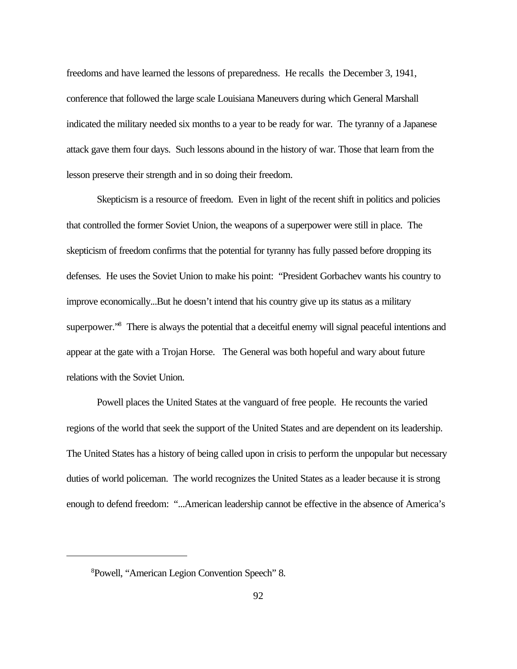freedoms and have learned the lessons of preparedness. He recalls the December 3, 1941, conference that followed the large scale Louisiana Maneuvers during which General Marshall indicated the military needed six months to a year to be ready for war. The tyranny of a Japanese attack gave them four days. Such lessons abound in the history of war. Those that learn from the lesson preserve their strength and in so doing their freedom.

Skepticism is a resource of freedom. Even in light of the recent shift in politics and policies that controlled the former Soviet Union, the weapons of a superpower were still in place. The skepticism of freedom confirms that the potential for tyranny has fully passed before dropping its defenses. He uses the Soviet Union to make his point: "President Gorbachev wants his country to improve economically...But he doesn't intend that his country give up its status as a military superpower."<sup>8</sup> There is always the potential that a deceitful enemy will signal peaceful intentions and appear at the gate with a Trojan Horse. The General was both hopeful and wary about future relations with the Soviet Union.

Powell places the United States at the vanguard of free people. He recounts the varied regions of the world that seek the support of the United States and are dependent on its leadership. The United States has a history of being called upon in crisis to perform the unpopular but necessary duties of world policeman. The world recognizes the United States as a leader because it is strong enough to defend freedom: "...American leadership cannot be effective in the absence of America's

<sup>8</sup>Powell, "American Legion Convention Speech" 8.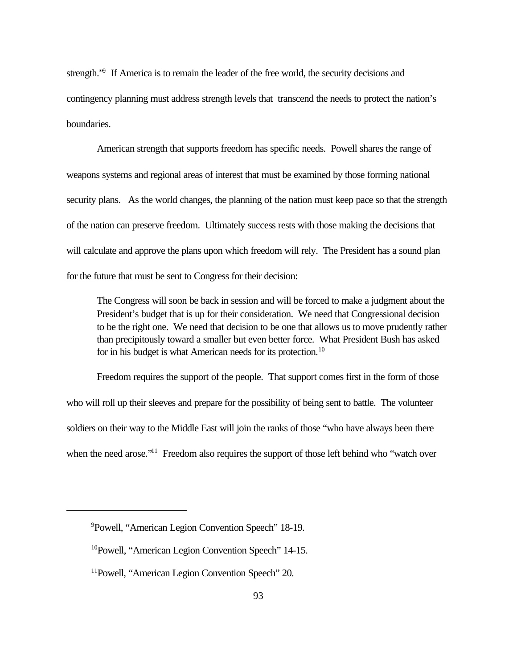strength."<sup>9</sup> If America is to remain the leader of the free world, the security decisions and contingency planning must address strength levels that transcend the needs to protect the nation's boundaries.

American strength that supports freedom has specific needs. Powell shares the range of weapons systems and regional areas of interest that must be examined by those forming national security plans. As the world changes, the planning of the nation must keep pace so that the strength of the nation can preserve freedom. Ultimately success rests with those making the decisions that will calculate and approve the plans upon which freedom will rely. The President has a sound plan for the future that must be sent to Congress for their decision:

The Congress will soon be back in session and will be forced to make a judgment about the President's budget that is up for their consideration. We need that Congressional decision to be the right one. We need that decision to be one that allows us to move prudently rather than precipitously toward a smaller but even better force. What President Bush has asked for in his budget is what American needs for its protection.<sup>10</sup>

Freedom requires the support of the people. That support comes first in the form of those who will roll up their sleeves and prepare for the possibility of being sent to battle. The volunteer soldiers on their way to the Middle East will join the ranks of those "who have always been there when the need arose."<sup>11</sup> Freedom also requires the support of those left behind who "watch over

<sup>9</sup>Powell, "American Legion Convention Speech" 18-19.

<sup>10</sup>Powell, "American Legion Convention Speech" 14-15.

<sup>&</sup>lt;sup>11</sup>Powell, "American Legion Convention Speech" 20.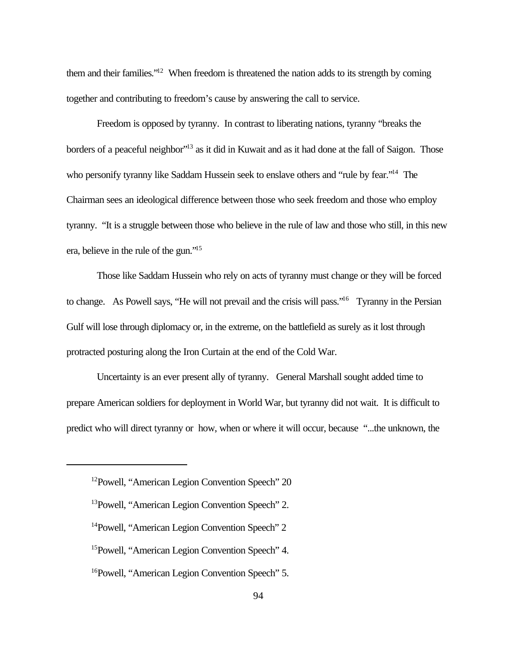them and their families."<sup>12</sup> When freedom is threatened the nation adds to its strength by coming together and contributing to freedom's cause by answering the call to service.

Freedom is opposed by tyranny. In contrast to liberating nations, tyranny "breaks the borders of a peaceful neighbor<sup>"13</sup> as it did in Kuwait and as it had done at the fall of Saigon. Those who personify tyranny like Saddam Hussein seek to enslave others and "rule by fear."<sup>14</sup> The Chairman sees an ideological difference between those who seek freedom and those who employ tyranny. "It is a struggle between those who believe in the rule of law and those who still, in this new era, believe in the rule of the gun."<sup>15</sup>

Those like Saddam Hussein who rely on acts of tyranny must change or they will be forced to change. As Powell says, "He will not prevail and the crisis will pass."<sup>16</sup> Tyranny in the Persian Gulf will lose through diplomacy or, in the extreme, on the battlefield as surely as it lost through protracted posturing along the Iron Curtain at the end of the Cold War.

Uncertainty is an ever present ally of tyranny. General Marshall sought added time to prepare American soldiers for deployment in World War, but tyranny did not wait. It is difficult to predict who will direct tyranny or how, when or where it will occur, because "...the unknown, the

<sup>12</sup>Powell, "American Legion Convention Speech" 20

<sup>13</sup>Powell, "American Legion Convention Speech" 2.

<sup>14</sup>Powell, "American Legion Convention Speech" 2

<sup>15</sup>Powell, "American Legion Convention Speech" 4.

<sup>&</sup>lt;sup>16</sup>Powell, "American Legion Convention Speech" 5.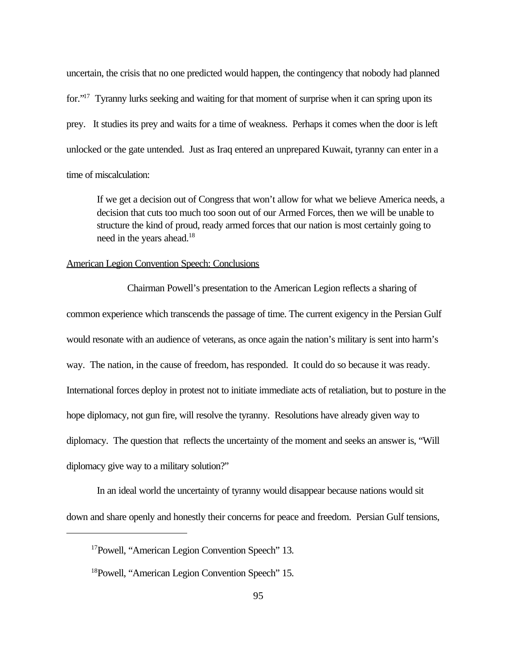uncertain, the crisis that no one predicted would happen, the contingency that nobody had planned for."<sup>17</sup> Tyranny lurks seeking and waiting for that moment of surprise when it can spring upon its prey. It studies its prey and waits for a time of weakness. Perhaps it comes when the door is left unlocked or the gate untended. Just as Iraq entered an unprepared Kuwait, tyranny can enter in a time of miscalculation:

If we get a decision out of Congress that won't allow for what we believe America needs, a decision that cuts too much too soon out of our Armed Forces, then we will be unable to structure the kind of proud, ready armed forces that our nation is most certainly going to need in the years ahead.<sup>18</sup>

## American Legion Convention Speech: Conclusions

Chairman Powell's presentation to the American Legion reflects a sharing of common experience which transcends the passage of time. The current exigency in the Persian Gulf would resonate with an audience of veterans, as once again the nation's military is sent into harm's way. The nation, in the cause of freedom, has responded. It could do so because it was ready. International forces deploy in protest not to initiate immediate acts of retaliation, but to posture in the hope diplomacy, not gun fire, will resolve the tyranny. Resolutions have already given way to diplomacy. The question that reflects the uncertainty of the moment and seeks an answer is, "Will diplomacy give way to a military solution?"

In an ideal world the uncertainty of tyranny would disappear because nations would sit down and share openly and honestly their concerns for peace and freedom. Persian Gulf tensions,

<sup>&</sup>lt;sup>17</sup>Powell, "American Legion Convention Speech" 13.

<sup>&</sup>lt;sup>18</sup>Powell, "American Legion Convention Speech" 15.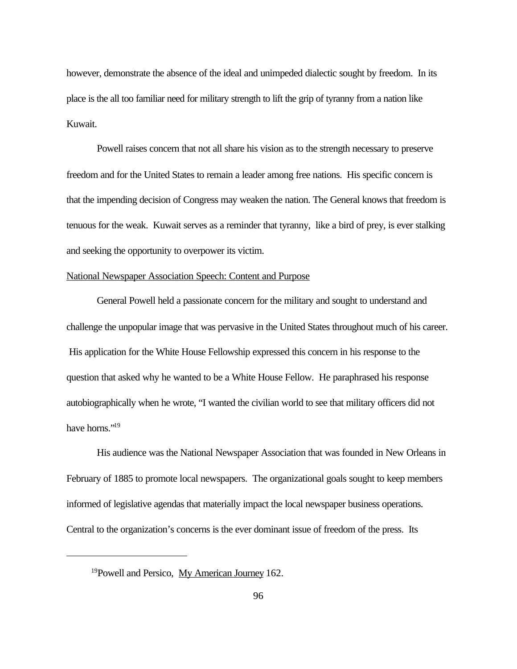however, demonstrate the absence of the ideal and unimpeded dialectic sought by freedom. In its place is the all too familiar need for military strength to lift the grip of tyranny from a nation like Kuwait.

Powell raises concern that not all share his vision as to the strength necessary to preserve freedom and for the United States to remain a leader among free nations. His specific concern is that the impending decision of Congress may weaken the nation. The General knows that freedom is tenuous for the weak. Kuwait serves as a reminder that tyranny, like a bird of prey, is ever stalking and seeking the opportunity to overpower its victim.

# National Newspaper Association Speech: Content and Purpose

General Powell held a passionate concern for the military and sought to understand and challenge the unpopular image that was pervasive in the United States throughout much of his career. His application for the White House Fellowship expressed this concern in his response to the question that asked why he wanted to be a White House Fellow. He paraphrased his response autobiographically when he wrote, "I wanted the civilian world to see that military officers did not have horns."<sup>19</sup>

His audience was the National Newspaper Association that was founded in New Orleans in February of 1885 to promote local newspapers. The organizational goals sought to keep members informed of legislative agendas that materially impact the local newspaper business operations. Central to the organization's concerns is the ever dominant issue of freedom of the press. Its

<sup>&</sup>lt;sup>19</sup>Powell and Persico, My American Journey 162.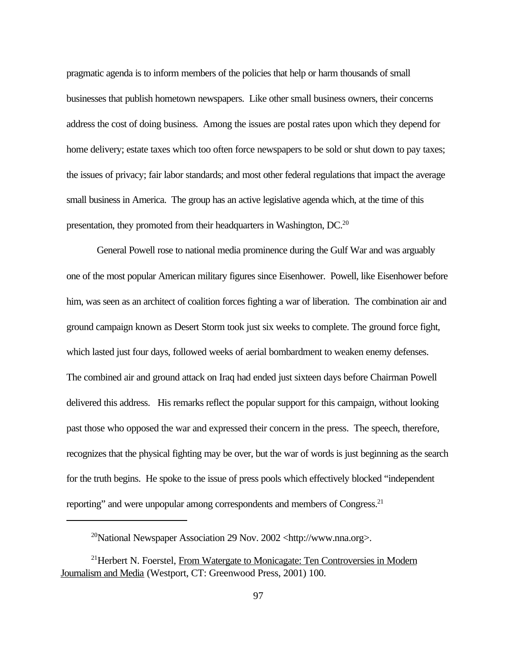pragmatic agenda is to inform members of the policies that help or harm thousands of small businesses that publish hometown newspapers. Like other small business owners, their concerns address the cost of doing business. Among the issues are postal rates upon which they depend for home delivery; estate taxes which too often force newspapers to be sold or shut down to pay taxes; the issues of privacy; fair labor standards; and most other federal regulations that impact the average small business in America. The group has an active legislative agenda which, at the time of this presentation, they promoted from their headquarters in Washington, DC.<sup>20</sup>

General Powell rose to national media prominence during the Gulf War and was arguably one of the most popular American military figures since Eisenhower. Powell, like Eisenhower before him, was seen as an architect of coalition forces fighting a war of liberation. The combination air and ground campaign known as Desert Storm took just six weeks to complete. The ground force fight, which lasted just four days, followed weeks of aerial bombardment to weaken enemy defenses. The combined air and ground attack on Iraq had ended just sixteen days before Chairman Powell delivered this address. His remarks reflect the popular support for this campaign, without looking past those who opposed the war and expressed their concern in the press. The speech, therefore, recognizes that the physical fighting may be over, but the war of words is just beginning as the search for the truth begins. He spoke to the issue of press pools which effectively blocked "independent reporting" and were unpopular among correspondents and members of Congress.<sup>21</sup>

<sup>&</sup>lt;sup>20</sup>National Newspaper Association 29 Nov. 2002 <http://www.nna.org>.

<sup>&</sup>lt;sup>21</sup>Herbert N. Foerstel, From Watergate to Monicagate: Ten Controversies in Modern Journalism and Media (Westport, CT: Greenwood Press, 2001) 100.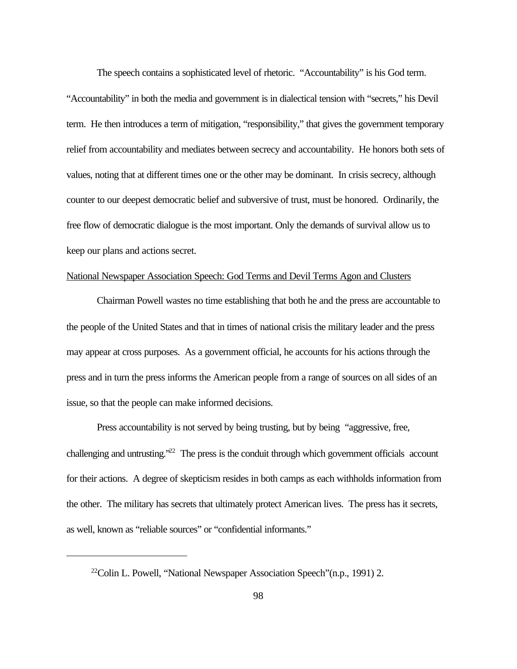The speech contains a sophisticated level of rhetoric. "Accountability" is his God term. "Accountability" in both the media and government is in dialectical tension with "secrets," his Devil term. He then introduces a term of mitigation, "responsibility," that gives the government temporary relief from accountability and mediates between secrecy and accountability. He honors both sets of values, noting that at different times one or the other may be dominant. In crisis secrecy, although counter to our deepest democratic belief and subversive of trust, must be honored. Ordinarily, the free flow of democratic dialogue is the most important. Only the demands of survival allow us to keep our plans and actions secret.

# National Newspaper Association Speech: God Terms and Devil Terms Agon and Clusters

Chairman Powell wastes no time establishing that both he and the press are accountable to the people of the United States and that in times of national crisis the military leader and the press may appear at cross purposes. As a government official, he accounts for his actions through the press and in turn the press informs the American people from a range of sources on all sides of an issue, so that the people can make informed decisions.

Press accountability is not served by being trusting, but by being "aggressive, free, challenging and untrusting."<sup>22</sup> The press is the conduit through which government officials account for their actions. A degree of skepticism resides in both camps as each withholds information from the other. The military has secrets that ultimately protect American lives. The press has it secrets, as well, known as "reliable sources" or "confidential informants."

<sup>&</sup>lt;sup>22</sup>Colin L. Powell, "National Newspaper Association Speech"(n.p., 1991) 2.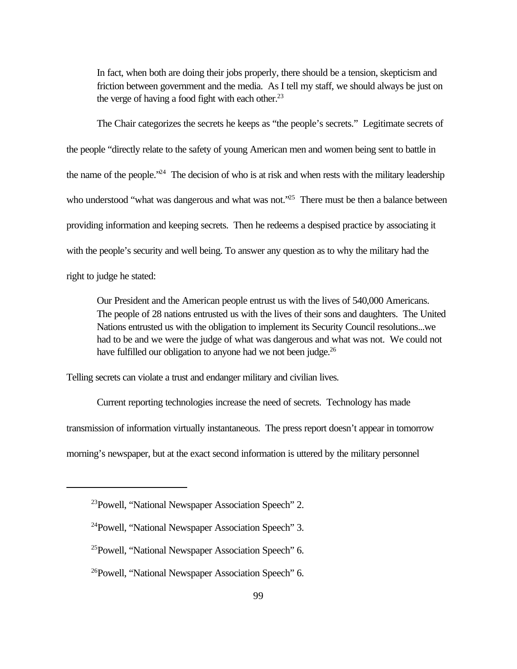In fact, when both are doing their jobs properly, there should be a tension, skepticism and friction between government and the media. As I tell my staff, we should always be just on the verge of having a food fight with each other.<sup>23</sup>

The Chair categorizes the secrets he keeps as "the people's secrets." Legitimate secrets of the people "directly relate to the safety of young American men and women being sent to battle in the name of the people.<sup>224</sup> The decision of who is at risk and when rests with the military leadership who understood "what was dangerous and what was not."<sup>25</sup> There must be then a balance between providing information and keeping secrets. Then he redeems a despised practice by associating it with the people's security and well being. To answer any question as to why the military had the right to judge he stated:

Our President and the American people entrust us with the lives of 540,000 Americans. The people of 28 nations entrusted us with the lives of their sons and daughters. The United Nations entrusted us with the obligation to implement its Security Council resolutions...we had to be and we were the judge of what was dangerous and what was not. We could not have fulfilled our obligation to anyone had we not been judge.<sup>26</sup>

Telling secrets can violate a trust and endanger military and civilian lives.

Current reporting technologies increase the need of secrets. Technology has made

transmission of information virtually instantaneous. The press report doesn't appear in tomorrow

morning's newspaper, but at the exact second information is uttered by the military personnel

<sup>23</sup>Powell, "National Newspaper Association Speech" 2.

<sup>24</sup>Powell, "National Newspaper Association Speech" 3.

<sup>25</sup>Powell, "National Newspaper Association Speech" 6.

<sup>&</sup>lt;sup>26</sup>Powell, "National Newspaper Association Speech" 6.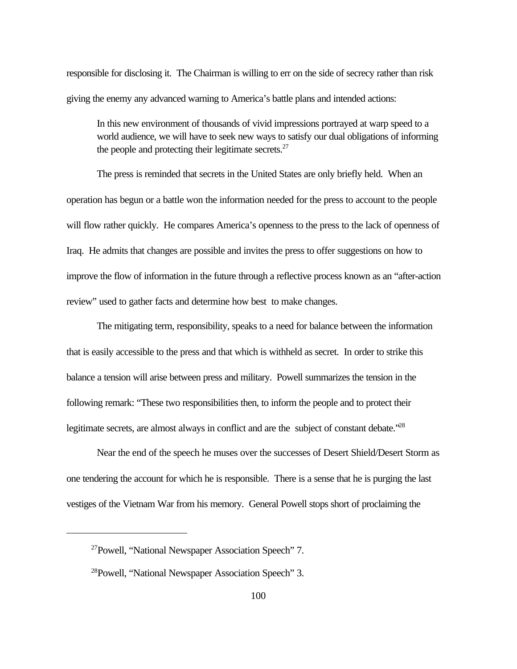responsible for disclosing it. The Chairman is willing to err on the side of secrecy rather than risk giving the enemy any advanced warning to America's battle plans and intended actions:

In this new environment of thousands of vivid impressions portrayed at warp speed to a world audience, we will have to seek new ways to satisfy our dual obligations of informing the people and protecting their legitimate secrets. $27$ 

The press is reminded that secrets in the United States are only briefly held. When an operation has begun or a battle won the information needed for the press to account to the people will flow rather quickly. He compares America's openness to the press to the lack of openness of Iraq. He admits that changes are possible and invites the press to offer suggestions on how to improve the flow of information in the future through a reflective process known as an "after-action review" used to gather facts and determine how best to make changes.

The mitigating term, responsibility, speaks to a need for balance between the information that is easily accessible to the press and that which is withheld as secret. In order to strike this balance a tension will arise between press and military. Powell summarizes the tension in the following remark: "These two responsibilities then, to inform the people and to protect their legitimate secrets, are almost always in conflict and are the subject of constant debate.<sup>228</sup>

Near the end of the speech he muses over the successes of Desert Shield/Desert Storm as one tendering the account for which he is responsible. There is a sense that he is purging the last vestiges of the Vietnam War from his memory. General Powell stops short of proclaiming the

<sup>27</sup>Powell, "National Newspaper Association Speech" 7.

<sup>&</sup>lt;sup>28</sup>Powell, "National Newspaper Association Speech" 3.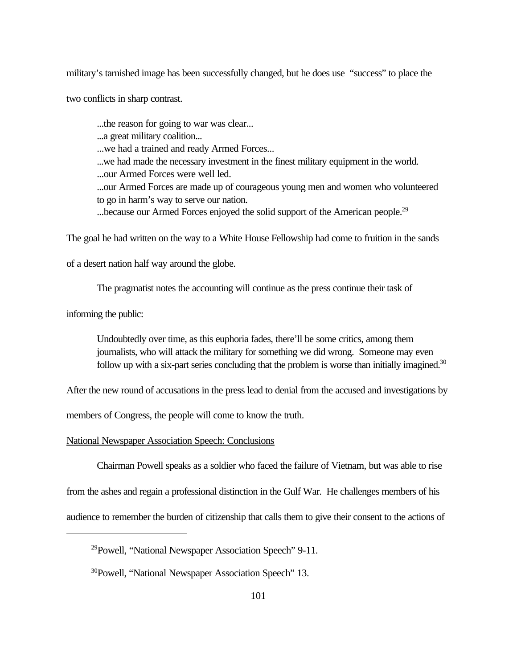military's tarnished image has been successfully changed, but he does use "success" to place the

two conflicts in sharp contrast.

...the reason for going to war was clear...

...a great military coalition...

...we had a trained and ready Armed Forces...

...we had made the necessary investment in the finest military equipment in the world.

...our Armed Forces were well led.

...our Armed Forces are made up of courageous young men and women who volunteered to go in harm's way to serve our nation.

...because our Armed Forces enjoyed the solid support of the American people.<sup>29</sup>

The goal he had written on the way to a White House Fellowship had come to fruition in the sands

of a desert nation half way around the globe.

The pragmatist notes the accounting will continue as the press continue their task of

informing the public:

Undoubtedly over time, as this euphoria fades, there'll be some critics, among them journalists, who will attack the military for something we did wrong. Someone may even follow up with a six-part series concluding that the problem is worse than initially imagined.<sup>30</sup>

After the new round of accusations in the press lead to denial from the accused and investigations by

members of Congress, the people will come to know the truth.

National Newspaper Association Speech: Conclusions

Chairman Powell speaks as a soldier who faced the failure of Vietnam, but was able to rise

from the ashes and regain a professional distinction in the Gulf War. He challenges members of his

audience to remember the burden of citizenship that calls them to give their consent to the actions of

<sup>29</sup>Powell, "National Newspaper Association Speech" 9-11.

<sup>&</sup>lt;sup>30</sup>Powell, "National Newspaper Association Speech" 13.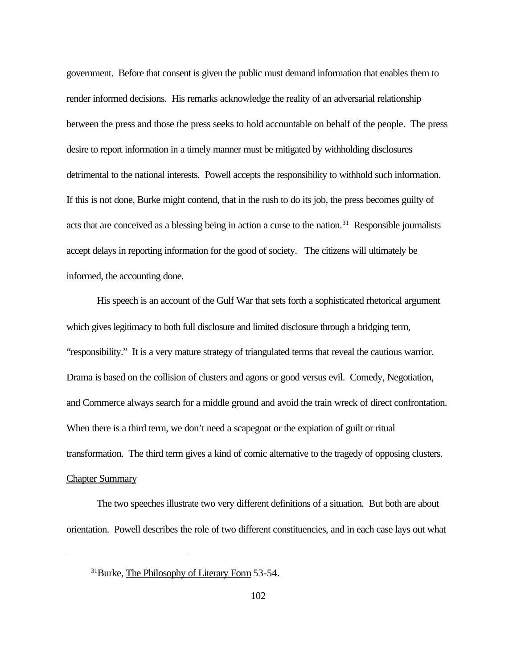government. Before that consent is given the public must demand information that enables them to render informed decisions. His remarks acknowledge the reality of an adversarial relationship between the press and those the press seeks to hold accountable on behalf of the people. The press desire to report information in a timely manner must be mitigated by withholding disclosures detrimental to the national interests. Powell accepts the responsibility to withhold such information. If this is not done, Burke might contend, that in the rush to do its job, the press becomes guilty of acts that are conceived as a blessing being in action a curse to the nation.<sup>31</sup> Responsible journalists accept delays in reporting information for the good of society. The citizens will ultimately be informed, the accounting done.

His speech is an account of the Gulf War that sets forth a sophisticated rhetorical argument which gives legitimacy to both full disclosure and limited disclosure through a bridging term, "responsibility." It is a very mature strategy of triangulated terms that reveal the cautious warrior. Drama is based on the collision of clusters and agons or good versus evil. Comedy, Negotiation, and Commerce always search for a middle ground and avoid the train wreck of direct confrontation. When there is a third term, we don't need a scapegoat or the expiation of guilt or ritual transformation. The third term gives a kind of comic alternative to the tragedy of opposing clusters. Chapter Summary

The two speeches illustrate two very different definitions of a situation. But both are about orientation. Powell describes the role of two different constituencies, and in each case lays out what

<sup>31</sup>Burke, The Philosophy of Literary Form 53-54.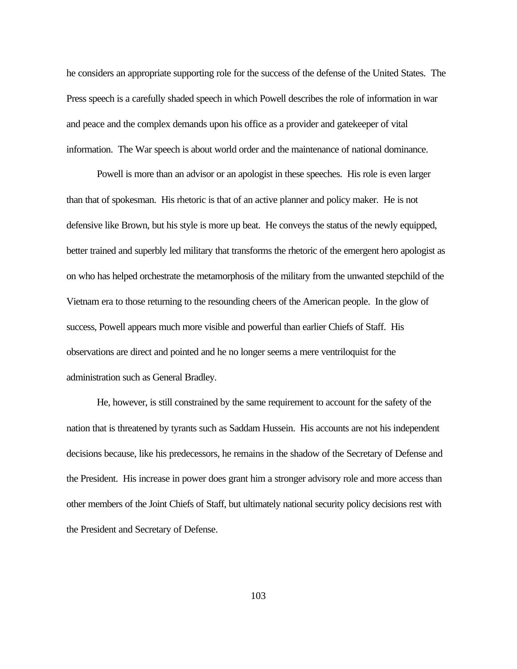he considers an appropriate supporting role for the success of the defense of the United States. The Press speech is a carefully shaded speech in which Powell describes the role of information in war and peace and the complex demands upon his office as a provider and gatekeeper of vital information. The War speech is about world order and the maintenance of national dominance.

Powell is more than an advisor or an apologist in these speeches. His role is even larger than that of spokesman. His rhetoric is that of an active planner and policy maker. He is not defensive like Brown, but his style is more up beat. He conveys the status of the newly equipped, better trained and superbly led military that transforms the rhetoric of the emergent hero apologist as on who has helped orchestrate the metamorphosis of the military from the unwanted stepchild of the Vietnam era to those returning to the resounding cheers of the American people. In the glow of success, Powell appears much more visible and powerful than earlier Chiefs of Staff. His observations are direct and pointed and he no longer seems a mere ventriloquist for the administration such as General Bradley.

He, however, is still constrained by the same requirement to account for the safety of the nation that is threatened by tyrants such as Saddam Hussein. His accounts are not his independent decisions because, like his predecessors, he remains in the shadow of the Secretary of Defense and the President. His increase in power does grant him a stronger advisory role and more access than other members of the Joint Chiefs of Staff, but ultimately national security policy decisions rest with the President and Secretary of Defense.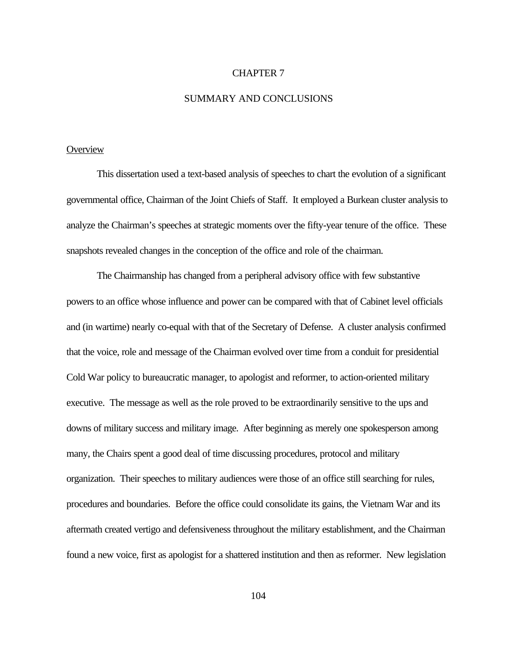#### CHAPTER 7

#### SUMMARY AND CONCLUSIONS

# **Overview**

This dissertation used a text-based analysis of speeches to chart the evolution of a significant governmental office, Chairman of the Joint Chiefs of Staff. It employed a Burkean cluster analysis to analyze the Chairman's speeches at strategic moments over the fifty-year tenure of the office. These snapshots revealed changes in the conception of the office and role of the chairman.

The Chairmanship has changed from a peripheral advisory office with few substantive powers to an office whose influence and power can be compared with that of Cabinet level officials and (in wartime) nearly co-equal with that of the Secretary of Defense. A cluster analysis confirmed that the voice, role and message of the Chairman evolved over time from a conduit for presidential Cold War policy to bureaucratic manager, to apologist and reformer, to action-oriented military executive. The message as well as the role proved to be extraordinarily sensitive to the ups and downs of military success and military image. After beginning as merely one spokesperson among many, the Chairs spent a good deal of time discussing procedures, protocol and military organization. Their speeches to military audiences were those of an office still searching for rules, procedures and boundaries. Before the office could consolidate its gains, the Vietnam War and its aftermath created vertigo and defensiveness throughout the military establishment, and the Chairman found a new voice, first as apologist for a shattered institution and then as reformer. New legislation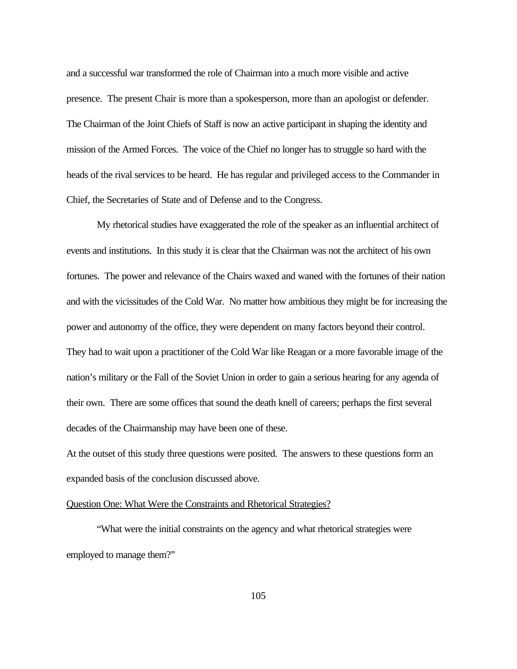and a successful war transformed the role of Chairman into a much more visible and active presence. The present Chair is more than a spokesperson, more than an apologist or defender. The Chairman of the Joint Chiefs of Staff is now an active participant in shaping the identity and mission of the Armed Forces. The voice of the Chief no longer has to struggle so hard with the heads of the rival services to be heard. He has regular and privileged access to the Commander in Chief, the Secretaries of State and of Defense and to the Congress.

My rhetorical studies have exaggerated the role of the speaker as an influential architect of events and institutions. In this study it is clear that the Chairman was not the architect of his own fortunes. The power and relevance of the Chairs waxed and waned with the fortunes of their nation and with the vicissitudes of the Cold War. No matter how ambitious they might be for increasing the power and autonomy of the office, they were dependent on many factors beyond their control. They had to wait upon a practitioner of the Cold War like Reagan or a more favorable image of the nation's military or the Fall of the Soviet Union in order to gain a serious hearing for any agenda of their own. There are some offices that sound the death knell of careers; perhaps the first several decades of the Chairmanship may have been one of these.

At the outset of this study three questions were posited. The answers to these questions form an expanded basis of the conclusion discussed above.

#### Question One: What Were the Constraints and Rhetorical Strategies?

"What were the initial constraints on the agency and what rhetorical strategies were employed to manage them?"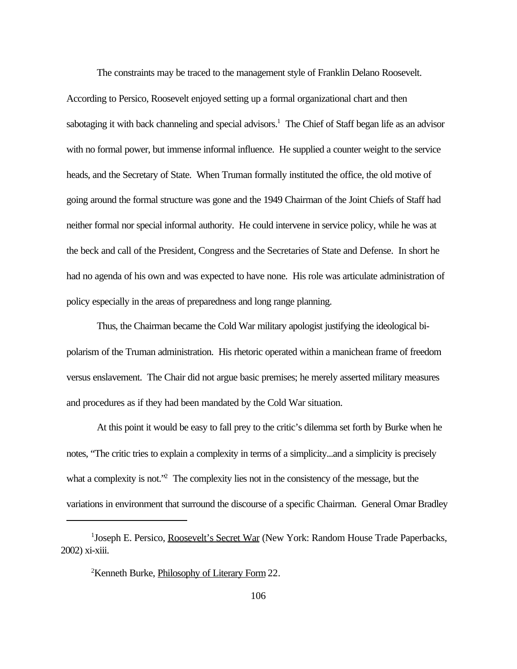The constraints may be traced to the management style of Franklin Delano Roosevelt.

According to Persico, Roosevelt enjoyed setting up a formal organizational chart and then sabotaging it with back channeling and special advisors.<sup>1</sup> The Chief of Staff began life as an advisor with no formal power, but immense informal influence. He supplied a counter weight to the service heads, and the Secretary of State. When Truman formally instituted the office, the old motive of going around the formal structure was gone and the 1949 Chairman of the Joint Chiefs of Staff had neither formal nor special informal authority. He could intervene in service policy, while he was at the beck and call of the President, Congress and the Secretaries of State and Defense. In short he had no agenda of his own and was expected to have none. His role was articulate administration of policy especially in the areas of preparedness and long range planning.

Thus, the Chairman became the Cold War military apologist justifying the ideological bipolarism of the Truman administration. His rhetoric operated within a manichean frame of freedom versus enslavement. The Chair did not argue basic premises; he merely asserted military measures and procedures as if they had been mandated by the Cold War situation.

At this point it would be easy to fall prey to the critic's dilemma set forth by Burke when he notes, "The critic tries to explain a complexity in terms of a simplicity...and a simplicity is precisely what a complexity is not."<sup>2</sup> The complexity lies not in the consistency of the message, but the variations in environment that surround the discourse of a specific Chairman. General Omar Bradley

<sup>&</sup>lt;sup>1</sup>Joseph E. Persico, Roosevelt's Secret War (New York: Random House Trade Paperbacks, 2002) xi-xiii.

<sup>2</sup>Kenneth Burke, Philosophy of Literary Form 22.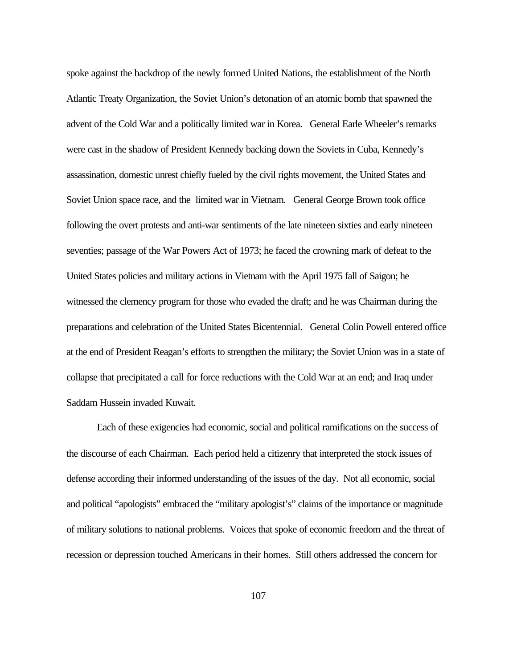spoke against the backdrop of the newly formed United Nations, the establishment of the North Atlantic Treaty Organization, the Soviet Union's detonation of an atomic bomb that spawned the advent of the Cold War and a politically limited war in Korea. General Earle Wheeler's remarks were cast in the shadow of President Kennedy backing down the Soviets in Cuba, Kennedy's assassination, domestic unrest chiefly fueled by the civil rights movement, the United States and Soviet Union space race, and the limited war in Vietnam. General George Brown took office following the overt protests and anti-war sentiments of the late nineteen sixties and early nineteen seventies; passage of the War Powers Act of 1973; he faced the crowning mark of defeat to the United States policies and military actions in Vietnam with the April 1975 fall of Saigon; he witnessed the clemency program for those who evaded the draft; and he was Chairman during the preparations and celebration of the United States Bicentennial. General Colin Powell entered office at the end of President Reagan's efforts to strengthen the military; the Soviet Union was in a state of collapse that precipitated a call for force reductions with the Cold War at an end; and Iraq under Saddam Hussein invaded Kuwait.

Each of these exigencies had economic, social and political ramifications on the success of the discourse of each Chairman. Each period held a citizenry that interpreted the stock issues of defense according their informed understanding of the issues of the day. Not all economic, social and political "apologists" embraced the "military apologist's" claims of the importance or magnitude of military solutions to national problems. Voices that spoke of economic freedom and the threat of recession or depression touched Americans in their homes. Still others addressed the concern for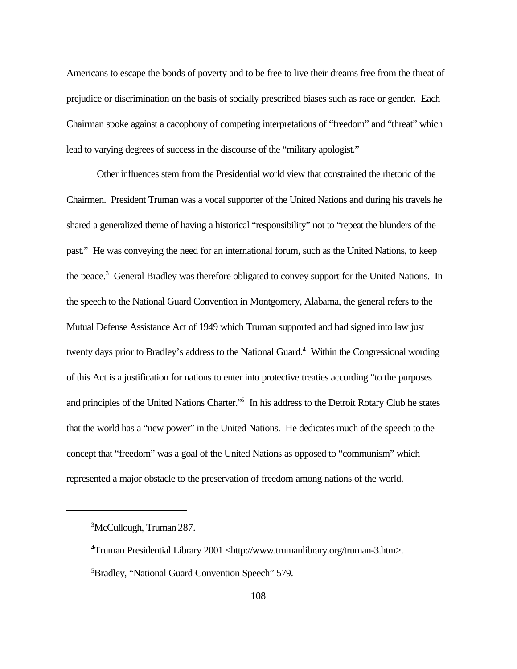Americans to escape the bonds of poverty and to be free to live their dreams free from the threat of prejudice or discrimination on the basis of socially prescribed biases such as race or gender. Each Chairman spoke against a cacophony of competing interpretations of "freedom" and "threat" which lead to varying degrees of success in the discourse of the "military apologist."

Other influences stem from the Presidential world view that constrained the rhetoric of the Chairmen. President Truman was a vocal supporter of the United Nations and during his travels he shared a generalized theme of having a historical "responsibility" not to "repeat the blunders of the past." He was conveying the need for an international forum, such as the United Nations, to keep the peace.<sup>3</sup> General Bradley was therefore obligated to convey support for the United Nations. In the speech to the National Guard Convention in Montgomery, Alabama, the general refers to the Mutual Defense Assistance Act of 1949 which Truman supported and had signed into law just twenty days prior to Bradley's address to the National Guard.<sup>4</sup> Within the Congressional wording of this Act is a justification for nations to enter into protective treaties according "to the purposes and principles of the United Nations Charter."<sup>5</sup> In his address to the Detroit Rotary Club he states that the world has a "new power" in the United Nations. He dedicates much of the speech to the concept that "freedom" was a goal of the United Nations as opposed to "communism" which represented a major obstacle to the preservation of freedom among nations of the world.

<sup>3</sup>McCullough, Truman 287.

<sup>4</sup>Truman Presidential Library 2001 <http://www.trumanlibrary.org/truman-3.htm>. <sup>5</sup>Bradley, "National Guard Convention Speech" 579.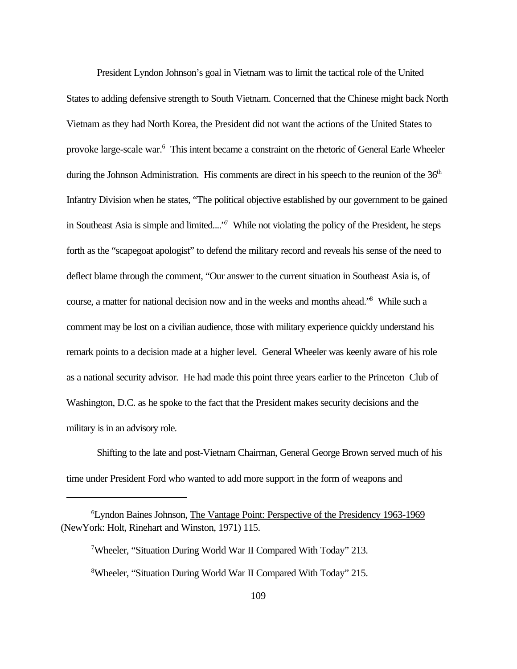President Lyndon Johnson's goal in Vietnam was to limit the tactical role of the United States to adding defensive strength to South Vietnam. Concerned that the Chinese might back North Vietnam as they had North Korea, the President did not want the actions of the United States to provoke large-scale war.<sup>6</sup> This intent became a constraint on the rhetoric of General Earle Wheeler during the Johnson Administration. His comments are direct in his speech to the reunion of the  $36<sup>th</sup>$ Infantry Division when he states, "The political objective established by our government to be gained in Southeast Asia is simple and limited...."<sup>7</sup> While not violating the policy of the President, he steps forth as the "scapegoat apologist" to defend the military record and reveals his sense of the need to deflect blame through the comment, "Our answer to the current situation in Southeast Asia is, of course, a matter for national decision now and in the weeks and months ahead.<sup>'8</sup> While such a comment may be lost on a civilian audience, those with military experience quickly understand his remark points to a decision made at a higher level. General Wheeler was keenly aware of his role as a national security advisor. He had made this point three years earlier to the Princeton Club of Washington, D.C. as he spoke to the fact that the President makes security decisions and the military is in an advisory role.

Shifting to the late and post-Vietnam Chairman, General George Brown served much of his time under President Ford who wanted to add more support in the form of weapons and

<sup>6</sup>Lyndon Baines Johnson, The Vantage Point: Perspective of the Presidency 1963-1969 (NewYork: Holt, Rinehart and Winston, 1971) 115.

<sup>7</sup>Wheeler, "Situation During World War II Compared With Today" 213. <sup>8</sup>Wheeler, "Situation During World War II Compared With Today" 215.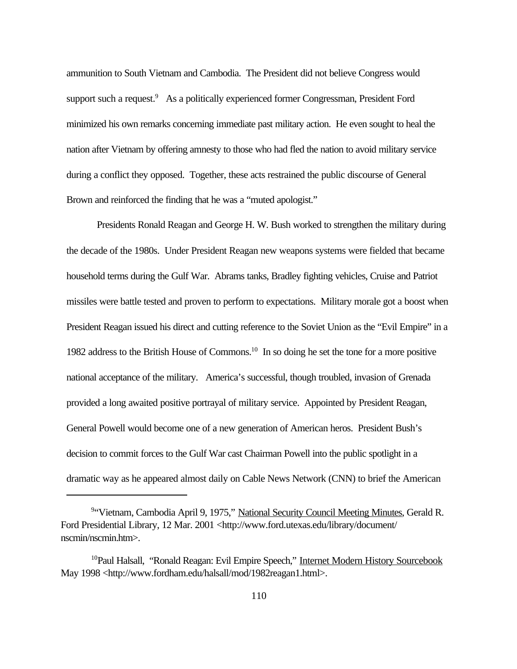ammunition to South Vietnam and Cambodia. The President did not believe Congress would support such a request.<sup>9</sup> As a politically experienced former Congressman, President Ford minimized his own remarks concerning immediate past military action. He even sought to heal the nation after Vietnam by offering amnesty to those who had fled the nation to avoid military service during a conflict they opposed. Together, these acts restrained the public discourse of General Brown and reinforced the finding that he was a "muted apologist."

Presidents Ronald Reagan and George H. W. Bush worked to strengthen the military during the decade of the 1980s. Under President Reagan new weapons systems were fielded that became household terms during the Gulf War. Abrams tanks, Bradley fighting vehicles, Cruise and Patriot missiles were battle tested and proven to perform to expectations. Military morale got a boost when President Reagan issued his direct and cutting reference to the Soviet Union as the "Evil Empire" in a 1982 address to the British House of Commons.<sup>10</sup> In so doing he set the tone for a more positive national acceptance of the military. America's successful, though troubled, invasion of Grenada provided a long awaited positive portrayal of military service. Appointed by President Reagan, General Powell would become one of a new generation of American heros. President Bush's decision to commit forces to the Gulf War cast Chairman Powell into the public spotlight in a dramatic way as he appeared almost daily on Cable News Network (CNN) to brief the American

<sup>&</sup>lt;sup>9</sup>"Vietnam, Cambodia April 9, 1975," National Security Council Meeting Minutes, Gerald R. Ford Presidential Library, 12 Mar. 2001 <http://www.ford.utexas.edu/library/document/ nscmin/nscmin.htm>.

<sup>10</sup>Paul Halsall, "Ronald Reagan: Evil Empire Speech," Internet Modern History Sourcebook May 1998 <http://www.fordham.edu/halsall/mod/1982reagan1.html>.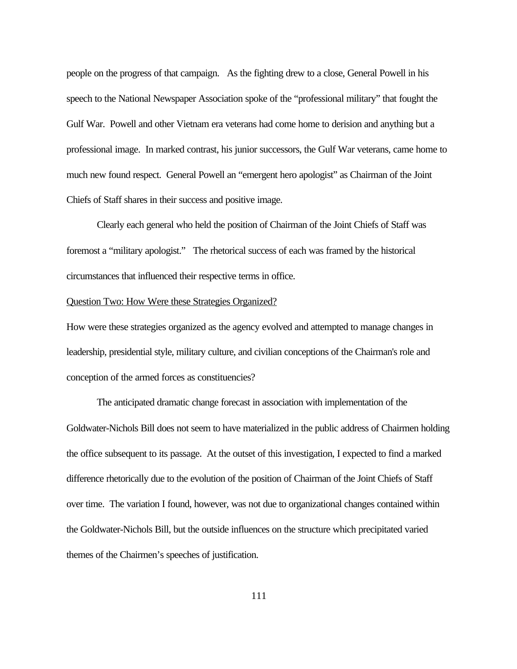people on the progress of that campaign. As the fighting drew to a close, General Powell in his speech to the National Newspaper Association spoke of the "professional military" that fought the Gulf War. Powell and other Vietnam era veterans had come home to derision and anything but a professional image. In marked contrast, his junior successors, the Gulf War veterans, came home to much new found respect. General Powell an "emergent hero apologist" as Chairman of the Joint Chiefs of Staff shares in their success and positive image.

Clearly each general who held the position of Chairman of the Joint Chiefs of Staff was foremost a "military apologist." The rhetorical success of each was framed by the historical circumstances that influenced their respective terms in office.

### Question Two: How Were these Strategies Organized?

How were these strategies organized as the agency evolved and attempted to manage changes in leadership, presidential style, military culture, and civilian conceptions of the Chairman's role and conception of the armed forces as constituencies?

The anticipated dramatic change forecast in association with implementation of the Goldwater-Nichols Bill does not seem to have materialized in the public address of Chairmen holding the office subsequent to its passage. At the outset of this investigation, I expected to find a marked difference rhetorically due to the evolution of the position of Chairman of the Joint Chiefs of Staff over time. The variation I found, however, was not due to organizational changes contained within the Goldwater-Nichols Bill, but the outside influences on the structure which precipitated varied themes of the Chairmen's speeches of justification.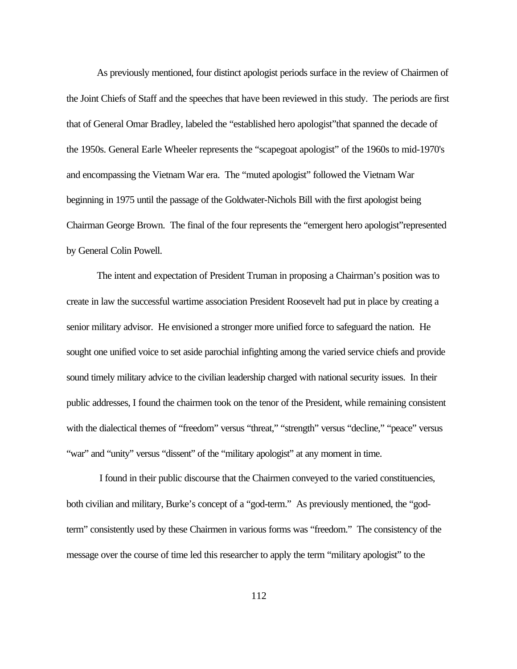As previously mentioned, four distinct apologist periods surface in the review of Chairmen of the Joint Chiefs of Staff and the speeches that have been reviewed in this study. The periods are first that of General Omar Bradley, labeled the "established hero apologist"that spanned the decade of the 1950s. General Earle Wheeler represents the "scapegoat apologist" of the 1960s to mid-1970's and encompassing the Vietnam War era. The "muted apologist" followed the Vietnam War beginning in 1975 until the passage of the Goldwater-Nichols Bill with the first apologist being Chairman George Brown. The final of the four represents the "emergent hero apologist"represented by General Colin Powell.

The intent and expectation of President Truman in proposing a Chairman's position was to create in law the successful wartime association President Roosevelt had put in place by creating a senior military advisor. He envisioned a stronger more unified force to safeguard the nation. He sought one unified voice to set aside parochial infighting among the varied service chiefs and provide sound timely military advice to the civilian leadership charged with national security issues. In their public addresses, I found the chairmen took on the tenor of the President, while remaining consistent with the dialectical themes of "freedom" versus "threat," "strength" versus "decline," "peace" versus "war" and "unity" versus "dissent" of the "military apologist" at any moment in time.

 I found in their public discourse that the Chairmen conveyed to the varied constituencies, both civilian and military, Burke's concept of a "god-term." As previously mentioned, the "godterm" consistently used by these Chairmen in various forms was "freedom." The consistency of the message over the course of time led this researcher to apply the term "military apologist" to the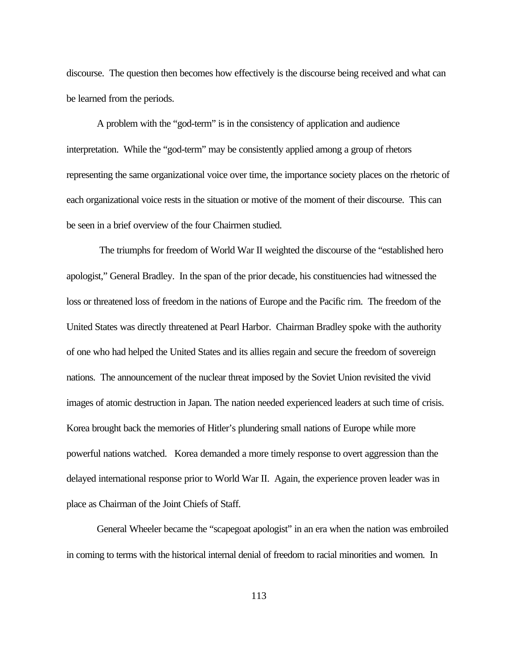discourse. The question then becomes how effectively is the discourse being received and what can be learned from the periods.

A problem with the "god-term" is in the consistency of application and audience interpretation. While the "god-term" may be consistently applied among a group of rhetors representing the same organizational voice over time, the importance society places on the rhetoric of each organizational voice rests in the situation or motive of the moment of their discourse. This can be seen in a brief overview of the four Chairmen studied.

 The triumphs for freedom of World War II weighted the discourse of the "established hero apologist," General Bradley. In the span of the prior decade, his constituencies had witnessed the loss or threatened loss of freedom in the nations of Europe and the Pacific rim. The freedom of the United States was directly threatened at Pearl Harbor. Chairman Bradley spoke with the authority of one who had helped the United States and its allies regain and secure the freedom of sovereign nations. The announcement of the nuclear threat imposed by the Soviet Union revisited the vivid images of atomic destruction in Japan. The nation needed experienced leaders at such time of crisis. Korea brought back the memories of Hitler's plundering small nations of Europe while more powerful nations watched. Korea demanded a more timely response to overt aggression than the delayed international response prior to World War II. Again, the experience proven leader was in place as Chairman of the Joint Chiefs of Staff.

General Wheeler became the "scapegoat apologist" in an era when the nation was embroiled in coming to terms with the historical internal denial of freedom to racial minorities and women. In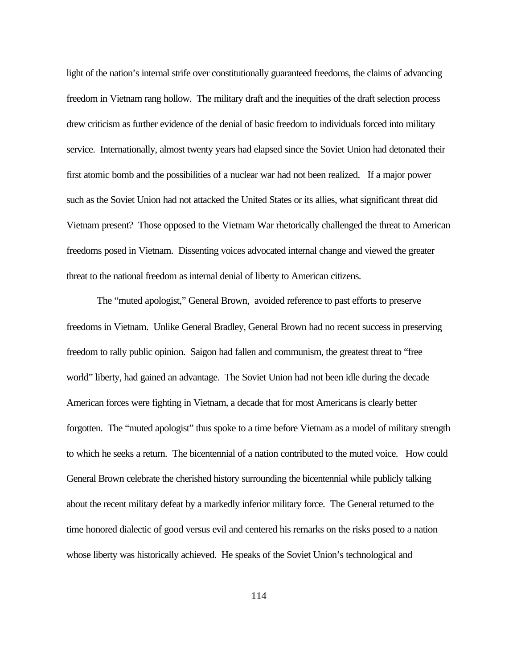light of the nation's internal strife over constitutionally guaranteed freedoms, the claims of advancing freedom in Vietnam rang hollow. The military draft and the inequities of the draft selection process drew criticism as further evidence of the denial of basic freedom to individuals forced into military service. Internationally, almost twenty years had elapsed since the Soviet Union had detonated their first atomic bomb and the possibilities of a nuclear war had not been realized. If a major power such as the Soviet Union had not attacked the United States or its allies, what significant threat did Vietnam present? Those opposed to the Vietnam War rhetorically challenged the threat to American freedoms posed in Vietnam. Dissenting voices advocated internal change and viewed the greater threat to the national freedom as internal denial of liberty to American citizens.

The "muted apologist," General Brown, avoided reference to past efforts to preserve freedoms in Vietnam. Unlike General Bradley, General Brown had no recent success in preserving freedom to rally public opinion. Saigon had fallen and communism, the greatest threat to "free world" liberty, had gained an advantage. The Soviet Union had not been idle during the decade American forces were fighting in Vietnam, a decade that for most Americans is clearly better forgotten. The "muted apologist" thus spoke to a time before Vietnam as a model of military strength to which he seeks a return. The bicentennial of a nation contributed to the muted voice. How could General Brown celebrate the cherished history surrounding the bicentennial while publicly talking about the recent military defeat by a markedly inferior military force. The General returned to the time honored dialectic of good versus evil and centered his remarks on the risks posed to a nation whose liberty was historically achieved. He speaks of the Soviet Union's technological and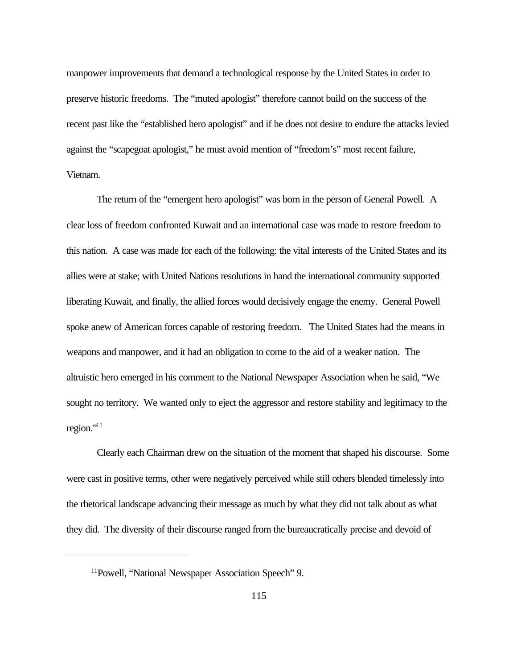manpower improvements that demand a technological response by the United States in order to preserve historic freedoms. The "muted apologist" therefore cannot build on the success of the recent past like the "established hero apologist" and if he does not desire to endure the attacks levied against the "scapegoat apologist," he must avoid mention of "freedom's" most recent failure, Vietnam.

The return of the "emergent hero apologist" was born in the person of General Powell. A clear loss of freedom confronted Kuwait and an international case was made to restore freedom to this nation. A case was made for each of the following: the vital interests of the United States and its allies were at stake; with United Nations resolutions in hand the international community supported liberating Kuwait, and finally, the allied forces would decisively engage the enemy. General Powell spoke anew of American forces capable of restoring freedom. The United States had the means in weapons and manpower, and it had an obligation to come to the aid of a weaker nation. The altruistic hero emerged in his comment to the National Newspaper Association when he said, "We sought no territory. We wanted only to eject the aggressor and restore stability and legitimacy to the region."<sup>11</sup>

Clearly each Chairman drew on the situation of the moment that shaped his discourse. Some were cast in positive terms, other were negatively perceived while still others blended timelessly into the rhetorical landscape advancing their message as much by what they did not talk about as what they did. The diversity of their discourse ranged from the bureaucratically precise and devoid of

<sup>&</sup>lt;sup>11</sup>Powell, "National Newspaper Association Speech" 9.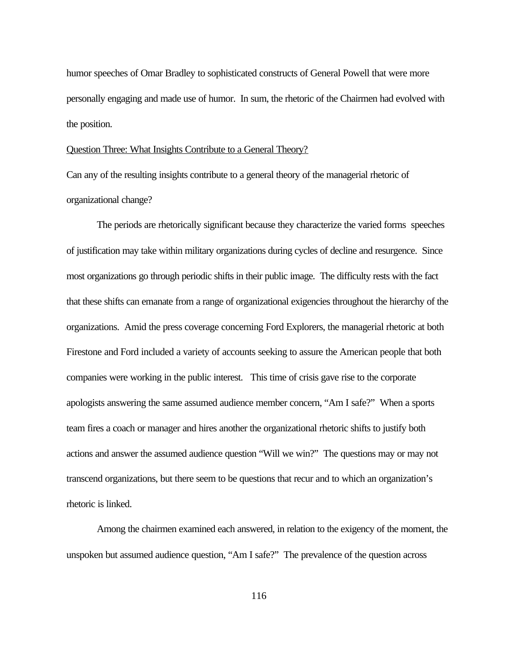humor speeches of Omar Bradley to sophisticated constructs of General Powell that were more personally engaging and made use of humor. In sum, the rhetoric of the Chairmen had evolved with the position.

# Question Three: What Insights Contribute to a General Theory?

Can any of the resulting insights contribute to a general theory of the managerial rhetoric of organizational change?

The periods are rhetorically significant because they characterize the varied forms speeches of justification may take within military organizations during cycles of decline and resurgence. Since most organizations go through periodic shifts in their public image. The difficulty rests with the fact that these shifts can emanate from a range of organizational exigencies throughout the hierarchy of the organizations. Amid the press coverage concerning Ford Explorers, the managerial rhetoric at both Firestone and Ford included a variety of accounts seeking to assure the American people that both companies were working in the public interest. This time of crisis gave rise to the corporate apologists answering the same assumed audience member concern, "Am I safe?" When a sports team fires a coach or manager and hires another the organizational rhetoric shifts to justify both actions and answer the assumed audience question "Will we win?" The questions may or may not transcend organizations, but there seem to be questions that recur and to which an organization's rhetoric is linked.

Among the chairmen examined each answered, in relation to the exigency of the moment, the unspoken but assumed audience question, "Am I safe?" The prevalence of the question across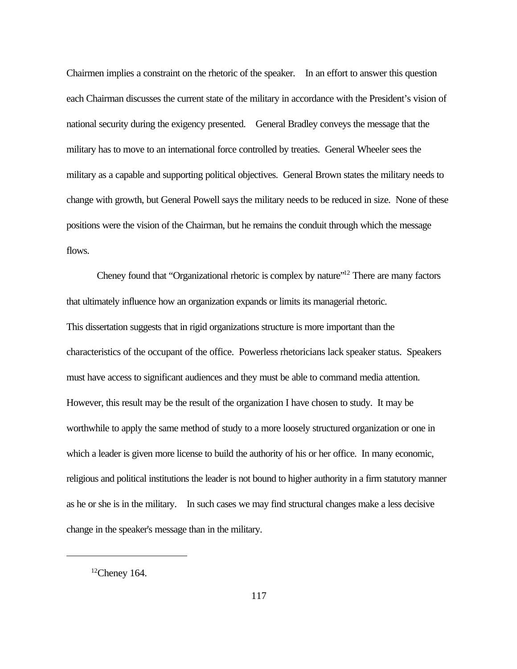Chairmen implies a constraint on the rhetoric of the speaker. In an effort to answer this question each Chairman discusses the current state of the military in accordance with the President's vision of national security during the exigency presented. General Bradley conveys the message that the military has to move to an international force controlled by treaties. General Wheeler sees the military as a capable and supporting political objectives. General Brown states the military needs to change with growth, but General Powell says the military needs to be reduced in size. None of these positions were the vision of the Chairman, but he remains the conduit through which the message flows.

Cheney found that "Organizational rhetoric is complex by nature"<sup>12</sup> There are many factors that ultimately influence how an organization expands or limits its managerial rhetoric. This dissertation suggests that in rigid organizations structure is more important than the characteristics of the occupant of the office. Powerless rhetoricians lack speaker status. Speakers must have access to significant audiences and they must be able to command media attention. However, this result may be the result of the organization I have chosen to study. It may be worthwhile to apply the same method of study to a more loosely structured organization or one in which a leader is given more license to build the authority of his or her office. In many economic, religious and political institutions the leader is not bound to higher authority in a firm statutory manner as he or she is in the military. In such cases we may find structural changes make a less decisive change in the speaker's message than in the military.

 $12$ Cheney 164.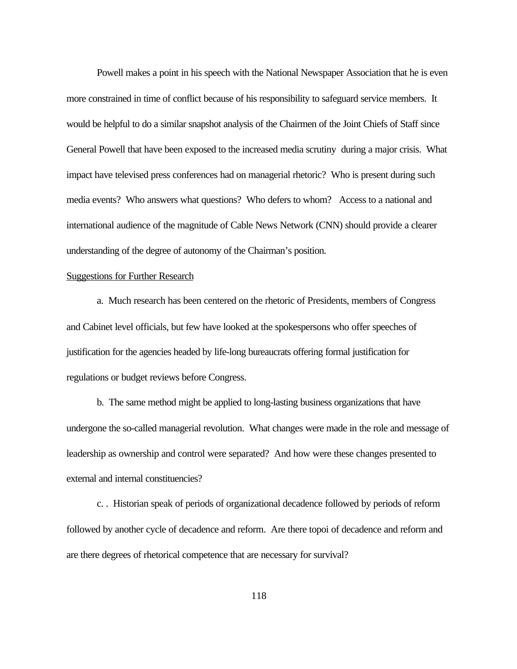Powell makes a point in his speech with the National Newspaper Association that he is even more constrained in time of conflict because of his responsibility to safeguard service members. It would be helpful to do a similar snapshot analysis of the Chairmen of the Joint Chiefs of Staff since General Powell that have been exposed to the increased media scrutiny during a major crisis. What impact have televised press conferences had on managerial rhetoric? Who is present during such media events? Who answers what questions? Who defers to whom? Access to a national and international audience of the magnitude of Cable News Network (CNN) should provide a clearer understanding of the degree of autonomy of the Chairman's position.

# Suggestions for Further Research

a. Much research has been centered on the rhetoric of Presidents, members of Congress and Cabinet level officials, but few have looked at the spokespersons who offer speeches of justification for the agencies headed by life-long bureaucrats offering formal justification for regulations or budget reviews before Congress.

b. The same method might be applied to long-lasting business organizations that have undergone the so-called managerial revolution. What changes were made in the role and message of leadership as ownership and control were separated? And how were these changes presented to external and internal constituencies?

c. . Historian speak of periods of organizational decadence followed by periods of reform followed by another cycle of decadence and reform. Are there topoi of decadence and reform and are there degrees of rhetorical competence that are necessary for survival?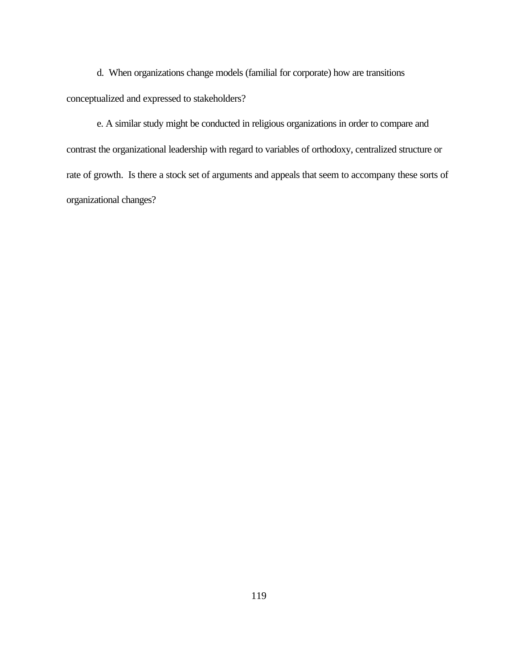d. When organizations change models (familial for corporate) how are transitions conceptualized and expressed to stakeholders?

e. A similar study might be conducted in religious organizations in order to compare and contrast the organizational leadership with regard to variables of orthodoxy, centralized structure or rate of growth. Is there a stock set of arguments and appeals that seem to accompany these sorts of organizational changes?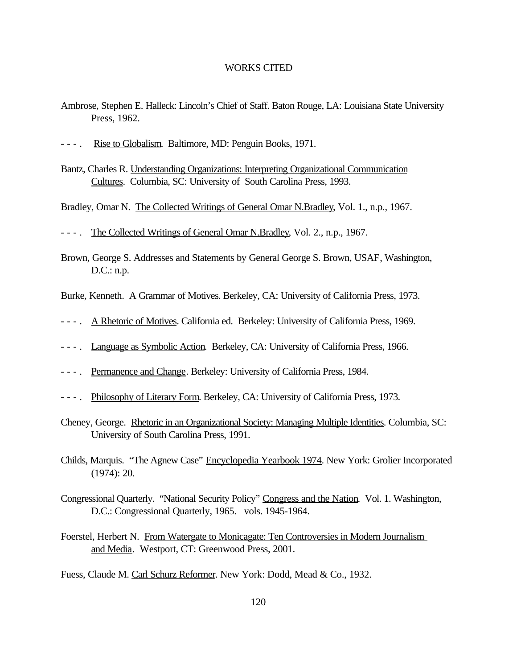## WORKS CITED

- Ambrose, Stephen E. Halleck: Lincoln's Chief of Staff. Baton Rouge, LA: Louisiana State University Press, 1962.
- - . Rise to Globalism. Baltimore, MD: Penguin Books, 1971.
- Bantz, Charles R. Understanding Organizations: Interpreting Organizational Communication Cultures. Columbia, SC: University of South Carolina Press, 1993.

Bradley, Omar N. The Collected Writings of General Omar N.Bradley, Vol. 1., n.p., 1967.

- - . The Collected Writings of General Omar N.Bradley, Vol. 2., n.p., 1967.
- Brown, George S. Addresses and Statements by General George S. Brown, USAF, Washington, D.C.: n.p.

Burke, Kenneth. A Grammar of Motives. Berkeley, CA: University of California Press, 1973.

- - . A Rhetoric of Motives. California ed. Berkeley: University of California Press, 1969.
- - . Language as Symbolic Action. Berkeley, CA: University of California Press, 1966.
- - . Permanence and Change. Berkeley: University of California Press, 1984.
- - . Philosophy of Literary Form. Berkeley, CA: University of California Press, 1973.
- Cheney, George. Rhetoric in an Organizational Society: Managing Multiple Identities. Columbia, SC: University of South Carolina Press, 1991.
- Childs, Marquis. "The Agnew Case" Encyclopedia Yearbook 1974. New York: Grolier Incorporated (1974): 20.
- Congressional Quarterly. "National Security Policy" Congress and the Nation. Vol. 1. Washington, D.C.: Congressional Quarterly, 1965. vols. 1945-1964.
- Foerstel, Herbert N. From Watergate to Monicagate: Ten Controversies in Modern Journalism and Media. Westport, CT: Greenwood Press, 2001.

Fuess, Claude M. Carl Schurz Reformer. New York: Dodd, Mead & Co., 1932.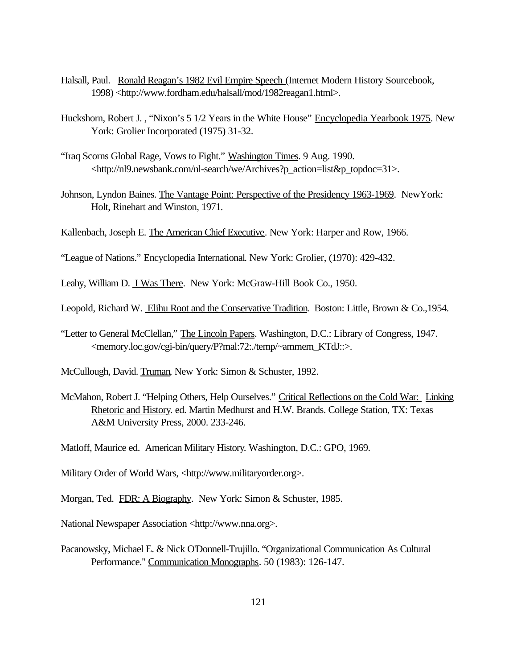- Halsall, Paul. Ronald Reagan's 1982 Evil Empire Speech (Internet Modern History Sourcebook, 1998) <http://www.fordham.edu/halsall/mod/1982reagan1.html>.
- Huckshorn, Robert J., "Nixon's 5 1/2 Years in the White House" Encyclopedia Yearbook 1975. New York: Grolier Incorporated (1975) 31-32.
- "Iraq Scorns Global Rage, Vows to Fight." Washington Times. 9 Aug. 1990. <http://nl9.newsbank.com/nl-search/we/Archives?p\_action=list&p\_topdoc=31>.
- Johnson, Lyndon Baines. The Vantage Point: Perspective of the Presidency 1963-1969. New York: Holt, Rinehart and Winston, 1971.
- Kallenbach, Joseph E. The American Chief Executive. New York: Harper and Row, 1966.
- "League of Nations." Encyclopedia International. New York: Grolier, (1970): 429-432.
- Leahy, William D. I Was There. New York: McGraw-Hill Book Co., 1950.
- Leopold, Richard W. Elihu Root and the Conservative Tradition. Boston: Little, Brown & Co., 1954.
- "Letter to General McClellan," The Lincoln Papers. Washington, D.C.: Library of Congress, 1947. <memory.loc.gov/cgi-bin/query/P?mal:72:./temp/~ammem\_KTdJ::>.
- McCullough, David. Truman, New York: Simon & Schuster, 1992.
- McMahon, Robert J. "Helping Others, Help Ourselves." Critical Reflections on the Cold War: Linking Rhetoric and History. ed. Martin Medhurst and H.W. Brands. College Station, TX: Texas A&M University Press, 2000. 233-246.
- Matloff, Maurice ed. American Military History. Washington, D.C.: GPO, 1969.
- Military Order of World Wars, <http://www.militaryorder.org>.
- Morgan, Ted. FDR: A Biography. New York: Simon & Schuster, 1985.
- National Newspaper Association <http://www.nna.org>.
- Pacanowsky, Michael E. & Nick O'Donnell-Trujillo. "Organizational Communication As Cultural Performance." Communication Monographs. 50 (1983): 126-147.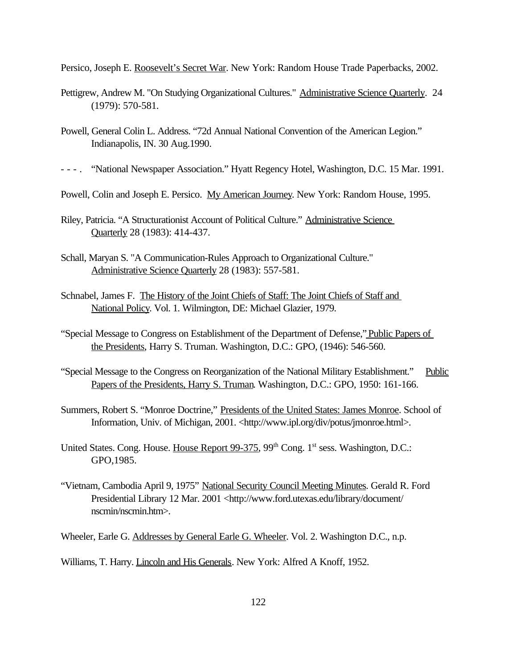Persico, Joseph E. Roosevelt's Secret War. New York: Random House Trade Paperbacks, 2002.

- Pettigrew, Andrew M. "On Studying Organizational Cultures." Administrative Science Quarterly. 24 (1979): 570-581.
- Powell, General Colin L. Address. "72d Annual National Convention of the American Legion." Indianapolis, IN. 30 Aug.1990.
- - . "National Newspaper Association." Hyatt Regency Hotel, Washington, D.C. 15 Mar. 1991.
- Powell, Colin and Joseph E. Persico. My American Journey. New York: Random House, 1995.
- Riley, Patricia. "A Structurationist Account of Political Culture." Administrative Science Quarterly 28 (1983): 414-437.
- Schall, Maryan S. "A Communication-Rules Approach to Organizational Culture." Administrative Science Quarterly 28 (1983): 557-581.
- Schnabel, James F. The History of the Joint Chiefs of Staff: The Joint Chiefs of Staff and National Policy. Vol. 1. Wilmington, DE: Michael Glazier, 1979.
- "Special Message to Congress on Establishment of the Department of Defense," Public Papers of the Presidents, Harry S. Truman. Washington, D.C.: GPO, (1946): 546-560.
- "Special Message to the Congress on Reorganization of the National Military Establishment." Public Papers of the Presidents, Harry S. Truman. Washington, D.C.: GPO, 1950: 161-166.
- Summers, Robert S. "Monroe Doctrine," Presidents of the United States: James Monroe. School of Information, Univ. of Michigan, 2001. <http://www.ipl.org/div/potus/jmonroe.html>.
- United States. Cong. House. House Report 99-375, 99<sup>th</sup> Cong. 1<sup>st</sup> sess. Washington, D.C.: GPO,1985.
- "Vietnam, Cambodia April 9, 1975" National Security Council Meeting Minutes. Gerald R. Ford Presidential Library 12 Mar. 2001 <http://www.ford.utexas.edu/library/document/ nscmin/nscmin.htm>.
- Wheeler, Earle G. Addresses by General Earle G. Wheeler. Vol. 2. Washington D.C., n.p.

Williams, T. Harry. *Lincoln and His Generals*. New York: Alfred A Knoff, 1952.